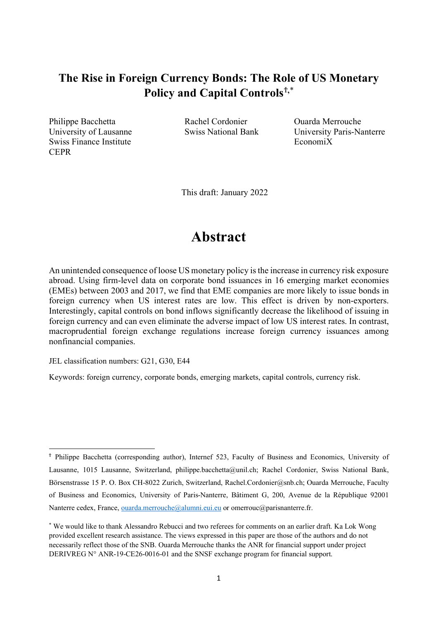# **The Rise in Foreign Currency Bonds: The Role of US Monetary Policy and Capital Controls**[Ϯ](#page-0-0)**,**[\\*](#page-0-1)

Philippe Bacchetta **Rachel Cordonier** Ouarda Merrouche Swiss Finance Institute **Economic Swiss Finance Institute Economic** Economic **CEPR** 

University of Lausanne Swiss National Bank University Paris-Nanterre

This draft: January 2022

# **Abstract**

An unintended consequence of loose US monetary policy is the increase in currency risk exposure abroad. Using firm-level data on corporate bond issuances in 16 emerging market economies (EMEs) between 2003 and 2017, we find that EME companies are more likely to issue bonds in foreign currency when US interest rates are low. This effect is driven by non-exporters. Interestingly, capital controls on bond inflows significantly decrease the likelihood of issuing in foreign currency and can even eliminate the adverse impact of low US interest rates. In contrast, macroprudential foreign exchange regulations increase foreign currency issuances among nonfinancial companies.

JEL classification numbers: G21, G30, E44

Keywords: foreign currency, corporate bonds, emerging markets, capital controls, currency risk.

<span id="page-0-0"></span><sup>Ϯ</sup> Philippe Bacchetta (corresponding author), Internef 523, Faculty of Business and Economics, University of Lausanne, 1015 Lausanne, Switzerland, philippe.bacchetta@unil.ch; Rachel Cordonier, Swiss National Bank, Börsenstrasse 15 P. O. Box CH-8022 Zurich, Switzerland, Rachel.Cordonier@snb.ch; Ouarda Merrouche, Faculty of Business and Economics, University of Paris-Nanterre, Bâtiment G, 200, Avenue de la République 92001 Nanterre cedex, France[, ouarda.merrouche@alumni.eui.eu](mailto:ouarda.merrouche@alumni.eui.eu) or omerrouc@parisnanterre.fr.

<span id="page-0-1"></span><sup>\*</sup> We would like to thank Alessandro Rebucci and two referees for comments on an earlier draft. Ka Lok Wong provided excellent research assistance. The views expressed in this paper are those of the authors and do not necessarily reflect those of the SNB. Ouarda Merrouche thanks the ANR for financial support under project DERIVREG N° ANR-19-CE26-0016-01 and the SNSF exchange program for financial support.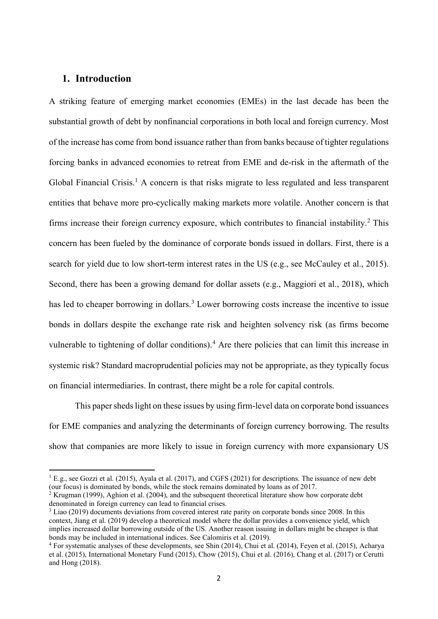### **1. Introduction**

A striking feature of emerging market economies (EMEs) in the last decade has been the substantial growth of debt by nonfinancial corporations in both local and foreign currency. Most of the increase has come from bond issuance rather than from banks because of tighter regulations forcing banks in advanced economies to retreat from EME and de-risk in the aftermath of the Global Financial Crisis.<sup>[1](#page-1-0)</sup> A concern is that risks migrate to less regulated and less transparent entities that behave more pro-cyclically making markets more volatile. Another concern is that firms increase their foreign currency exposure, which contributes to financial instability.[2](#page-1-1) This concern has been fueled by the dominance of corporate bonds issued in dollars. First, there is a search for yield due to low short-term interest rates in the US (e.g., see McCauley et al., 2015). Second, there has been a growing demand for dollar assets (e.g., Maggiori et al., 2018), which has led to cheaper borrowing in dollars.<sup>[3](#page-1-2)</sup> Lower borrowing costs increase the incentive to issue bonds in dollars despite the exchange rate risk and heighten solvency risk (as firms become vulnerable to tightening of dollar conditions). [4](#page-1-3) Are there policies that can limit this increase in systemic risk? Standard macroprudential policies may not be appropriate, as they typically focus on financial intermediaries. In contrast, there might be a role for capital controls.

This paper sheds light on these issues by using firm-level data on corporate bond issuances for EME companies and analyzing the determinants of foreign currency borrowing. The results show that companies are more likely to issue in foreign currency with more expansionary US

<span id="page-1-0"></span> $1 \text{ E.g., see Gozzi et al. (2015), Ayala et al. (2017), and CGFS (2021) for descriptions. The issuance of new debt.$ (our focus) is dominated by bonds, while the stock remains dominated by loans as of 2017.

<span id="page-1-1"></span><sup>&</sup>lt;sup>2</sup> Krugman (1999), Aghion et al. (2004), and the subsequent theoretical literature show how corporate debt denominated in foreign currency can lead to financial crises.

<span id="page-1-2"></span><sup>&</sup>lt;sup>3</sup> Liao (2019) documents deviations from covered interest rate parity on corporate bonds since 2008. In this context, Jiang et al. (2019) develop a theoretical model where the dollar provides a convenience yield, which implies increased dollar borrowing outside of the US. Another reason issuing in dollars might be cheaper is that bonds may be included in international indices. See Calomiris et al. (2019).

<span id="page-1-3"></span><sup>4</sup> For systematic analyses of these developments, see Shin (2014), Chui et al. (2014), Feyen et al. (2015), Acharya et al. (2015), International Monetary Fund (2015), Chow (2015), Chui et al. (2016), Chang et al. (2017) or Cerutti and Hong (2018).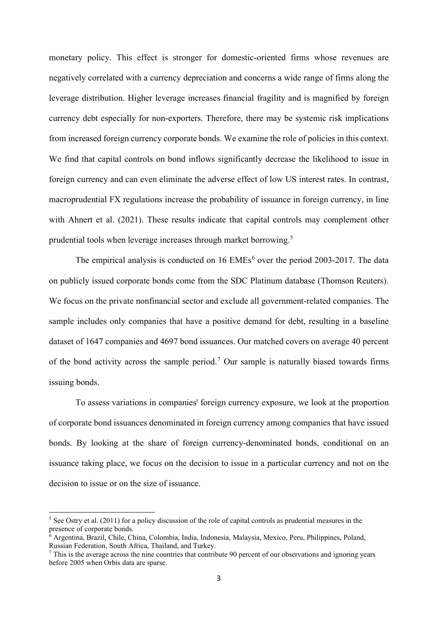monetary policy. This effect is stronger for domestic-oriented firms whose revenues are negatively correlated with a currency depreciation and concerns a wide range of firms along the leverage distribution. Higher leverage increases financial fragility and is magnified by foreign currency debt especially for non-exporters. Therefore, there may be systemic risk implications from increased foreign currency corporate bonds. We examine the role of policies in this context. We find that capital controls on bond inflows significantly decrease the likelihood to issue in foreign currency and can even eliminate the adverse effect of low US interest rates. In contrast, macroprudential FX regulations increase the probability of issuance in foreign currency, in line with Ahnert et al. (2021). These results indicate that capital controls may complement other prudential tools when leverage increases through market borrowing.[5](#page-2-0)

The empirical analysis is conducted on  $16 \text{ EMEs}^6$  $16 \text{ EMEs}^6$  $16 \text{ EMEs}^6$  over the period 2003-2017. The data on publicly issued corporate bonds come from the SDC Platinum database (Thomson Reuters). We focus on the private nonfinancial sector and exclude all government-related companies. The sample includes only companies that have a positive demand for debt, resulting in a baseline dataset of 1647 companies and 4697 bond issuances. Our matched covers on average 40 percent of the bond activity across the sample period.<sup>[7](#page-2-2)</sup> Our sample is naturally biased towards firms issuing bonds.

To assess variations in companies' foreign currency exposure, we look at the proportion of corporate bond issuances denominated in foreign currency among companies that have issued bonds. By looking at the share of foreign currency-denominated bonds, conditional on an issuance taking place, we focus on the decision to issue in a particular currency and not on the decision to issue or on the size of issuance.

<span id="page-2-0"></span><sup>&</sup>lt;sup>5</sup> See Ostry et al. (2011) for a policy discussion of the role of capital controls as prudential measures in the presence of corporate bonds.

<span id="page-2-1"></span> $\overline{6}$  Argentina, Brazil, Chile, China, Colombia, India, Indonesia, Malaysia, Mexico, Peru, Philippines, Poland, Russian Federation, South Africa, Thailand, and Turkey.

<span id="page-2-2"></span> $7$  This is the average across the nine countries that contribute 90 percent of our observations and ignoring years before 2005 when Orbis data are sparse.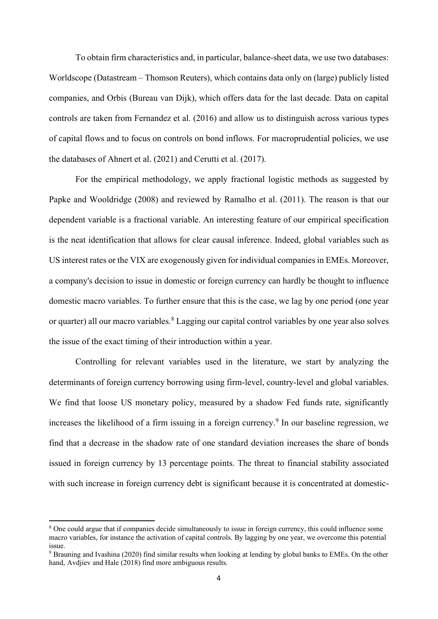To obtain firm characteristics and, in particular, balance-sheet data, we use two databases: Worldscope (Datastream – Thomson Reuters), which contains data only on (large) publicly listed companies, and Orbis (Bureau van Dijk), which offers data for the last decade. Data on capital controls are taken from Fernandez et al. (2016) and allow us to distinguish across various types of capital flows and to focus on controls on bond inflows. For macroprudential policies, we use the databases of Ahnert et al. (2021) and Cerutti et al. (2017).

For the empirical methodology, we apply fractional logistic methods as suggested by Papke and Wooldridge (2008) and reviewed by Ramalho et al. (2011). The reason is that our dependent variable is a fractional variable. An interesting feature of our empirical specification is the neat identification that allows for clear causal inference. Indeed, global variables such as US interest rates or the VIX are exogenously given for individual companies in EMEs. Moreover, a company's decision to issue in domestic or foreign currency can hardly be thought to influence domestic macro variables. To further ensure that this is the case, we lag by one period (one year or quarter) all our macro variables.<sup>[8](#page-3-0)</sup> Lagging our capital control variables by one year also solves the issue of the exact timing of their introduction within a year.

Controlling for relevant variables used in the literature, we start by analyzing the determinants of foreign currency borrowing using firm-level, country-level and global variables. We find that loose US monetary policy, measured by a shadow Fed funds rate, significantly increases the likelihood of a firm issuing in a foreign currency.<sup>[9](#page-3-1)</sup> In our baseline regression, we find that a decrease in the shadow rate of one standard deviation increases the share of bonds issued in foreign currency by 13 percentage points. The threat to financial stability associated with such increase in foreign currency debt is significant because it is concentrated at domestic-

<span id="page-3-0"></span><sup>&</sup>lt;sup>8</sup> One could argue that if companies decide simultaneously to issue in foreign currency, this could influence some macro variables, for instance the activation of capital controls. By lagging by one year, we overcome this potential issue.

<span id="page-3-1"></span><sup>&</sup>lt;sup>9</sup> Brauning and Ivashina (2020) find similar results when looking at lending by global banks to EMEs. On the other hand, Avdjiev and Hale (2018) find more ambiguous results.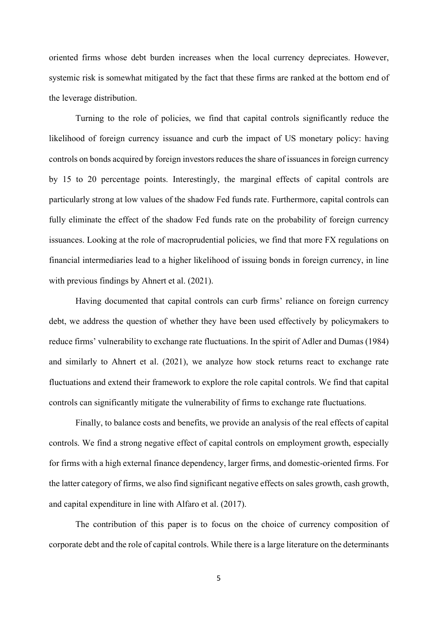oriented firms whose debt burden increases when the local currency depreciates. However, systemic risk is somewhat mitigated by the fact that these firms are ranked at the bottom end of the leverage distribution.

Turning to the role of policies, we find that capital controls significantly reduce the likelihood of foreign currency issuance and curb the impact of US monetary policy: having controls on bonds acquired by foreign investors reduces the share of issuances in foreign currency by 15 to 20 percentage points. Interestingly, the marginal effects of capital controls are particularly strong at low values of the shadow Fed funds rate. Furthermore, capital controls can fully eliminate the effect of the shadow Fed funds rate on the probability of foreign currency issuances. Looking at the role of macroprudential policies, we find that more FX regulations on financial intermediaries lead to a higher likelihood of issuing bonds in foreign currency, in line with previous findings by Ahnert et al. (2021).

Having documented that capital controls can curb firms' reliance on foreign currency debt, we address the question of whether they have been used effectively by policymakers to reduce firms' vulnerability to exchange rate fluctuations. In the spirit of Adler and Dumas (1984) and similarly to Ahnert et al. (2021), we analyze how stock returns react to exchange rate fluctuations and extend their framework to explore the role capital controls. We find that capital controls can significantly mitigate the vulnerability of firms to exchange rate fluctuations.

Finally, to balance costs and benefits, we provide an analysis of the real effects of capital controls. We find a strong negative effect of capital controls on employment growth, especially for firms with a high external finance dependency, larger firms, and domestic-oriented firms. For the latter category of firms, we also find significant negative effects on sales growth, cash growth, and capital expenditure in line with Alfaro et al. (2017).

The contribution of this paper is to focus on the choice of currency composition of corporate debt and the role of capital controls. While there is a large literature on the determinants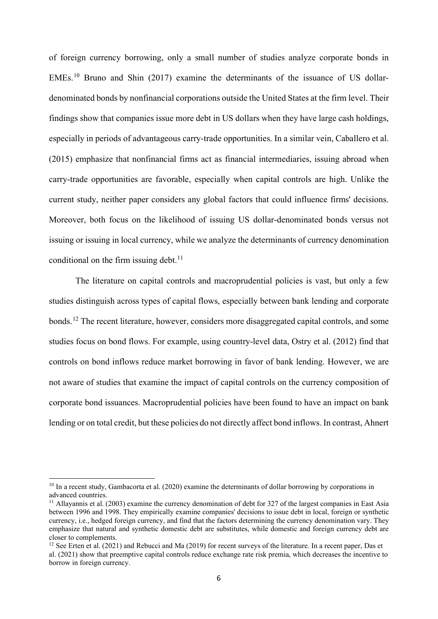of foreign currency borrowing, only a small number of studies analyze corporate bonds in EMEs.<sup>[10](#page-5-0)</sup> Bruno and Shin (2017) examine the determinants of the issuance of US dollardenominated bonds by nonfinancial corporations outside the United States at the firm level. Their findings show that companies issue more debt in US dollars when they have large cash holdings, especially in periods of advantageous carry-trade opportunities. In a similar vein, Caballero et al. (2015) emphasize that nonfinancial firms act as financial intermediaries, issuing abroad when carry-trade opportunities are favorable, especially when capital controls are high. Unlike the current study, neither paper considers any global factors that could influence firms' decisions. Moreover, both focus on the likelihood of issuing US dollar-denominated bonds versus not issuing or issuing in local currency, while we analyze the determinants of currency denomination conditional on the firm issuing debt.<sup>[11](#page-5-1)</sup>

The literature on capital controls and macroprudential policies is vast, but only a few studies distinguish across types of capital flows, especially between bank lending and corporate bonds.[12](#page-5-2) The recent literature, however, considers more disaggregated capital controls, and some studies focus on bond flows. For example, using country-level data, Ostry et al. (2012) find that controls on bond inflows reduce market borrowing in favor of bank lending. However, we are not aware of studies that examine the impact of capital controls on the currency composition of corporate bond issuances. Macroprudential policies have been found to have an impact on bank lending or on total credit, but these policies do not directly affect bond inflows. In contrast, Ahnert

<span id="page-5-0"></span><sup>&</sup>lt;sup>10</sup> In a recent study, Gambacorta et al. (2020) examine the determinants of dollar borrowing by corporations in advanced countries.

<span id="page-5-1"></span> $11$  Allayannis et al. (2003) examine the currency denomination of debt for 327 of the largest companies in East Asia between 1996 and 1998. They empirically examine companies' decisions to issue debt in local, foreign or synthetic currency, i.e., hedged foreign currency, and find that the factors determining the currency denomination vary. They emphasize that natural and synthetic domestic debt are substitutes, while domestic and foreign currency debt are closer to complements.

<span id="page-5-2"></span><sup>&</sup>lt;sup>12</sup> See Erten et al. (2021) and Rebucci and Ma (2019) for recent surveys of the literature. In a recent paper, Das et al. (2021) show that preemptive capital controls reduce exchange rate risk premia, which decreases the incentive to borrow in foreign currency.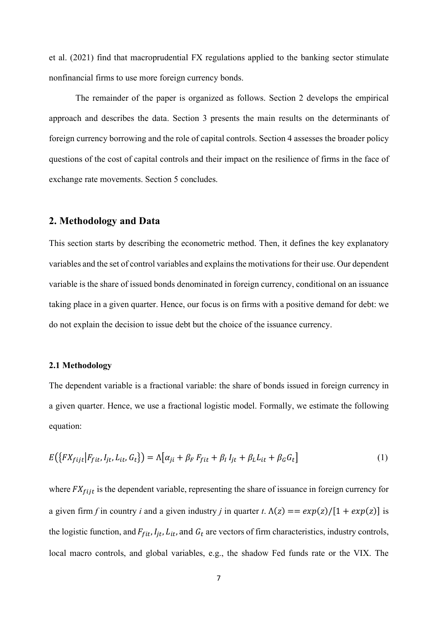et al. (2021) find that macroprudential FX regulations applied to the banking sector stimulate nonfinancial firms to use more foreign currency bonds.

The remainder of the paper is organized as follows. Section 2 develops the empirical approach and describes the data. Section 3 presents the main results on the determinants of foreign currency borrowing and the role of capital controls. Section 4 assesses the broader policy questions of the cost of capital controls and their impact on the resilience of firms in the face of exchange rate movements. Section 5 concludes.

### **2. Methodology and Data**

This section starts by describing the econometric method. Then, it defines the key explanatory variables and the set of control variables and explains the motivations for their use. Our dependent variable is the share of issued bonds denominated in foreign currency, conditional on an issuance taking place in a given quarter. Hence, our focus is on firms with a positive demand for debt: we do not explain the decision to issue debt but the choice of the issuance currency.

#### **2.1 Methodology**

The dependent variable is a fractional variable: the share of bonds issued in foreign currency in a given quarter. Hence, we use a fractional logistic model. Formally, we estimate the following equation:

$$
E\big(\big\{FX_{fijt}|F_{fit},I_{jt},L_{it},G_t\big\}\big) = \Lambda\big[\alpha_{ji} + \beta_F F_{fit} + \beta_I I_{jt} + \beta_L L_{it} + \beta_G G_t\big]
$$
\n<sup>(1)</sup>

where  $FX_{fijt}$  is the dependent variable, representing the share of issuance in foreign currency for a given firm *f* in country *i* and a given industry *j* in quarter *t*.  $\Lambda(z) = \frac{exp(z)}{1 + exp(z)}$  is the logistic function, and  $F_{fit}$ ,  $I_{it}$ ,  $L_{it}$ , and  $G_t$  are vectors of firm characteristics, industry controls, local macro controls, and global variables, e.g., the shadow Fed funds rate or the VIX. The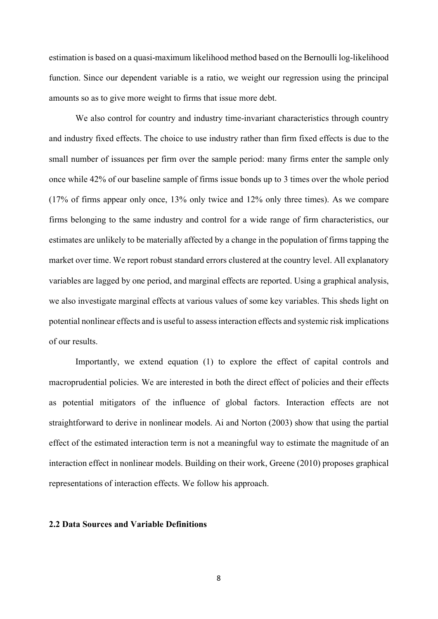estimation is based on a quasi-maximum likelihood method based on the Bernoulli log-likelihood function. Since our dependent variable is a ratio, we weight our regression using the principal amounts so as to give more weight to firms that issue more debt.

We also control for country and industry time-invariant characteristics through country and industry fixed effects. The choice to use industry rather than firm fixed effects is due to the small number of issuances per firm over the sample period: many firms enter the sample only once while 42% of our baseline sample of firms issue bonds up to 3 times over the whole period (17% of firms appear only once, 13% only twice and 12% only three times). As we compare firms belonging to the same industry and control for a wide range of firm characteristics, our estimates are unlikely to be materially affected by a change in the population of firms tapping the market over time. We report robust standard errors clustered at the country level. All explanatory variables are lagged by one period, and marginal effects are reported. Using a graphical analysis, we also investigate marginal effects at various values of some key variables. This sheds light on potential nonlinear effects and is useful to assess interaction effects and systemic risk implications of our results.

Importantly, we extend equation (1) to explore the effect of capital controls and macroprudential policies. We are interested in both the direct effect of policies and their effects as potential mitigators of the influence of global factors. Interaction effects are not straightforward to derive in nonlinear models. Ai and Norton (2003) show that using the partial effect of the estimated interaction term is not a meaningful way to estimate the magnitude of an interaction effect in nonlinear models. Building on their work, Greene (2010) proposes graphical representations of interaction effects. We follow his approach.

#### **2.2 Data Sources and Variable Definitions**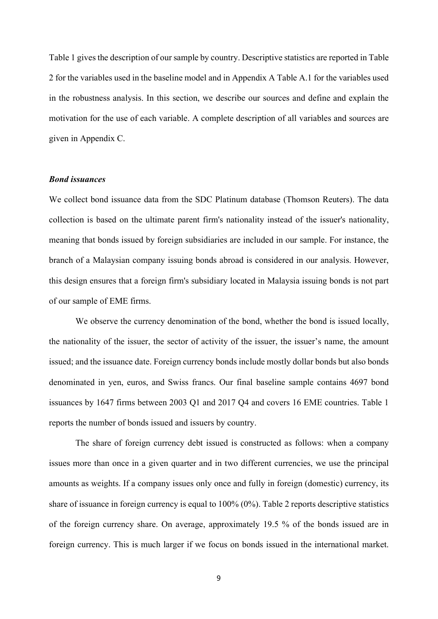Table 1 gives the description of our sample by country. Descriptive statistics are reported in Table 2 for the variables used in the baseline model and in Appendix A Table A.1 for the variables used in the robustness analysis. In this section, we describe our sources and define and explain the motivation for the use of each variable. A complete description of all variables and sources are given in Appendix C.

#### *Bond issuances*

We collect bond issuance data from the SDC Platinum database (Thomson Reuters). The data collection is based on the ultimate parent firm's nationality instead of the issuer's nationality, meaning that bonds issued by foreign subsidiaries are included in our sample. For instance, the branch of a Malaysian company issuing bonds abroad is considered in our analysis. However, this design ensures that a foreign firm's subsidiary located in Malaysia issuing bonds is not part of our sample of EME firms.

We observe the currency denomination of the bond, whether the bond is issued locally, the nationality of the issuer, the sector of activity of the issuer, the issuer's name, the amount issued; and the issuance date. Foreign currency bonds include mostly dollar bonds but also bonds denominated in yen, euros, and Swiss francs. Our final baseline sample contains 4697 bond issuances by 1647 firms between 2003 Q1 and 2017 Q4 and covers 16 EME countries. Table 1 reports the number of bonds issued and issuers by country.

The share of foreign currency debt issued is constructed as follows: when a company issues more than once in a given quarter and in two different currencies, we use the principal amounts as weights. If a company issues only once and fully in foreign (domestic) currency, its share of issuance in foreign currency is equal to 100% (0%). Table 2 reports descriptive statistics of the foreign currency share. On average, approximately 19.5 % of the bonds issued are in foreign currency. This is much larger if we focus on bonds issued in the international market.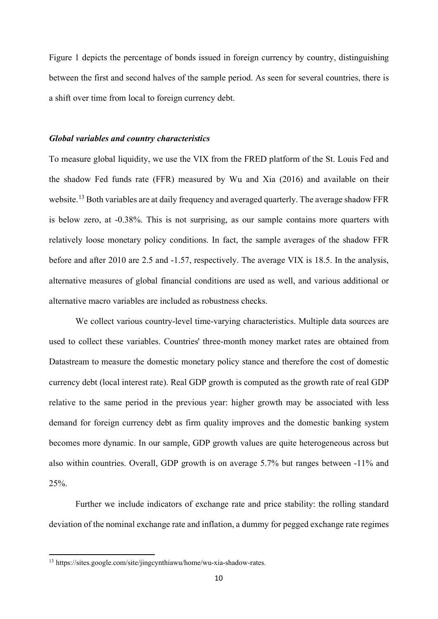Figure 1 depicts the percentage of bonds issued in foreign currency by country, distinguishing between the first and second halves of the sample period. As seen for several countries, there is a shift over time from local to foreign currency debt.

#### *Global variables and country characteristics*

To measure global liquidity, we use the VIX from the FRED platform of the St. Louis Fed and the shadow Fed funds rate (FFR) measured by Wu and Xia (2016) and available on their website.<sup>[13](#page-9-0)</sup> Both variables are at daily frequency and averaged quarterly. The average shadow FFR is below zero, at -0.38%. This is not surprising, as our sample contains more quarters with relatively loose monetary policy conditions. In fact, the sample averages of the shadow FFR before and after 2010 are 2.5 and -1.57, respectively. The average VIX is 18.5. In the analysis, alternative measures of global financial conditions are used as well, and various additional or alternative macro variables are included as robustness checks.

We collect various country-level time-varying characteristics. Multiple data sources are used to collect these variables. Countries' three-month money market rates are obtained from Datastream to measure the domestic monetary policy stance and therefore the cost of domestic currency debt (local interest rate). Real GDP growth is computed as the growth rate of real GDP relative to the same period in the previous year: higher growth may be associated with less demand for foreign currency debt as firm quality improves and the domestic banking system becomes more dynamic. In our sample, GDP growth values are quite heterogeneous across but also within countries. Overall, GDP growth is on average 5.7% but ranges between -11% and 25%.

Further we include indicators of exchange rate and price stability: the rolling standard deviation of the nominal exchange rate and inflation, a dummy for pegged exchange rate regimes

<span id="page-9-0"></span><sup>13</sup> https://sites.google.com/site/jingcynthiawu/home/wu-xia-shadow-rates.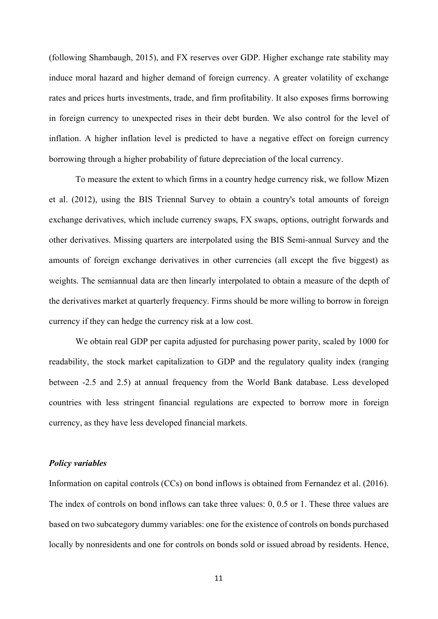(following Shambaugh, 2015), and FX reserves over GDP. Higher exchange rate stability may induce moral hazard and higher demand of foreign currency. A greater volatility of exchange rates and prices hurts investments, trade, and firm profitability. It also exposes firms borrowing in foreign currency to unexpected rises in their debt burden. We also control for the level of inflation. A higher inflation level is predicted to have a negative effect on foreign currency borrowing through a higher probability of future depreciation of the local currency.

To measure the extent to which firms in a country hedge currency risk, we follow Mizen et al. (2012), using the BIS Triennal Survey to obtain a country's total amounts of foreign exchange derivatives, which include currency swaps, FX swaps, options, outright forwards and other derivatives. Missing quarters are interpolated using the BIS Semi-annual Survey and the amounts of foreign exchange derivatives in other currencies (all except the five biggest) as weights. The semiannual data are then linearly interpolated to obtain a measure of the depth of the derivatives market at quarterly frequency. Firms should be more willing to borrow in foreign currency if they can hedge the currency risk at a low cost.

We obtain real GDP per capita adjusted for purchasing power parity, scaled by 1000 for readability, the stock market capitalization to GDP and the regulatory quality index (ranging between -2.5 and 2.5) at annual frequency from the World Bank database. Less developed countries with less stringent financial regulations are expected to borrow more in foreign currency, as they have less developed financial markets.

#### *Policy variables*

Information on capital controls (CCs) on bond inflows is obtained from Fernandez et al. (2016). The index of controls on bond inflows can take three values: 0, 0.5 or 1. These three values are based on two subcategory dummy variables: one for the existence of controls on bonds purchased locally by nonresidents and one for controls on bonds sold or issued abroad by residents. Hence,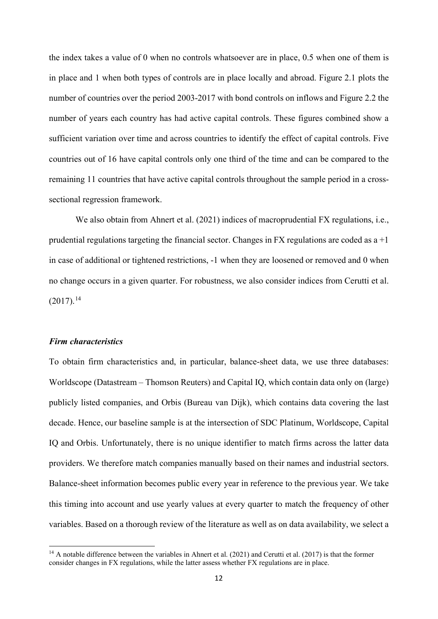the index takes a value of 0 when no controls whatsoever are in place, 0.5 when one of them is in place and 1 when both types of controls are in place locally and abroad. Figure 2.1 plots the number of countries over the period 2003-2017 with bond controls on inflows and Figure 2.2 the number of years each country has had active capital controls. These figures combined show a sufficient variation over time and across countries to identify the effect of capital controls. Five countries out of 16 have capital controls only one third of the time and can be compared to the remaining 11 countries that have active capital controls throughout the sample period in a crosssectional regression framework.

We also obtain from Ahnert et al. (2021) indices of macroprudential FX regulations, i.e., prudential regulations targeting the financial sector. Changes in FX regulations are coded as  $a + 1$ in case of additional or tightened restrictions, -1 when they are loosened or removed and 0 when no change occurs in a given quarter. For robustness, we also consider indices from Cerutti et al.  $(2017).<sup>14</sup>$  $(2017).<sup>14</sup>$  $(2017).<sup>14</sup>$ 

#### *Firm characteristics*

To obtain firm characteristics and, in particular, balance-sheet data, we use three databases: Worldscope (Datastream – Thomson Reuters) and Capital IQ, which contain data only on (large) publicly listed companies, and Orbis (Bureau van Dijk), which contains data covering the last decade. Hence, our baseline sample is at the intersection of SDC Platinum, Worldscope, Capital IQ and Orbis. Unfortunately, there is no unique identifier to match firms across the latter data providers. We therefore match companies manually based on their names and industrial sectors. Balance-sheet information becomes public every year in reference to the previous year. We take this timing into account and use yearly values at every quarter to match the frequency of other variables. Based on a thorough review of the literature as well as on data availability, we select a

<span id="page-11-0"></span><sup>&</sup>lt;sup>14</sup> A notable difference between the variables in Ahnert et al. (2021) and Cerutti et al. (2017) is that the former consider changes in FX regulations, while the latter assess whether FX regulations are in place.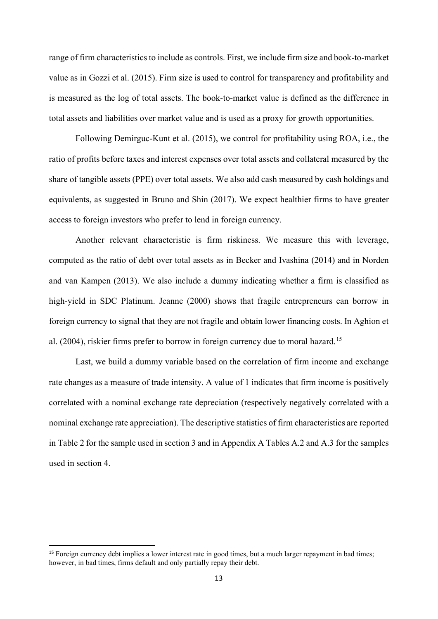range of firm characteristics to include as controls. First, we include firm size and book-to-market value as in Gozzi et al. (2015). Firm size is used to control for transparency and profitability and is measured as the log of total assets. The book-to-market value is defined as the difference in total assets and liabilities over market value and is used as a proxy for growth opportunities.

Following Demirguc-Kunt et al. (2015), we control for profitability using ROA, i.e., the ratio of profits before taxes and interest expenses over total assets and collateral measured by the share of tangible assets (PPE) over total assets. We also add cash measured by cash holdings and equivalents, as suggested in Bruno and Shin (2017). We expect healthier firms to have greater access to foreign investors who prefer to lend in foreign currency.

Another relevant characteristic is firm riskiness. We measure this with leverage, computed as the ratio of debt over total assets as in Becker and Ivashina (2014) and in Norden and van Kampen (2013). We also include a dummy indicating whether a firm is classified as high-yield in SDC Platinum. Jeanne (2000) shows that fragile entrepreneurs can borrow in foreign currency to signal that they are not fragile and obtain lower financing costs. In Aghion et al. (2004), riskier firms prefer to borrow in foreign currency due to moral hazard.<sup>[15](#page-12-0)</sup>

Last, we build a dummy variable based on the correlation of firm income and exchange rate changes as a measure of trade intensity. A value of 1 indicates that firm income is positively correlated with a nominal exchange rate depreciation (respectively negatively correlated with a nominal exchange rate appreciation). The descriptive statistics of firm characteristics are reported in Table 2 for the sample used in section 3 and in Appendix A Tables A.2 and A.3 for the samples used in section 4.

<span id="page-12-0"></span><sup>&</sup>lt;sup>15</sup> Foreign currency debt implies a lower interest rate in good times, but a much larger repayment in bad times; however, in bad times, firms default and only partially repay their debt.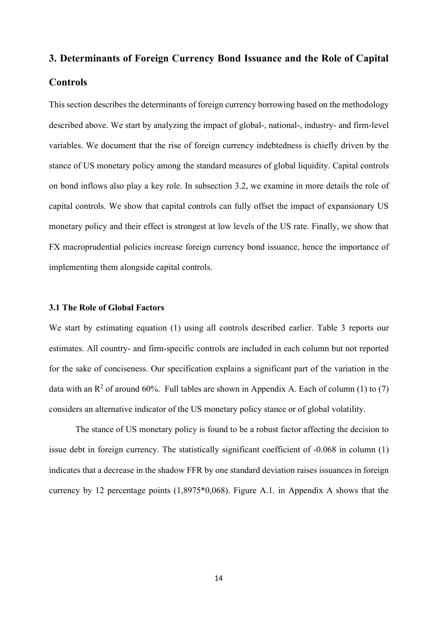# **3. Determinants of Foreign Currency Bond Issuance and the Role of Capital Controls**

This section describes the determinants of foreign currency borrowing based on the methodology described above. We start by analyzing the impact of global-, national-, industry- and firm-level variables. We document that the rise of foreign currency indebtedness is chiefly driven by the stance of US monetary policy among the standard measures of global liquidity. Capital controls on bond inflows also play a key role. In subsection 3.2, we examine in more details the role of capital controls. We show that capital controls can fully offset the impact of expansionary US monetary policy and their effect is strongest at low levels of the US rate. Finally, we show that FX macroprudential policies increase foreign currency bond issuance, hence the importance of implementing them alongside capital controls.

#### **3.1 The Role of Global Factors**

We start by estimating equation (1) using all controls described earlier. Table 3 reports our estimates. All country- and firm-specific controls are included in each column but not reported for the sake of conciseness. Our specification explains a significant part of the variation in the data with an  $\mathbb{R}^2$  of around 60%. Full tables are shown in Appendix A. Each of column (1) to (7) considers an alternative indicator of the US monetary policy stance or of global volatility.

The stance of US monetary policy is found to be a robust factor affecting the decision to issue debt in foreign currency. The statistically significant coefficient of -0.068 in column (1) indicates that a decrease in the shadow FFR by one standard deviation raises issuances in foreign currency by 12 percentage points (1,8975\*0,068). Figure A.1. in Appendix A shows that the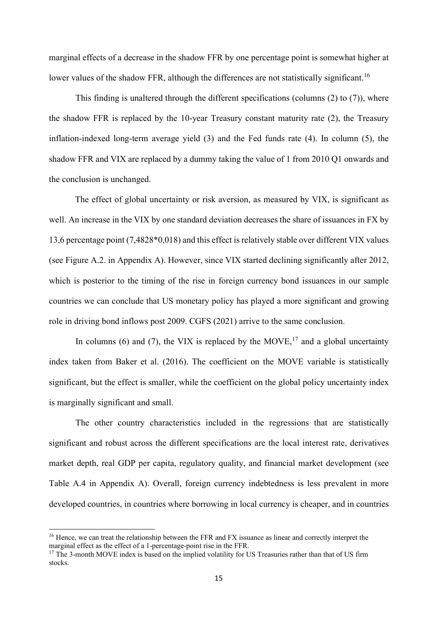marginal effects of a decrease in the shadow FFR by one percentage point is somewhat higher at lower values of the shadow FFR, although the differences are not statistically significant.<sup>[16](#page-14-0)</sup>

This finding is unaltered through the different specifications (columns (2) to (7)), where the shadow FFR is replaced by the 10-year Treasury constant maturity rate (2), the Treasury inflation-indexed long-term average yield (3) and the Fed funds rate (4). In column (5), the shadow FFR and VIX are replaced by a dummy taking the value of 1 from 2010 Q1 onwards and the conclusion is unchanged.

The effect of global uncertainty or risk aversion, as measured by VIX, is significant as well. An increase in the VIX by one standard deviation decreases the share of issuances in FX by 13,6 percentage point (7,4828\*0,018) and this effect is relatively stable over different VIX values (see Figure A.2. in Appendix A). However, since VIX started declining significantly after 2012, which is posterior to the timing of the rise in foreign currency bond issuances in our sample countries we can conclude that US monetary policy has played a more significant and growing role in driving bond inflows post 2009. CGFS (2021) arrive to the same conclusion.

In columns (6) and (7), the VIX is replaced by the MOVE,<sup>[17](#page-14-1)</sup> and a global uncertainty index taken from Baker et al. (2016). The coefficient on the MOVE variable is statistically significant, but the effect is smaller, while the coefficient on the global policy uncertainty index is marginally significant and small.

The other country characteristics included in the regressions that are statistically significant and robust across the different specifications are the local interest rate, derivatives market depth, real GDP per capita, regulatory quality, and financial market development (see Table A.4 in Appendix A). Overall, foreign currency indebtedness is less prevalent in more developed countries, in countries where borrowing in local currency is cheaper, and in countries

<span id="page-14-0"></span><sup>&</sup>lt;sup>16</sup> Hence, we can treat the relationship between the FFR and FX issuance as linear and correctly interpret the marginal effect as the effect of a 1-percentage-point rise in the FFR.

<span id="page-14-1"></span><sup>&</sup>lt;sup>17</sup> The 3-month MOVE index is based on the implied volatility for US Treasuries rather than that of US firm stocks.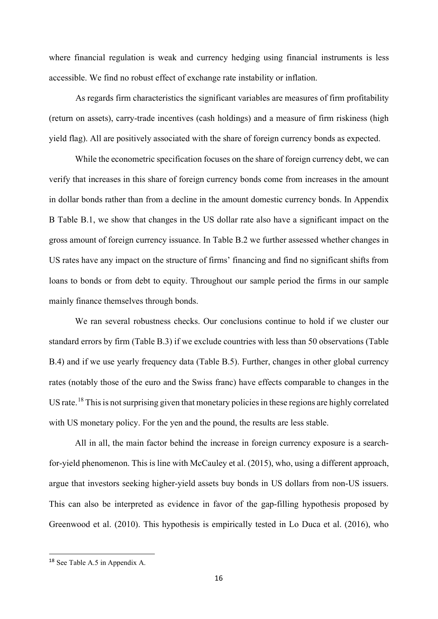where financial regulation is weak and currency hedging using financial instruments is less accessible. We find no robust effect of exchange rate instability or inflation.

As regards firm characteristics the significant variables are measures of firm profitability (return on assets), carry-trade incentives (cash holdings) and a measure of firm riskiness (high yield flag). All are positively associated with the share of foreign currency bonds as expected.

While the econometric specification focuses on the share of foreign currency debt, we can verify that increases in this share of foreign currency bonds come from increases in the amount in dollar bonds rather than from a decline in the amount domestic currency bonds. In Appendix B Table B.1, we show that changes in the US dollar rate also have a significant impact on the gross amount of foreign currency issuance. In Table B.2 we further assessed whether changes in US rates have any impact on the structure of firms' financing and find no significant shifts from loans to bonds or from debt to equity. Throughout our sample period the firms in our sample mainly finance themselves through bonds.

We ran several robustness checks. Our conclusions continue to hold if we cluster our standard errors by firm (Table B.3) if we exclude countries with less than 50 observations (Table B.4) and if we use yearly frequency data (Table B.5). Further, changes in other global currency rates (notably those of the euro and the Swiss franc) have effects comparable to changes in the US rate.<sup>[18](#page-15-0)</sup> This is not surprising given that monetary policies in these regions are highly correlated with US monetary policy. For the yen and the pound, the results are less stable.

All in all, the main factor behind the increase in foreign currency exposure is a searchfor-yield phenomenon. This is line with McCauley et al. (2015), who, using a different approach, argue that investors seeking higher-yield assets buy bonds in US dollars from non-US issuers. This can also be interpreted as evidence in favor of the gap-filling hypothesis proposed by Greenwood et al. (2010). This hypothesis is empirically tested in Lo Duca et al. (2016), who

<span id="page-15-0"></span><sup>18</sup> See Table A.5 in Appendix A.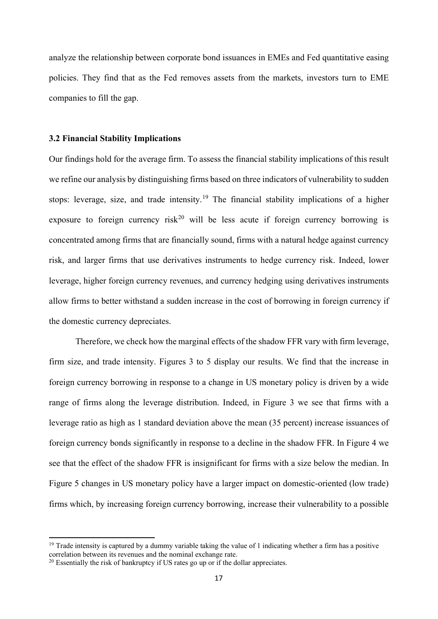analyze the relationship between corporate bond issuances in EMEs and Fed quantitative easing policies. They find that as the Fed removes assets from the markets, investors turn to EME companies to fill the gap.

#### **3.2 Financial Stability Implications**

Our findings hold for the average firm. To assess the financial stability implications of this result we refine our analysis by distinguishing firms based on three indicators of vulnerability to sudden stops: leverage, size, and trade intensity.<sup>[19](#page-16-0)</sup> The financial stability implications of a higher exposure to foreign currency risk<sup>[20](#page-16-1)</sup> will be less acute if foreign currency borrowing is concentrated among firms that are financially sound, firms with a natural hedge against currency risk, and larger firms that use derivatives instruments to hedge currency risk. Indeed, lower leverage, higher foreign currency revenues, and currency hedging using derivatives instruments allow firms to better withstand a sudden increase in the cost of borrowing in foreign currency if the domestic currency depreciates.

Therefore, we check how the marginal effects of the shadow FFR vary with firm leverage, firm size, and trade intensity. Figures 3 to 5 display our results. We find that the increase in foreign currency borrowing in response to a change in US monetary policy is driven by a wide range of firms along the leverage distribution. Indeed, in Figure 3 we see that firms with a leverage ratio as high as 1 standard deviation above the mean (35 percent) increase issuances of foreign currency bonds significantly in response to a decline in the shadow FFR. In Figure 4 we see that the effect of the shadow FFR is insignificant for firms with a size below the median. In Figure 5 changes in US monetary policy have a larger impact on domestic-oriented (low trade) firms which, by increasing foreign currency borrowing, increase their vulnerability to a possible

<span id="page-16-0"></span> $19$  Trade intensity is captured by a dummy variable taking the value of 1 indicating whether a firm has a positive correlation between its revenues and the nominal exchange rate.

<span id="page-16-1"></span><sup>&</sup>lt;sup>20</sup> Essentially the risk of bankruptcy if US rates go up or if the dollar appreciates.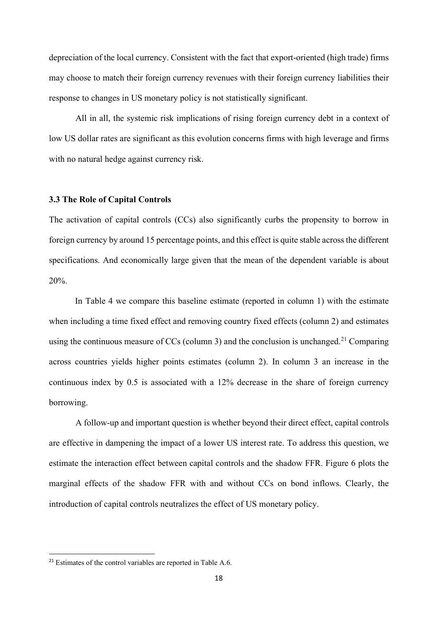depreciation of the local currency. Consistent with the fact that export-oriented (high trade) firms may choose to match their foreign currency revenues with their foreign currency liabilities their response to changes in US monetary policy is not statistically significant.

All in all, the systemic risk implications of rising foreign currency debt in a context of low US dollar rates are significant as this evolution concerns firms with high leverage and firms with no natural hedge against currency risk.

#### **3.3 The Role of Capital Controls**

The activation of capital controls (CCs) also significantly curbs the propensity to borrow in foreign currency by around 15 percentage points, and this effect is quite stable across the different specifications. And economically large given that the mean of the dependent variable is about 20%.

In Table 4 we compare this baseline estimate (reported in column 1) with the estimate when including a time fixed effect and removing country fixed effects (column 2) and estimates using the continuous measure of CCs (column 3) and the conclusion is unchanged.<sup>[21](#page-17-0)</sup> Comparing across countries yields higher points estimates (column 2). In column 3 an increase in the continuous index by 0.5 is associated with a 12% decrease in the share of foreign currency borrowing.

A follow-up and important question is whether beyond their direct effect, capital controls are effective in dampening the impact of a lower US interest rate. To address this question, we estimate the interaction effect between capital controls and the shadow FFR. Figure 6 plots the marginal effects of the shadow FFR with and without CCs on bond inflows. Clearly, the introduction of capital controls neutralizes the effect of US monetary policy.

<span id="page-17-0"></span><sup>&</sup>lt;sup>21</sup> Estimates of the control variables are reported in Table A.6.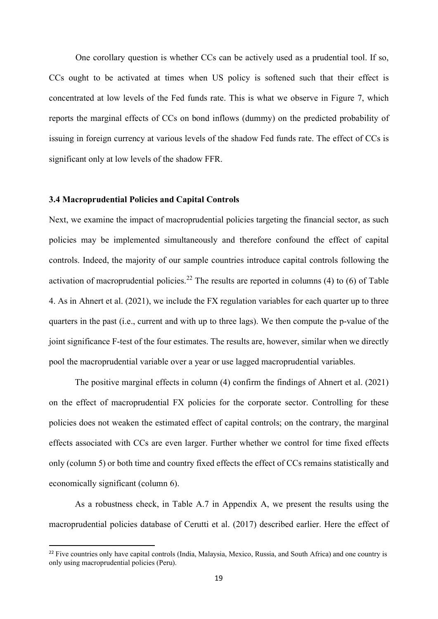One corollary question is whether CCs can be actively used as a prudential tool. If so, CCs ought to be activated at times when US policy is softened such that their effect is concentrated at low levels of the Fed funds rate. This is what we observe in Figure 7, which reports the marginal effects of CCs on bond inflows (dummy) on the predicted probability of issuing in foreign currency at various levels of the shadow Fed funds rate. The effect of CCs is significant only at low levels of the shadow FFR.

#### **3.4 Macroprudential Policies and Capital Controls**

Next, we examine the impact of macroprudential policies targeting the financial sector, as such policies may be implemented simultaneously and therefore confound the effect of capital controls. Indeed, the majority of our sample countries introduce capital controls following the activation of macroprudential policies.<sup>[22](#page-18-0)</sup> The results are reported in columns (4) to (6) of Table 4. As in Ahnert et al. (2021), we include the FX regulation variables for each quarter up to three quarters in the past (i.e., current and with up to three lags). We then compute the p-value of the joint significance F-test of the four estimates. The results are, however, similar when we directly pool the macroprudential variable over a year or use lagged macroprudential variables.

The positive marginal effects in column (4) confirm the findings of Ahnert et al. (2021) on the effect of macroprudential FX policies for the corporate sector. Controlling for these policies does not weaken the estimated effect of capital controls; on the contrary, the marginal effects associated with CCs are even larger. Further whether we control for time fixed effects only (column 5) or both time and country fixed effects the effect of CCs remains statistically and economically significant (column 6).

As a robustness check, in Table A.7 in Appendix A, we present the results using the macroprudential policies database of Cerutti et al. (2017) described earlier. Here the effect of

<span id="page-18-0"></span> $22$  Five countries only have capital controls (India, Malaysia, Mexico, Russia, and South Africa) and one country is only using macroprudential policies (Peru).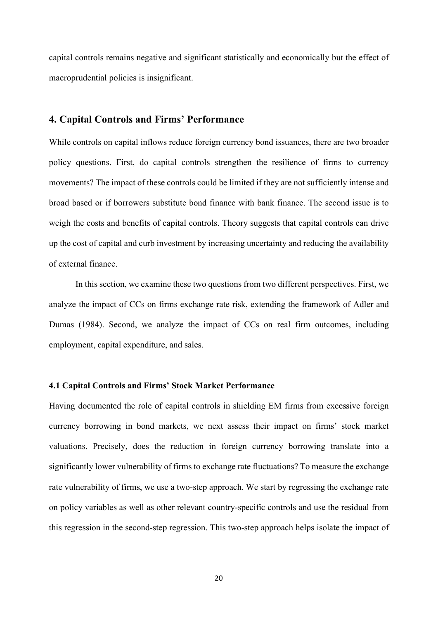capital controls remains negative and significant statistically and economically but the effect of macroprudential policies is insignificant.

### **4. Capital Controls and Firms' Performance**

While controls on capital inflows reduce foreign currency bond issuances, there are two broader policy questions. First, do capital controls strengthen the resilience of firms to currency movements? The impact of these controls could be limited if they are not sufficiently intense and broad based or if borrowers substitute bond finance with bank finance. The second issue is to weigh the costs and benefits of capital controls. Theory suggests that capital controls can drive up the cost of capital and curb investment by increasing uncertainty and reducing the availability of external finance.

In this section, we examine these two questions from two different perspectives. First, we analyze the impact of CCs on firms exchange rate risk, extending the framework of Adler and Dumas (1984). Second, we analyze the impact of CCs on real firm outcomes, including employment, capital expenditure, and sales.

#### **4.1 Capital Controls and Firms' Stock Market Performance**

Having documented the role of capital controls in shielding EM firms from excessive foreign currency borrowing in bond markets, we next assess their impact on firms' stock market valuations. Precisely, does the reduction in foreign currency borrowing translate into a significantly lower vulnerability of firms to exchange rate fluctuations? To measure the exchange rate vulnerability of firms, we use a two-step approach. We start by regressing the exchange rate on policy variables as well as other relevant country-specific controls and use the residual from this regression in the second-step regression. This two-step approach helps isolate the impact of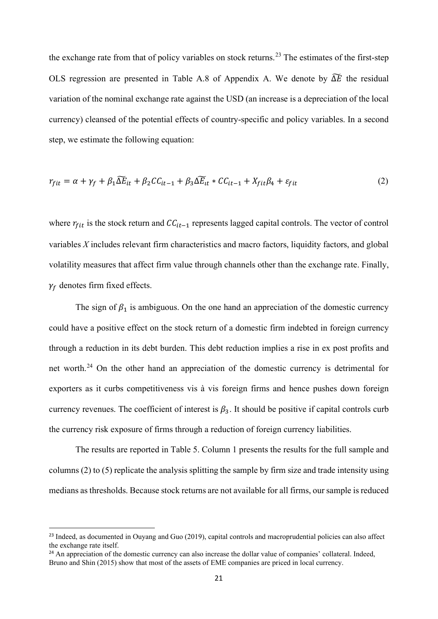the exchange rate from that of policy variables on stock returns.<sup>[23](#page-20-0)</sup> The estimates of the first-step OLS regression are presented in Table A.8 of Appendix A. We denote by  $\Delta E$  the residual variation of the nominal exchange rate against the USD (an increase is a depreciation of the local currency) cleansed of the potential effects of country-specific and policy variables. In a second step, we estimate the following equation:

$$
r_{fit} = \alpha + \gamma_f + \beta_1 \widetilde{\Delta E}_{it} + \beta_2 CC_{it-1} + \beta_3 \widetilde{\Delta E}_{it} * CC_{it-1} + X_{fit} \beta_4 + \varepsilon_{fit}
$$
 (2)

where  $r_{fit}$  is the stock return and  $CC_{it-1}$  represents lagged capital controls. The vector of control variables *X* includes relevant firm characteristics and macro factors, liquidity factors, and global volatility measures that affect firm value through channels other than the exchange rate. Finally,  $\gamma_f$  denotes firm fixed effects.

The sign of  $\beta_1$  is ambiguous. On the one hand an appreciation of the domestic currency could have a positive effect on the stock return of a domestic firm indebted in foreign currency through a reduction in its debt burden. This debt reduction implies a rise in ex post profits and net worth.[24](#page-20-1) On the other hand an appreciation of the domestic currency is detrimental for exporters as it curbs competitiveness vis à vis foreign firms and hence pushes down foreign currency revenues. The coefficient of interest is  $\beta_3$ . It should be positive if capital controls curb the currency risk exposure of firms through a reduction of foreign currency liabilities.

The results are reported in Table 5. Column 1 presents the results for the full sample and columns (2) to (5) replicate the analysis splitting the sample by firm size and trade intensity using medians as thresholds. Because stock returns are not available for all firms, our sample is reduced

<span id="page-20-0"></span><sup>&</sup>lt;sup>23</sup> Indeed, as documented in Ouyang and Guo (2019), capital controls and macroprudential policies can also affect the exchange rate itself.

<span id="page-20-1"></span><sup>&</sup>lt;sup>24</sup> An appreciation of the domestic currency can also increase the dollar value of companies' collateral. Indeed, Bruno and Shin (2015) show that most of the assets of EME companies are priced in local currency.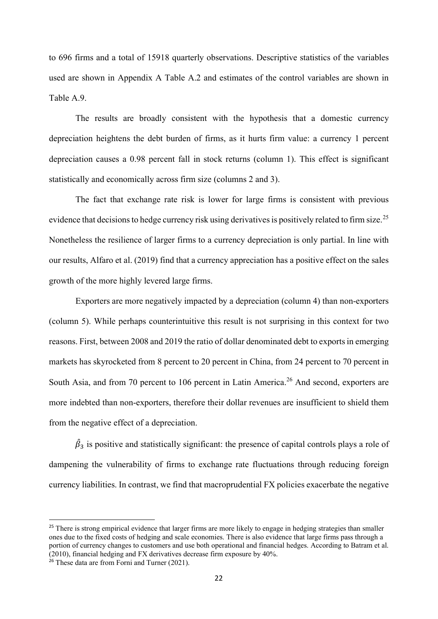to 696 firms and a total of 15918 quarterly observations. Descriptive statistics of the variables used are shown in Appendix A Table A.2 and estimates of the control variables are shown in Table A.9.

The results are broadly consistent with the hypothesis that a domestic currency depreciation heightens the debt burden of firms, as it hurts firm value: a currency 1 percent depreciation causes a 0.98 percent fall in stock returns (column 1). This effect is significant statistically and economically across firm size (columns 2 and 3).

The fact that exchange rate risk is lower for large firms is consistent with previous evidence that decisions to hedge currency risk using derivatives is positively related to firm size.<sup>[25](#page-21-0)</sup> Nonetheless the resilience of larger firms to a currency depreciation is only partial. In line with our results, Alfaro et al. (2019) find that a currency appreciation has a positive effect on the sales growth of the more highly levered large firms.

Exporters are more negatively impacted by a depreciation (column 4) than non-exporters (column 5). While perhaps counterintuitive this result is not surprising in this context for two reasons. First, between 2008 and 2019 the ratio of dollar denominated debt to exports in emerging markets has skyrocketed from 8 percent to 20 percent in China, from 24 percent to 70 percent in South Asia, and from 70 percent to 106 percent in Latin America.<sup>[26](#page-21-1)</sup> And second, exporters are more indebted than non-exporters, therefore their dollar revenues are insufficient to shield them from the negative effect of a depreciation.

 $\beta_3$  is positive and statistically significant: the presence of capital controls plays a role of dampening the vulnerability of firms to exchange rate fluctuations through reducing foreign currency liabilities. In contrast, we find that macroprudential FX policies exacerbate the negative

<span id="page-21-0"></span><sup>&</sup>lt;sup>25</sup> There is strong empirical evidence that larger firms are more likely to engage in hedging strategies than smaller ones due to the fixed costs of hedging and scale economies. There is also evidence that large firms pass through a portion of currency changes to customers and use both operational and financial hedges. According to Batram et al. (2010), financial hedging and FX derivatives decrease firm exposure by 40%.

<span id="page-21-1"></span><sup>&</sup>lt;sup>26</sup> These data are from Forni and Turner (2021).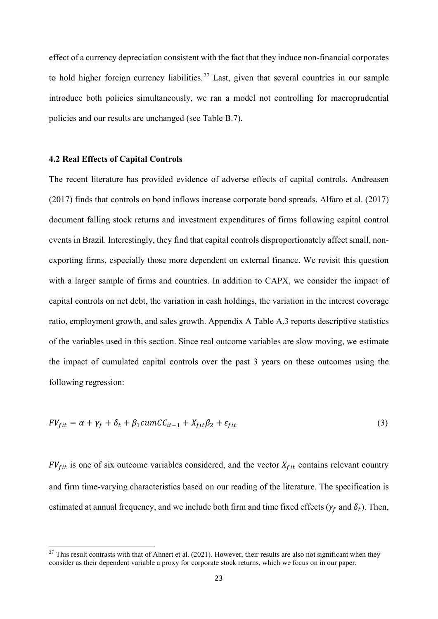effect of a currency depreciation consistent with the fact that they induce non-financial corporates to hold higher foreign currency liabilities.<sup>[27](#page-22-0)</sup> Last, given that several countries in our sample introduce both policies simultaneously, we ran a model not controlling for macroprudential policies and our results are unchanged (see Table B.7).

#### **4.2 Real Effects of Capital Controls**

The recent literature has provided evidence of adverse effects of capital controls. Andreasen (2017) finds that controls on bond inflows increase corporate bond spreads. Alfaro et al. (2017) document falling stock returns and investment expenditures of firms following capital control events in Brazil. Interestingly, they find that capital controls disproportionately affect small, nonexporting firms, especially those more dependent on external finance. We revisit this question with a larger sample of firms and countries. In addition to CAPX, we consider the impact of capital controls on net debt, the variation in cash holdings, the variation in the interest coverage ratio, employment growth, and sales growth. Appendix A Table A.3 reports descriptive statistics of the variables used in this section. Since real outcome variables are slow moving, we estimate the impact of cumulated capital controls over the past 3 years on these outcomes using the following regression:

$$
FV_{fit} = \alpha + \gamma_f + \delta_t + \beta_1 cum C C_{it-1} + X_{fit} \beta_2 + \varepsilon_{fit}
$$
\n(3)

 $FV_{fit}$  is one of six outcome variables considered, and the vector  $X_{fit}$  contains relevant country and firm time-varying characteristics based on our reading of the literature. The specification is estimated at annual frequency, and we include both firm and time fixed effects ( $\gamma_f$  and  $\delta_t$ ). Then,

<span id="page-22-0"></span> $27$  This result contrasts with that of Ahnert et al. (2021). However, their results are also not significant when they consider as their dependent variable a proxy for corporate stock returns, which we focus on in our paper.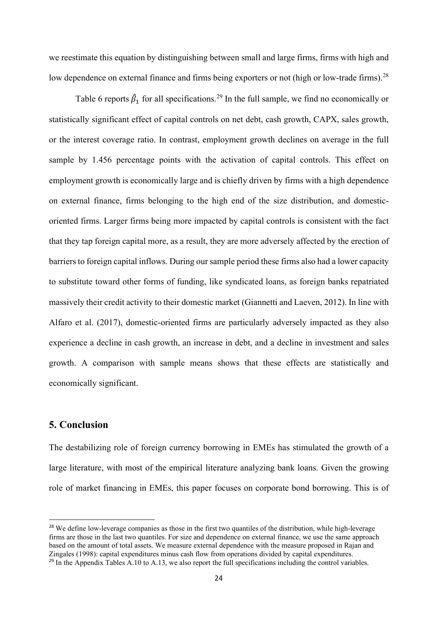we reestimate this equation by distinguishing between small and large firms, firms with high and low dependence on external finance and firms being exporters or not (high or low-trade firms).<sup>[28](#page-23-0)</sup>

Table 6 reports  $\hat{\beta}_1$  for all specifications.<sup>[29](#page-23-1)</sup> In the full sample, we find no economically or statistically significant effect of capital controls on net debt, cash growth, CAPX, sales growth, or the interest coverage ratio. In contrast, employment growth declines on average in the full sample by 1.456 percentage points with the activation of capital controls. This effect on employment growth is economically large and is chiefly driven by firms with a high dependence on external finance, firms belonging to the high end of the size distribution, and domesticoriented firms. Larger firms being more impacted by capital controls is consistent with the fact that they tap foreign capital more, as a result, they are more adversely affected by the erection of barriers to foreign capital inflows. During our sample period these firms also had a lower capacity to substitute toward other forms of funding, like syndicated loans, as foreign banks repatriated massively their credit activity to their domestic market (Giannetti and Laeven, 2012). In line with Alfaro et al. (2017), domestic-oriented firms are particularly adversely impacted as they also experience a decline in cash growth, an increase in debt, and a decline in investment and sales growth. A comparison with sample means shows that these effects are statistically and economically significant.

### **5. Conclusion**

The destabilizing role of foreign currency borrowing in EMEs has stimulated the growth of a large literature, with most of the empirical literature analyzing bank loans. Given the growing role of market financing in EMEs, this paper focuses on corporate bond borrowing. This is of

<span id="page-23-1"></span><span id="page-23-0"></span><sup>&</sup>lt;sup>28</sup> We define low-leverage companies as those in the first two quantiles of the distribution, while high-leverage firms are those in the last two quantiles. For size and dependence on external finance, we use the same approach based on the amount of total assets. We measure external dependence with the measure proposed in Rajan and Zingales (1998): capital expenditures minus cash flow from operations divided by capital expenditures.  $^{29}$  In the Appendix Tables A.10 to A.13, we also report the full specifications including the control variables.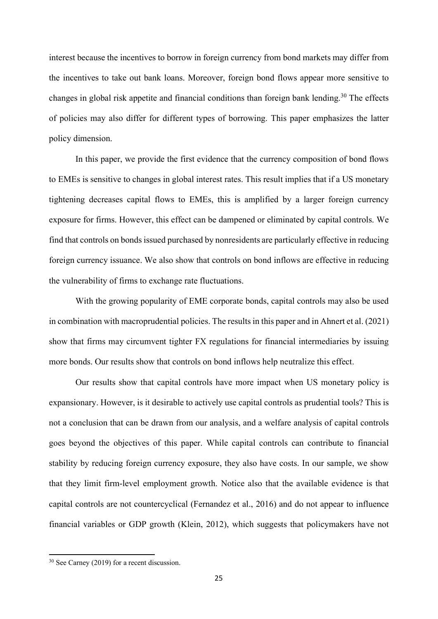interest because the incentives to borrow in foreign currency from bond markets may differ from the incentives to take out bank loans. Moreover, foreign bond flows appear more sensitive to changes in global risk appetite and financial conditions than foreign bank lending.<sup>[30](#page-24-0)</sup> The effects of policies may also differ for different types of borrowing. This paper emphasizes the latter policy dimension.

In this paper, we provide the first evidence that the currency composition of bond flows to EMEs is sensitive to changes in global interest rates. This result implies that if a US monetary tightening decreases capital flows to EMEs, this is amplified by a larger foreign currency exposure for firms. However, this effect can be dampened or eliminated by capital controls. We find that controls on bonds issued purchased by nonresidents are particularly effective in reducing foreign currency issuance. We also show that controls on bond inflows are effective in reducing the vulnerability of firms to exchange rate fluctuations.

With the growing popularity of EME corporate bonds, capital controls may also be used in combination with macroprudential policies. The results in this paper and in Ahnert et al. (2021) show that firms may circumvent tighter FX regulations for financial intermediaries by issuing more bonds. Our results show that controls on bond inflows help neutralize this effect.

Our results show that capital controls have more impact when US monetary policy is expansionary. However, is it desirable to actively use capital controls as prudential tools? This is not a conclusion that can be drawn from our analysis, and a welfare analysis of capital controls goes beyond the objectives of this paper. While capital controls can contribute to financial stability by reducing foreign currency exposure, they also have costs. In our sample, we show that they limit firm-level employment growth. Notice also that the available evidence is that capital controls are not countercyclical (Fernandez et al., 2016) and do not appear to influence financial variables or GDP growth (Klein, 2012), which suggests that policymakers have not

<span id="page-24-0"></span><sup>30</sup> See Carney (2019) for a recent discussion.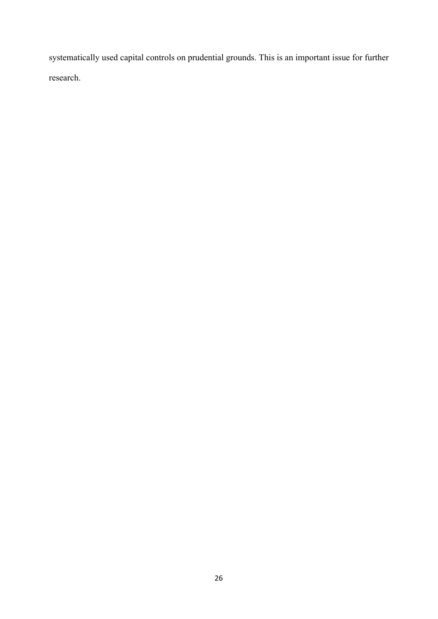systematically used capital controls on prudential grounds. This is an important issue for further research.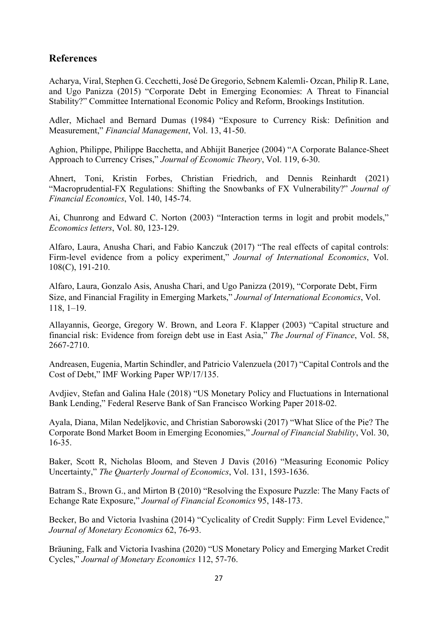# **References**

Acharya, Viral, Stephen G. Cecchetti, José De Gregorio, Sebnem Kalemli- Ozcan, Philip R. Lane, and Ugo Panizza (2015) "Corporate Debt in Emerging Economies: A Threat to Financial Stability?" Committee International Economic Policy and Reform, Brookings Institution.

Adler, Michael and Bernard Dumas (1984) "Exposure to Currency Risk: Definition and Measurement," *Financial Management*, Vol. 13, 41-50.

Aghion, Philippe, Philippe Bacchetta, and Abhijit Banerjee (2004) "A Corporate Balance-Sheet Approach to Currency Crises," *Journal of Economic Theory*, Vol. 119, 6-30.

Ahnert, Toni, Kristin Forbes, Christian Friedrich, and Dennis Reinhardt (2021) "Macroprudential-FX Regulations: Shifting the Snowbanks of FX Vulnerability?" *Journal of Financial Economics*, Vol. 140, 145-74.

Ai, Chunrong and Edward C. Norton (2003) "Interaction terms in logit and probit models," *Economics letters*, Vol. 80, 123-129.

Alfaro, Laura, Anusha Chari, and Fabio Kanczuk (2017) "The real effects of capital controls: Firm-level evidence from a policy experiment," *Journal of International Economics*, Vol. 108(C), 191-210.

Alfaro, Laura, Gonzalo Asis, Anusha Chari, and Ugo Panizza (2019), "Corporate Debt, Firm Size, and Financial Fragility in Emerging Markets," *Journal of International Economics*, Vol. 118, 1–19.

Allayannis, George, Gregory W. Brown, and Leora F. Klapper (2003) "Capital structure and financial risk: Evidence from foreign debt use in East Asia," *The Journal of Finance*, Vol. 58, 2667-2710.

Andreasen, Eugenia, Martin Schindler, and Patricio Valenzuela (2017) "Capital Controls and the Cost of Debt," IMF Working Paper WP/17/135.

Avdjiev, Stefan and Galina Hale (2018) "US Monetary Policy and Fluctuations in International Bank Lending," Federal Reserve Bank of San Francisco Working Paper 2018-02.

Ayala, Diana, Milan Nedeljkovic, and Christian Saborowski (2017) "What Slice of the Pie? The Corporate Bond Market Boom in Emerging Economies," *Journal of Financial Stability*, Vol. 30, 16-35.

Baker, Scott R, Nicholas Bloom, and Steven J Davis (2016) "Measuring Economic Policy Uncertainty," *The Quarterly Journal of Economics*, Vol. 131, 1593-1636.

Batram S., Brown G., and Mirton B (2010) "Resolving the Exposure Puzzle: The Many Facts of Echange Rate Exposure," *Journal of Financial Economics* 95, 148-173.

Becker, Bo and Victoria Ivashina (2014) "Cyclicality of Credit Supply: Firm Level Evidence," *Journal of Monetary Economics* 62, 76-93.

Bräuning, Falk and Victoria Ivashina (2020) "US Monetary Policy and Emerging Market Credit Cycles," *Journal of Monetary Economics* 112, 57-76.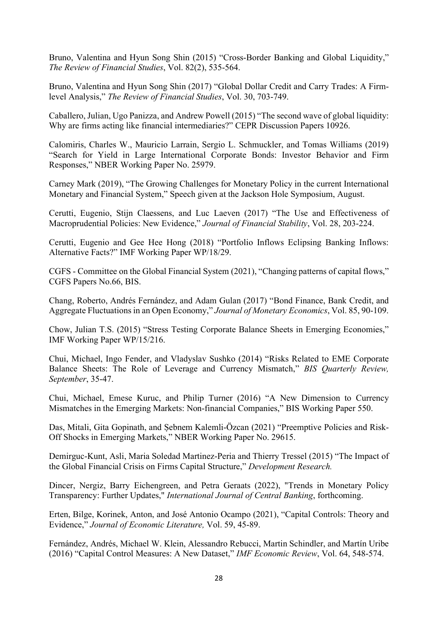Bruno, Valentina and Hyun Song Shin (2015) "Cross-Border Banking and Global Liquidity," *The Review of Financial Studies*, Vol. 82(2), 535-564.

Bruno, Valentina and Hyun Song Shin (2017) "Global Dollar Credit and Carry Trades: A Firmlevel Analysis," *The Review of Financial Studies*, Vol. 30, 703-749.

Caballero, Julian, Ugo Panizza, and Andrew Powell (2015) "The second wave of global liquidity: Why are firms acting like financial intermediaries?" CEPR Discussion Papers 10926.

Calomiris, Charles W., Mauricio Larrain, Sergio L. Schmuckler, and Tomas Williams (2019) "Search for Yield in Large International Corporate Bonds: Investor Behavior and Firm Responses," NBER Working Paper No. 25979.

Carney Mark (2019), "The Growing Challenges for Monetary Policy in the current International Monetary and Financial System," Speech given at the Jackson Hole Symposium, August.

Cerutti, Eugenio, Stijn Claessens, and Luc Laeven (2017) "The Use and Effectiveness of Macroprudential Policies: New Evidence," *Journal of Financial Stability*, Vol. 28, 203-224.

Cerutti, Eugenio and Gee Hee Hong (2018) "Portfolio Inflows Eclipsing Banking Inflows: Alternative Facts?" IMF Working Paper WP/18/29.

CGFS - Committee on the Global Financial System (2021), "Changing patterns of capital flows," CGFS Papers No.66, BIS.

Chang, Roberto, Andrés Fernández, and Adam Gulan (2017) "Bond Finance, Bank Credit, and Aggregate Fluctuations in an Open Economy," *Journal of Monetary Economics*, Vol. 85, 90-109.

Chow, Julian T.S. (2015) "Stress Testing Corporate Balance Sheets in Emerging Economies," IMF Working Paper WP/15/216.

Chui, Michael, Ingo Fender, and Vladyslav Sushko (2014) "Risks Related to EME Corporate Balance Sheets: The Role of Leverage and Currency Mismatch," *BIS Quarterly Review, September*, 35-47.

Chui, Michael, Emese Kuruc, and Philip Turner (2016) "A New Dimension to Currency Mismatches in the Emerging Markets: Non-financial Companies," BIS Working Paper 550.

Das, Mitali, Gita Gopinath, and Ṣebnem Kalemli-Özcan (2021) "Preemptive Policies and Risk-Off Shocks in Emerging Markets," NBER Working Paper No. 29615.

Demirguc-Kunt, Asli, Maria Soledad Martinez-Peria and Thierry Tressel (2015) "The Impact of the Global Financial Crisis on Firms Capital Structure," *Development Research.*

Dincer, Nergiz, Barry Eichengreen, and Petra Geraats (2022), "Trends in Monetary Policy Transparency: Further Updates," *International Journal of Central Banking*, forthcoming.

Erten, Bilge, Korinek, Anton, and José Antonio Ocampo (2021), "Capital Controls: Theory and Evidence," *Journal of Economic Literature,* Vol. 59, 45-89.

Fernández, Andrés, Michael W. Klein, Alessandro Rebucci, Martin Schindler, and Martín Uribe (2016) "Capital Control Measures: A New Dataset," *IMF Economic Review*, Vol. 64, 548-574.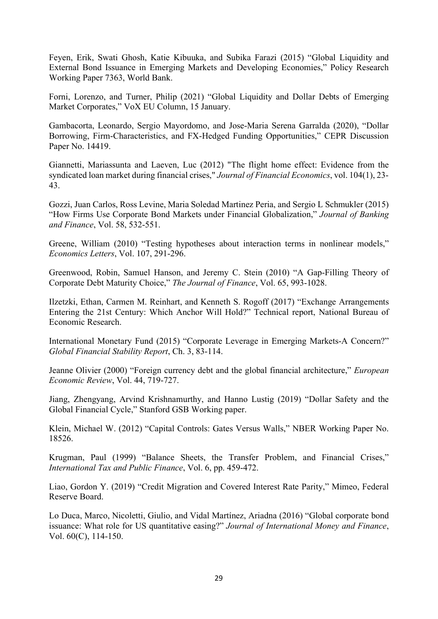Feyen, Erik, Swati Ghosh, Katie Kibuuka, and Subika Farazi (2015) "Global Liquidity and External Bond Issuance in Emerging Markets and Developing Economies," Policy Research Working Paper 7363, World Bank.

Forni, Lorenzo, and Turner, Philip (2021) "Global Liquidity and Dollar Debts of Emerging Market Corporates," VoX EU Column, 15 January.

Gambacorta, Leonardo, Sergio Mayordomo, and Jose-Maria Serena Garralda (2020), "Dollar Borrowing, Firm-Characteristics, and FX-Hedged Funding Opportunities," CEPR Discussion Paper No. 14419.

Giannetti, Mariassunta and Laeven, Luc (2012) "The flight home effect: Evidence from the syndicated loan market during financial crises," *Journal of Financial Economics*, vol. 104(1), 23- 43.

Gozzi, Juan Carlos, Ross Levine, Maria Soledad Martinez Peria, and Sergio L Schmukler (2015) "How Firms Use Corporate Bond Markets under Financial Globalization," *Journal of Banking and Finance*, Vol. 58, 532-551.

Greene, William (2010) "Testing hypotheses about interaction terms in nonlinear models," *Economics Letters*, Vol. 107, 291-296.

Greenwood, Robin, Samuel Hanson, and Jeremy C. Stein (2010) "A Gap-Filling Theory of Corporate Debt Maturity Choice," *The Journal of Finance*, Vol. 65, 993-1028.

Ilzetzki, Ethan, Carmen M. Reinhart, and Kenneth S. Rogoff (2017) "Exchange Arrangements Entering the 21st Century: Which Anchor Will Hold?" Technical report, National Bureau of Economic Research.

International Monetary Fund (2015) "Corporate Leverage in Emerging Markets-A Concern?" *Global Financial Stability Report*, Ch. 3, 83-114.

Jeanne Olivier (2000) "Foreign currency debt and the global financial architecture," *European Economic Review*, Vol. 44, 719-727.

Jiang, Zhengyang, Arvind Krishnamurthy, and Hanno Lustig (2019) "Dollar Safety and the Global Financial Cycle," Stanford GSB Working paper.

Klein, Michael W. (2012) "Capital Controls: Gates Versus Walls," NBER Working Paper No. 18526.

Krugman, Paul (1999) "Balance Sheets, the Transfer Problem, and Financial Crises," *International Tax and Public Finance*, Vol. 6, pp. 459-472.

Liao, Gordon Y. (2019) "Credit Migration and Covered Interest Rate Parity," Mimeo, Federal Reserve Board.

Lo Duca, Marco, Nicoletti, Giulio, and Vidal Martínez, Ariadna (2016) "Global corporate bond issuance: What role for US quantitative easing?" *Journal of International Money and Finance*, Vol. 60(C), 114-150.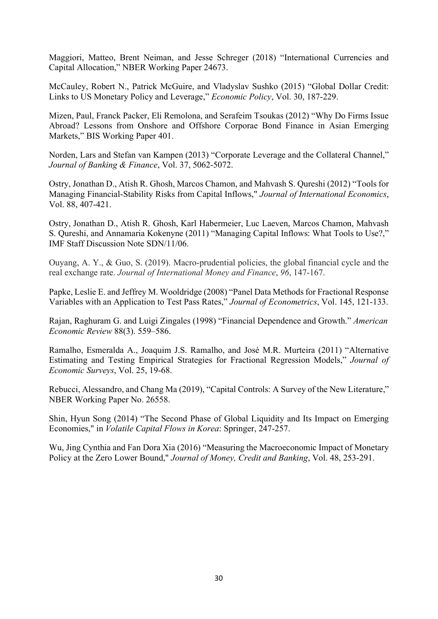Maggiori, Matteo, Brent Neiman, and Jesse Schreger (2018) "International Currencies and Capital Allocation," NBER Working Paper 24673.

McCauley, Robert N., Patrick McGuire, and Vladyslav Sushko (2015) "Global Dollar Credit: Links to US Monetary Policy and Leverage," *Economic Policy*, Vol. 30, 187-229.

Mizen, Paul, Franck Packer, Eli Remolona, and Serafeim Tsoukas (2012) "Why Do Firms Issue Abroad? Lessons from Onshore and Offshore Corporae Bond Finance in Asian Emerging Markets," BIS Working Paper 401.

Norden, Lars and Stefan van Kampen (2013) "Corporate Leverage and the Collateral Channel," *Journal of Banking & Finance*, Vol. 37, 5062-5072.

Ostry, Jonathan D., Atish R. Ghosh, Marcos Chamon, and Mahvash S. Qureshi (2012) "Tools for Managing Financial-Stability Risks from Capital Inflows," *Journal of International Economics*, Vol. 88, 407-421.

Ostry, Jonathan D., Atish R. Ghosh, Karl Habermeier, Luc Laeven, Marcos Chamon, Mahvash S. Qureshi, and Annamaria Kokenyne (2011) "Managing Capital Inflows: What Tools to Use?," IMF Staff Discussion Note SDN/11/06.

Ouyang, A. Y., & Guo, S. (2019). Macro-prudential policies, the global financial cycle and the real exchange rate. *Journal of International Money and Finance*, *96*, 147-167.

Papke, Leslie E. and Jeffrey M. Wooldridge (2008) "Panel Data Methods for Fractional Response Variables with an Application to Test Pass Rates," *Journal of Econometrics*, Vol. 145, 121-133.

Rajan, Raghuram G. and Luigi Zingales (1998) "Financial Dependence and Growth." *American Economic Review* 88(3). 559–586.

Ramalho, Esmeralda A., Joaquim J.S. Ramalho, and José M.R. Murteira (2011) "Alternative Estimating and Testing Empirical Strategies for Fractional Regression Models," *Journal of Economic Surveys*, Vol. 25, 19-68.

Rebucci, Alessandro, and Chang Ma (2019), "Capital Controls: A Survey of the New Literature," NBER Working Paper No. 26558.

Shin, Hyun Song (2014) "The Second Phase of Global Liquidity and Its Impact on Emerging Economies," in *Volatile Capital Flows in Korea*: Springer, 247-257.

Wu, Jing Cynthia and Fan Dora Xia (2016) "Measuring the Macroeconomic Impact of Monetary Policy at the Zero Lower Bound," *Journal of Money, Credit and Banking*, Vol. 48, 253-291.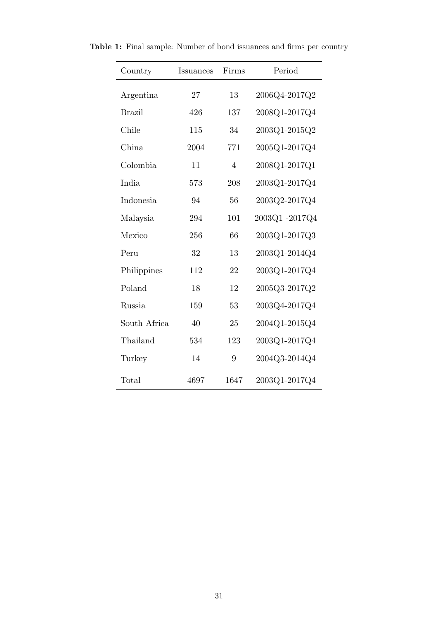| Country       | Issuances | Firms          | Period        |
|---------------|-----------|----------------|---------------|
| Argentina     | 27        | 13             | 2006Q4-2017Q2 |
| <b>Brazil</b> | 426       | 137            | 2008Q1-2017Q4 |
| Chile         | 115       | 34             | 2003Q1-2015Q2 |
| China         | 2004      | 771            | 2005Q1-2017Q4 |
| Colombia      | 11        | $\overline{4}$ | 2008Q1-2017Q1 |
| India         | 573       | 208            | 2003Q1-2017Q4 |
| Indonesia     | 94        | 56             | 2003Q2-2017Q4 |
| Malaysia      | 294       | 101            | 2003Q1-2017Q4 |
| Mexico        | 256       | 66             | 2003Q1-2017Q3 |
| Peru          | 32        | 13             | 2003Q1-2014Q4 |
| Philippines   | 112       | 22             | 2003Q1-2017Q4 |
| Poland        | 18        | 12             | 2005Q3-2017Q2 |
| Russia        | 159       | 53             | 2003Q4-2017Q4 |
| South Africa  | 40        | 25             | 2004Q1-2015Q4 |
| Thailand      | 534       | 123            | 2003Q1-2017Q4 |
| Turkey        | 14        | 9              | 2004Q3-2014Q4 |
| Total         | 4697      | 1647           | 2003Q1-2017Q4 |

Table 1: Final sample: Number of bond issuances and firms per country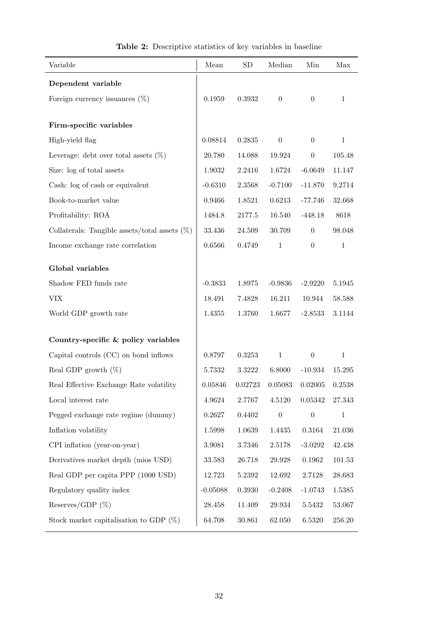| Variable                                         | Mean       | <b>SD</b> | Median           | Min              | Max          |
|--------------------------------------------------|------------|-----------|------------------|------------------|--------------|
| Dependent variable                               |            |           |                  |                  |              |
| Foreign currency issuances $(\%)$                | 0.1959     | 0.3932    | $\boldsymbol{0}$ | $\theta$         | $\mathbf{1}$ |
|                                                  |            |           |                  |                  |              |
| Firm-specific variables                          |            |           |                  |                  |              |
| High-yield flag                                  | 0.08814    | 0.2835    | $\boldsymbol{0}$ | $\overline{0}$   | $\mathbf{1}$ |
| Leverage: debt over total assets $(\%)$          | 20.780     | 14.088    | 19.924           | $\theta$         | 105.48       |
| Size: log of total assets                        | 1.9032     | 2.2416    | 1.6724           | $-6.0649$        | 11.147       |
| Cash: log of cash or equivalent                  | $-0.6310$  | 2.3568    | $-0.7100$        | $-11.870$        | 9.2714       |
| Book-to-market value                             | 0.9466     | 1.8521    | 0.6213           | $-77.746$        | 32.668       |
| Profitability: ROA                               | 1484.8     | 2177.5    | 16.540           | $-448.18$        | 8618         |
| Collaterals: Tangible assets/total assets $(\%)$ | 33.436     | 24.509    | 30.709           | $\theta$         | 98.048       |
| Income exchange rate correlation                 | 0.6566     | 0.4749    | $\mathbf{1}$     | $\boldsymbol{0}$ | $\mathbf{1}$ |
| Global variables                                 |            |           |                  |                  |              |
|                                                  |            |           |                  |                  |              |
| Shadow FED funds rate                            | $-0.3833$  | 1.8975    | $-0.9836$        | $-2.9220$        | 5.1945       |
| ${\rm VIX}$                                      | 18.491     | 7.4828    | 16.211           | 10.944           | 58.588       |
| World GDP growth rate                            | 1.4355     | 1.3760    | 1.6677           | $-2.8533$        | 3.1144       |
| Country-specific & policy variables              |            |           |                  |                  |              |
| Capital controls (CC) on bond inflows            | 0.8797     | 0.3253    | $1\,$            | $\theta$         | $\mathbf{1}$ |
| Real GDP growth $(\%)$                           | 5.7332     | 3.3222    | 6.8000           | $-10.934$        | 15.295       |
| Real Effective Exchange Rate volatility          | 0.05846    | 0.02723   | 0.05083          | 0.02005          | 0.2538       |
| Local interest rate                              | 4.9624     | 2.7767    | 4.5120           | 0.05342          | $27.343\,$   |
| Pegged exchange rate regime (dummy)              | 0.2627     | 0.4402    | $\boldsymbol{0}$ | $\theta$         | $\mathbf{1}$ |
| Inflation volatility                             | 1.5998     | 1.0639    | 1.4435           | 0.3164           | $21.036\,$   |
| CPI inflation (year-on-year)                     | 3.9081     | 3.7346    | 2.5178           | $-3.0292$        | 42.438       |
| Derivatives market depth (mios USD)              | 33.583     | 26.718    | 29.928           | 0.1962           | 101.53       |
| Real GDP per capita PPP (1000 USD)               | 12.723     | 5.2392    | 12.692           | 2.7128           | 28.683       |
| Regulatory quality index                         | $-0.05088$ | 0.3930    | $-0.2408$        | $-1.0743$        | 1.5385       |
| Reserves/GDP $(\%)$                              | 28.458     | 11.409    | 29.934           | 5.5432           | 53.067       |
| Stock market capitalisation to GDP $(\%)$        | 64.708     | 30.861    | 62.050           | 6.5320           | $256.20\,$   |

| Table 2: Descriptive statistics of key variables in baseline |  |  |  |
|--------------------------------------------------------------|--|--|--|
|                                                              |  |  |  |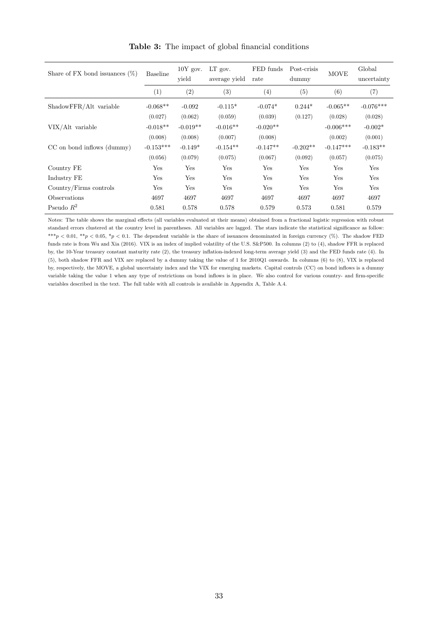| Share of FX bond issuances $(\%)$ | <b>Baseline</b> | $10Y$ gov.<br>yield | LT gov.<br>average yield | FED funds<br>rate | Post-crisis<br>dummy | <b>MOVE</b> | Global<br>uncertainty |
|-----------------------------------|-----------------|---------------------|--------------------------|-------------------|----------------------|-------------|-----------------------|
|                                   | (1)             | (2)                 | (3)                      | (4)               | (5)                  | (6)         | (7)                   |
| ShadowFFR/Alt variable            | $-0.068**$      | $-0.092$            | $-0.115*$                | $-0.074*$         | $0.244*$             | $-0.065**$  | $-0.076***$           |
|                                   | (0.027)         | (0.062)             | (0.059)                  | (0.039)           | (0.127)              | (0.028)     | (0.028)               |
| VIX/Alt variable                  | $-0.018**$      | $-0.019**$          | $-0.016**$               | $-0.020**$        |                      | $-0.006***$ | $-0.002*$             |
|                                   | (0.008)         | (0.008)             | (0.007)                  | (0.008)           |                      | (0.002)     | (0.001)               |
| CC on bond inflows (dummy)        | $-0.153***$     | $-0.149*$           | $-0.154**$               | $-0.147**$        | $-0.202**$           | $-0.147***$ | $-0.183**$            |
|                                   | (0.056)         | (0.079)             | (0.075)                  | (0.067)           | (0.092)              | (0.057)     | (0.075)               |
| Country FE                        | Yes             | Yes                 | Yes                      | Yes               | Yes                  | Yes         | Yes                   |
| Industry FE                       | Yes             | Yes                 | Yes                      | Yes               | Yes                  | Yes         | Yes                   |
| Country/Firms controls            | Yes             | Yes                 | Yes                      | Yes               | Yes                  | Yes         | Yes                   |
| Observations                      | 4697            | 4697                | 4697                     | 4697              | 4697                 | 4697        | 4697                  |
| Pseudo $R^2$                      | 0.581           | 0.578               | 0.578                    | 0.579             | 0.573                | 0.581       | 0.579                 |

Table 3: The impact of global financial conditions

Notes: The table shows the marginal effects (all variables evaluated at their means) obtained from a fractional logistic regression with robust standard errors clustered at the country level in parentheses. All variables are lagged. The stars indicate the statistical significance as follow: \*\*\*p < 0.01, \*\*p < 0.05, \*p < 0.1. The dependent variable is the share of issuances denominated in foreign currency (%). The shadow FED funds rate is from Wu and Xia (2016). VIX is an index of implied volatility of the U.S. S&P500. In columns (2) to (4), shadow FFR is replaced by, the 10-Year treasury constant maturity rate (2), the treasury inflation-indexed long-term average yield (3) and the FED funds rate (4). In (5), both shadow FFR and VIX are replaced by a dummy taking the value of 1 for 2010Q1 onwards. In columns (6) to (8), VIX is replaced by, respectively, the MOVE, a global uncertainty index and the VIX for emerging markets. Capital controls (CC) on bond inflows is a dummy variable taking the value 1 when any type of restrictions on bond inflows is in place. We also control for various country- and firm-specific variables described in the text. The full table with all controls is available in Appendix A, Table A.4.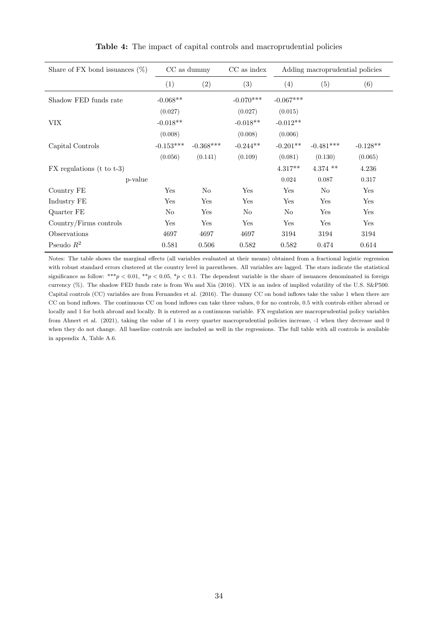| Share of FX bond issuances $(\%)$ |             | CC as dummy | CC as index  |             | Adding macroprudential policies |            |  |
|-----------------------------------|-------------|-------------|--------------|-------------|---------------------------------|------------|--|
|                                   | (1)         | (2)         | (3)          | (4)         | (5)                             | (6)        |  |
| Shadow FED funds rate             | $-0.068**$  |             | $-0.070***$  | $-0.067***$ |                                 |            |  |
|                                   | (0.027)     |             | (0.027)      | (0.015)     |                                 |            |  |
| <b>VIX</b>                        | $-0.018**$  |             | $-0.018**$   | $-0.012**$  |                                 |            |  |
|                                   | (0.008)     |             | (0.008)      | (0.006)     |                                 |            |  |
| Capital Controls                  | $-0.153***$ | $-0.368***$ | $-0.244**$   | $-0.201**$  | $-0.481***$                     | $-0.128**$ |  |
|                                   | (0.056)     | (0.141)     | (0.109)      | (0.081)     | (0.130)                         | (0.065)    |  |
| $FX$ regulations (t to t-3)       |             |             |              | $4.317**$   | $4.374$ **                      | 4.236      |  |
| p-value                           |             |             |              | 0.024       | 0.087                           | 0.317      |  |
| Country FE                        | Yes         | No          | Yes          | Yes         | No                              | Yes        |  |
| Industry FE                       | Yes         | Yes         | $_{\rm Yes}$ | Yes         | Yes                             | Yes        |  |
| Quarter FE                        | No          | Yes         | No           | No          | Yes                             | Yes        |  |
| Country/Firms controls            | Yes         | Yes         | Yes          | Yes         | Yes                             | Yes        |  |
| Observations                      | 4697        | 4697        | 4697         | 3194        | 3194                            | 3194       |  |
| Pseudo $R^2$                      | 0.581       | 0.506       | 0.582        | 0.582       | 0.474                           | 0.614      |  |

Table 4: The impact of capital controls and macroprudential policies

Notes: The table shows the marginal effects (all variables evaluated at their means) obtained from a fractional logistic regression with robust standard errors clustered at the country level in parentheses. All variables are lagged. The stars indicate the statistical significance as follow: \*\*\*p < 0.01, \*\*p < 0.05, \*p < 0.1. The dependent variable is the share of issuances denominated in foreign currency (%). The shadow FED funds rate is from Wu and Xia (2016). VIX is an index of implied volatility of the U.S. S&P500. Capital controls (CC) variables are from Fernandez et al. (2016). The dummy CC on bond inflows take the value 1 when there are CC on bond inflows. The continuous CC on bond inflows can take three values, 0 for no controls, 0.5 with controls either abroad or locally and 1 for both abroad and locally. It is entered as a continuous variable. FX regulation are macroprudential policy variables from Ahnert et al. (2021), taking the value of 1 in every quarter macroprudential policies increase, -1 when they decrease and 0 when they do not change. All baseline controls are included as well in the regressions. The full table with all controls is available in appendix A, Table A.6.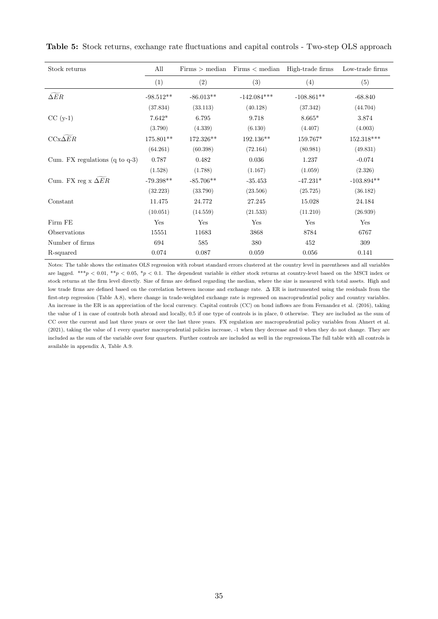| Stock returns                             | All         |             | $Firms > median$ $Firms < median$ $High-trade$ firms |              | Low-trade firms |
|-------------------------------------------|-------------|-------------|------------------------------------------------------|--------------|-----------------|
|                                           | (1)         | (2)         | (3)                                                  | (4)          | (5)             |
| $\widetilde{\Delta ER}$                   | $-98.512**$ | $-86.013**$ | $-142.084***$                                        | $-108.861**$ | $-68.840$       |
|                                           | (37.834)    | (33.113)    | (40.128)                                             | (37.342)     | (44.704)        |
| $CC(y-1)$                                 | $7.642*$    | 6.795       | 9.718                                                | $8.665*$     | 3.874           |
|                                           | (3.790)     | (4.339)     | (6.130)                                              | (4.407)      | (4.003)         |
| $CCx\Delta ER$                            | 175.801**   | 172.326**   | $192.136**$                                          | 159.767*     | 152.318***      |
|                                           | (64.261)    | (60.398)    | (72.164)                                             | (80.981)     | (49.831)        |
| Cum. FX regulations $(q \text{ to } q-3)$ | 0.787       | 0.482       | 0.036                                                | 1.237        | $-0.074$        |
|                                           | (1.528)     | (1.788)     | (1.167)                                              | (1.059)      | (2.326)         |
| Cum. FX reg $x \Delta ER$                 | $-79.398**$ | $-85.706**$ | $-35.453$                                            | $-47.231*$   | $-103.894**$    |
|                                           | (32.223)    | (33.790)    | (23.506)                                             | (25.725)     | (36.182)        |
| Constant                                  | 11.475      | 24.772      | 27.245                                               | 15.028       | 24.184          |
|                                           | (10.051)    | (14.559)    | (21.533)                                             | (11.210)     | (26.939)        |
| Firm FE                                   | Yes         | Yes         | Yes                                                  | Yes          | Yes             |
| Observations                              | 15551       | 11683       | 3868                                                 | 8784         | 6767            |
| Number of firms                           | 694         | 585         | 380                                                  | 452          | 309             |
| R-squared                                 | 0.074       | 0.087       | 0.059                                                | 0.056        | 0.141           |

Table 5: Stock returns, exchange rate fluctuations and capital controls - Two-step OLS approach

Notes: The table shows the estimates OLS regression with robust standard errors clustered at the country level in parentheses and all variables are lagged. \*\*\*p < 0.01, \*\*p < 0.05, \*p < 0.1. The dependent variable is either stock returns at country-level based on the MSCI index or stock returns at the firm level directly. Size of firms are defined regarding the median, where the size is measured with total assets. High and low trade firms are defined based on the correlation between income and exchange rate. ∆ ER is instrumented using the residuals from the first-step regression (Table A.8), where change in trade-weighted exchange rate is regressed on macroprudential policy and country variables. An increase in the ER is an appreciation of the local currency. Capital controls (CC) on bond inflows are from Fernandez et al. (2016), taking the value of 1 in case of controls both abroad and locally, 0.5 if one type of controls is in place, 0 otherwise. They are included as the sum of CC over the current and last three years or over the last three years. FX regulation are macroprudential policy variables from Ahnert et al. (2021), taking the value of 1 every quarter macroprudential policies increase, -1 when they decrease and 0 when they do not change. They are included as the sum of the variable over four quarters. Further controls are included as well in the regressions.The full table with all controls is available in appendix A, Table A.9.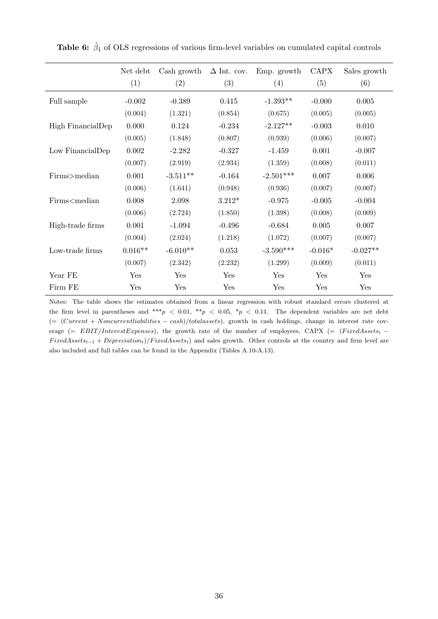|                                                                                                                                                                             | Net debt<br>(1) | Cash growth<br>(2) | $\Delta$ Int. cov.<br>(3) | Emp. growth<br>(4) | <b>CAPX</b><br>(5) | Sales growth<br>(6) |
|-----------------------------------------------------------------------------------------------------------------------------------------------------------------------------|-----------------|--------------------|---------------------------|--------------------|--------------------|---------------------|
| Full sample                                                                                                                                                                 | $-0.002$        | $-0.389$           | 0.415                     | $-1.393**$         | $-0.000$           | 0.005               |
|                                                                                                                                                                             | (0.004)         | (1.321)            | (0.854)                   | (0.675)            | (0.005)            | (0.005)             |
| High FinancialDep                                                                                                                                                           | 0.000           | 0.124              | $-0.234$                  | $-2.127**$         | $-0.003$           | 0.010               |
|                                                                                                                                                                             | (0.005)         | (1.848)            | (0.807)                   | (0.939)            | (0.006)            | (0.007)             |
| Low FinancialDep                                                                                                                                                            | 0.002           | $-2.282$           | $-0.327$                  | $-1.459$           | 0.001              | $-0.007$            |
|                                                                                                                                                                             | (0.007)         | (2.919)            | (2.934)                   | (1.359)            | (0.008)            | (0.011)             |
| Firms>median                                                                                                                                                                | 0.001           | $-3.511**$         | $-0.164$                  | $-2.501***$        | 0.007              | 0.006               |
|                                                                                                                                                                             | (0.006)         | (1.641)            | (0.948)                   | (0.936)            | (0.007)            | (0.007)             |
| Firms <median< td=""><td>0.008</td><td>2.098</td><td><math>3.212*</math></td><td><math>-0.975</math></td><td><math>-0.005</math></td><td><math>-0.004</math></td></median<> | 0.008           | 2.098              | $3.212*$                  | $-0.975$           | $-0.005$           | $-0.004$            |
|                                                                                                                                                                             | (0.006)         | (2.724)            | (1.850)                   | (1.398)            | (0.008)            | (0.009)             |
| High-trade firms                                                                                                                                                            | 0.001           | $-1.094$           | $-0.496$                  | $-0.684$           | 0.005              | 0.007               |
|                                                                                                                                                                             | (0.004)         | (2.024)            | (1.218)                   | (1.072)            | (0.007)            | (0.007)             |
| Low-trade firms                                                                                                                                                             | $0.016**$       | $-6.010**$         | 0.053                     | $-3.590***$        | $-0.016*$          | $-0.027**$          |
|                                                                                                                                                                             | (0.007)         | (2.342)            | (2.232)                   | (1.299)            | (0.009)            | (0.011)             |
| Year FE                                                                                                                                                                     | Yes             | Yes                | Yes                       | Yes                | Yes                | Yes                 |
| Firm FE                                                                                                                                                                     | Yes             | Yes                | Yes                       | Yes                | Yes                | Yes                 |

**Table 6:**  $\hat{\beta}_1$  of OLS regressions of various firm-level variables on cumulated capital controls

Notes: The table shows the estimates obtained from a linear regression with robust standard errors clustered at the firm level in parentheses and \*\*\*  $p < 0.01$ , \*\*  $p < 0.05$ , \*  $p < 0.11$ . The dependent variables are net debt  $(= (Current + Noncurrentliabilities - cash)/total assets)$ , growth in cash holdings, change in interest rate coverage (=  $EBIT/InterestExpenses$ ), the growth rate of the number of employees, CAPX (= (FixedAssetst –  $FixedAssets_{t-1} + Depreciation_t)/FixedAssets_t$ ) and sales growth. Other controls at the country and firm level are also included and full tables can be found in the Appendix (Tables A.10-A.13).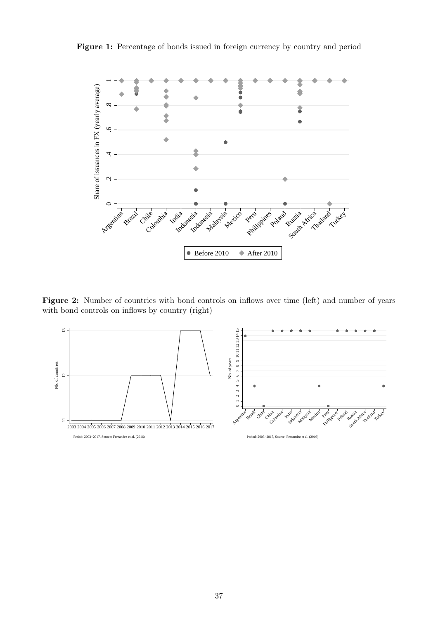



Figure 2: Number of countries with bond controls on inflows over time (left) and number of years with bond controls on inflows by country (right)

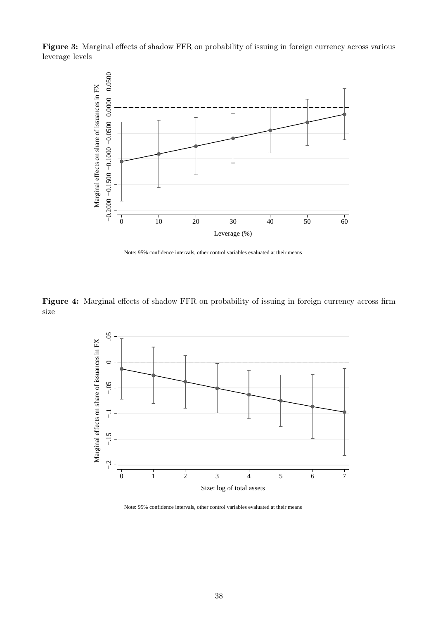Figure 3: Marginal effects of shadow FFR on probability of issuing in foreign currency across various leverage levels



Note: 95% confidence intervals, other control variables evaluated at their means

Figure 4: Marginal effects of shadow FFR on probability of issuing in foreign currency across firm size



Note: 95% confidence intervals, other control variables evaluated at their means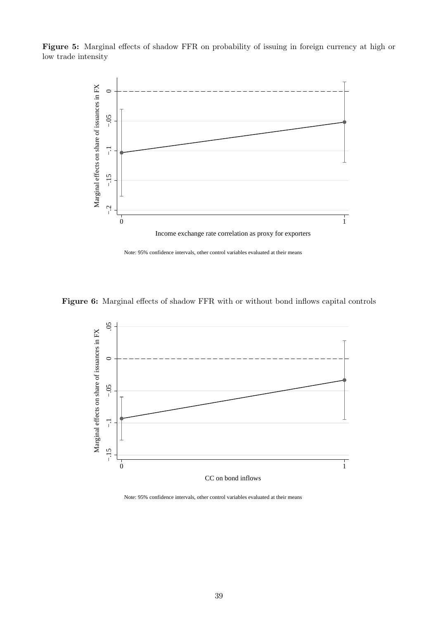Figure 5: Marginal effects of shadow FFR on probability of issuing in foreign currency at high or low trade intensity



Note: 95% confidence intervals, other control variables evaluated at their means







Note: 95% confidence intervals, other control variables evaluated at their means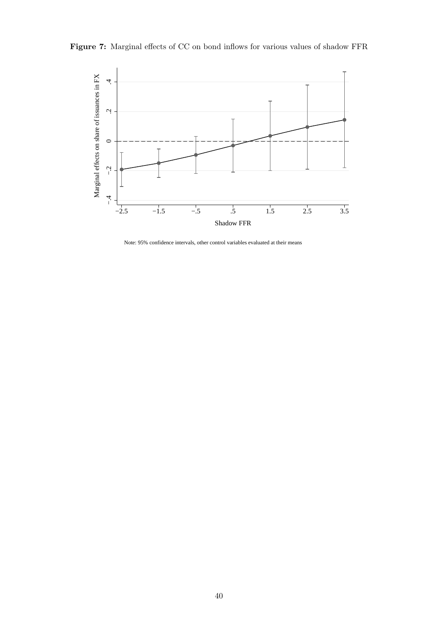Figure 7: Marginal effects of CC on bond inflows for various values of shadow FFR



Note: 95% confidence intervals, other control variables evaluated at their means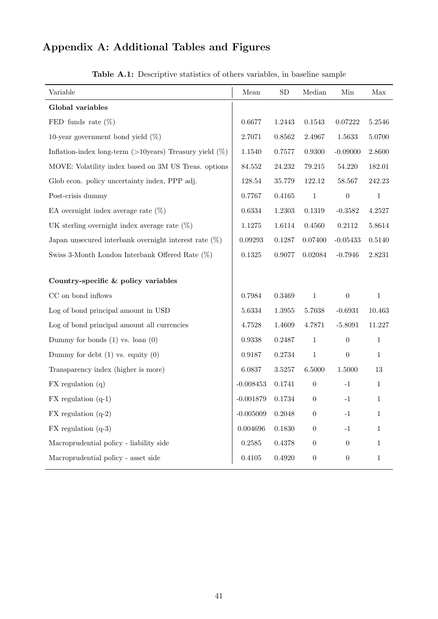# Appendix A: Additional Tables and Figures

| Variable                                                    | Mean        | ${\rm SD}$ | Median           | Min              | Max          |
|-------------------------------------------------------------|-------------|------------|------------------|------------------|--------------|
| Global variables                                            |             |            |                  |                  |              |
| FED funds rate $(\%)$                                       | 0.6677      | 1.2443     | $0.1543\,$       | 0.07222          | 5.2546       |
| 10-year government bond yield $(\%)$                        | 2.7071      | 0.8562     | 2.4967           | 1.5633           | 5.0700       |
| Inflation-index long-term ( $>10$ years) Treasury yield (%) | 1.1540      | 0.7577     | 0.9300           | $-0.09000$       | 2.8600       |
| MOVE: Volatility index based on 3M US Treas. options        | 84.552      | 24.232     | 79.215           | 54.220           | 182.01       |
| Glob econ. policy uncertainty index, PPP adj.               | 128.54      | 35.779     | 122.12           | 58.567           | 242.23       |
| Post-crisis dummy                                           | 0.7767      | 0.4165     | $\,1\,$          | $\boldsymbol{0}$ | $\,1\,$      |
| EA overnight index average rate $(\%)$                      | 0.6334      | 1.2303     | 0.1319           | $-0.3582$        | 4.2527       |
| UK sterling overnight index average rate $(\%)$             | 1.1275      | 1.6114     | 0.4560           | 0.2112           | 5.8614       |
| Japan unsecured interbank overnight interest rate $(\%)$    | 0.09293     | 0.1287     | 0.07400          | $-0.05433$       | 0.5140       |
| Swiss 3-Month London Interbank Offered Rate $(\%)$          | 0.1325      | 0.9077     | 0.02084          | $-0.7946$        | 2.8231       |
| Country-specific & policy variables                         |             |            |                  |                  |              |
| $\rm CC$ on bond inflows                                    | 0.7984      | 0.3469     | $\mathbf{1}$     | $\boldsymbol{0}$ | $\mathbf{1}$ |
| Log of bond principal amount in USD                         | 5.6334      | 1.3955     | $5.7038\,$       | $-0.6931$        | 10.463       |
| Log of bond principal amount all currencies                 | 4.7528      | 1.4609     | 4.7871           | $-5.8091$        | 11.227       |
| Dummy for bonds $(1)$ vs. loan $(0)$                        | 0.9338      | 0.2487     | $\mathbf{1}$     | $\boldsymbol{0}$ | $\mathbf{1}$ |
| Dummy for debt $(1)$ vs. equity $(0)$                       | 0.9187      | 0.2734     | $\,1\,$          | $\boldsymbol{0}$ | $\mathbf{1}$ |
| Transparency index (higher is more)                         | 6.0837      | 3.5257     | 6.5000           | 1.5000           | 13           |
| $FX$ regulation $(q)$                                       | $-0.008453$ | 0.1741     | $\boldsymbol{0}$ | $^{\rm -1}$      | $\mathbf{1}$ |
| $FX$ regulation $(q-1)$                                     | $-0.001879$ | 0.1734     | $\boldsymbol{0}$ | $-1$             | $\mathbf{1}$ |
| $FX$ regulation $(q-2)$                                     | $-0.005009$ | 0.2048     | $\boldsymbol{0}$ | $-1$             | $\mathbf{1}$ |
| $FX$ regulation $(q-3)$                                     | 0.004696    | 0.1830     | $\boldsymbol{0}$ | $^{\rm -1}$      | $\mathbf{1}$ |
| Macroprudential policy - liability side                     | 0.2585      | 0.4378     | $\boldsymbol{0}$ | $\overline{0}$   | $\mathbf 1$  |
| Macroprudential policy - asset side                         | 0.4105      | 0.4920     | $\boldsymbol{0}$ | $\boldsymbol{0}$ | $\mathbf{1}$ |

Table A.1: Descriptive statistics of others variables, in baseline sample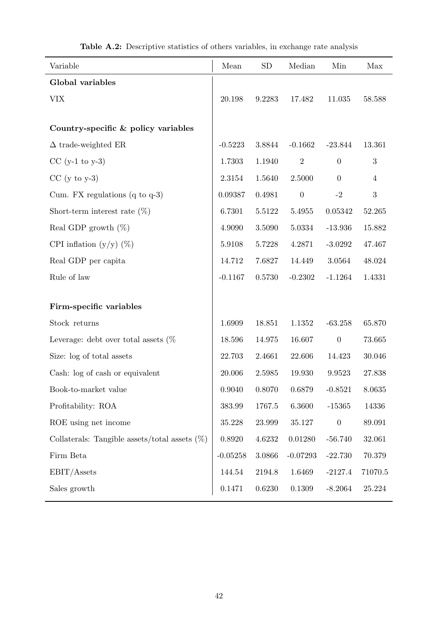| Global variables<br><b>VIX</b><br>20.198                   | 9.2283 | 17.482           |                  |                |
|------------------------------------------------------------|--------|------------------|------------------|----------------|
|                                                            |        |                  |                  |                |
|                                                            |        |                  | 11.035           | 58.588         |
|                                                            |        |                  |                  |                |
| Country-specific & policy variables                        |        |                  |                  |                |
| $\Delta$ trade-weighted ER<br>$-0.5223$                    | 3.8844 | $-0.1662$        | $-23.844$        | 13.361         |
| 1.7303<br>$CC (y-1 to y-3)$                                | 1.1940 | $\overline{2}$   | $\boldsymbol{0}$ | 3              |
| $CC$ (y to y-3)<br>2.3154                                  | 1.5640 | 2.5000           | $\overline{0}$   | $\overline{4}$ |
| Cum. FX regulations $(q \text{ to } q-3)$<br>0.09387       | 0.4981 | $\boldsymbol{0}$ | $-2$             | 3              |
| 6.7301<br>Short-term interest rate $(\%)$                  | 5.5122 | 5.4955           | 0.05342          | 52.265         |
| Real GDP growth $(\%)$<br>4.9090                           | 3.5090 | 5.0334           | $-13.936$        | 15.882         |
| CPI inflation $(y/y)$ (%)<br>5.9108                        | 5.7228 | 4.2871           | $-3.0292$        | 47.467         |
| Real GDP per capita<br>14.712                              | 7.6827 | 14.449           | 3.0564           | 48.024         |
| Rule of law<br>$-0.1167$                                   | 0.5730 | $-0.2302$        | $-1.1264$        | 1.4331         |
|                                                            |        |                  |                  |                |
| Firm-specific variables                                    |        |                  |                  |                |
| Stock returns<br>1.6909                                    | 18.851 | 1.1352           | $-63.258$        | 65.870         |
| Leverage: debt over total assets $(\%$<br>18.596           | 14.975 | 16.607           | $\boldsymbol{0}$ | 73.665         |
| Size: log of total assets<br>22.703                        | 2.4661 | 22.606           | 14.423           | 30.046         |
| Cash: log of cash or equivalent<br>20.006                  | 2.5985 | 19.930           | 9.9523           | 27.838         |
| 0.9040<br>Book-to-market value                             | 0.8070 | 0.6879           | $-0.8521$        | 8.0635         |
| Profitability: ROA<br>383.99                               | 1767.5 | 6.3600           | $-15365$         | 14336          |
| ROE using net income<br>35.228                             | 23.999 | 35.127           | $\boldsymbol{0}$ | 89.091         |
| Collaterals: Tangible assets/total assets $(\%)$<br>0.8920 | 4.6232 | 0.01280          | $-56.740$        | 32.061         |
| Firm Beta<br>$-0.05258$                                    | 3.0866 | $-0.07293$       | $-22.730$        | 70.379         |
| EBIT/Assets<br>144.54                                      | 2194.8 | 1.6469           | $-2127.4$        | 71070.5        |
| Sales growth<br>0.1471                                     | 0.6230 | 0.1309           | $-8.2064$        | 25.224         |

|  | Table A.2: Descriptive statistics of others variables, in exchange rate analysis |  |  |  |  |
|--|----------------------------------------------------------------------------------|--|--|--|--|
|  |                                                                                  |  |  |  |  |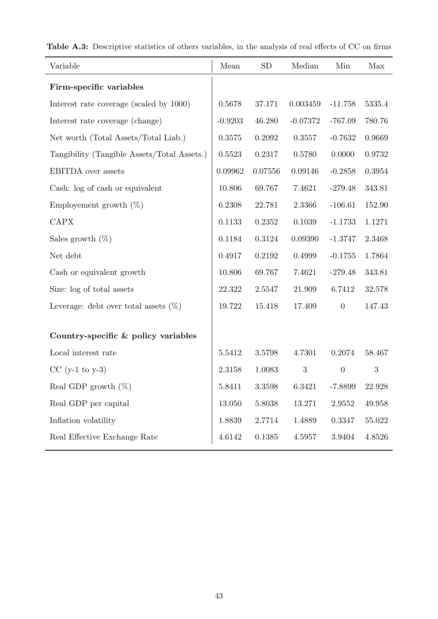| Variable                                    | Mean      | <b>SD</b>  | Median     | Min              | Max        |
|---------------------------------------------|-----------|------------|------------|------------------|------------|
| Firm-specific variables                     |           |            |            |                  |            |
| Interest rate coverage (scaled by 1000)     | 0.5678    | 37.171     | 0.003459   | $-11.758$        | 5335.4     |
| Interest rate coverage (change)             | $-0.9203$ | 46.280     | $-0.07372$ | $-767.09$        | 780.76     |
| Net worth (Total Assets/Total Liab.)        | 0.3575    | 0.2092     | 0.3557     | $-0.7632$        | 0.9669     |
| Tangibility (Tangible Assets/Total Assets.) | 0.5523    | 0.2317     | 0.5780     | 0.0000           | 0.9732     |
| <b>EBITDA</b> over assets                   | 0.09962   | 0.07556    | 0.09146    | $-0.2858$        | $0.3954\,$ |
| Cash: log of cash or equivalent             | 10.806    | 69.767     | 7.4621     | $-279.48$        | 343.81     |
| Employement growth $(\%)$                   | 6.2308    | 22.781     | 2.3366     | $-106.61$        | 152.90     |
| <b>CAPX</b>                                 | 0.1133    | 0.2352     | 0.1039     | $-1.1733$        | 1.1271     |
| Sales growth $(\%)$                         | 0.1184    | 0.3124     | 0.09390    | $-1.3747$        | 2.3468     |
| Net debt                                    | 0.4917    | 0.2192     | 0.4999     | $-0.1755$        | 1.7864     |
| Cash or equivalent growth                   | 10.806    | 69.767     | 7.4621     | $-279.48$        | 343.81     |
| Size: log of total assets                   | 22.322    | 2.5547     | 21.909     | 6.7412           | 32.578     |
| Leverage: debt over total assets $(\%)$     | 19.722    | 15.418     | 17.409     | $\boldsymbol{0}$ | 147.43     |
|                                             |           |            |            |                  |            |
| Country-specific & policy variables         |           |            |            |                  |            |
| Local interest rate                         | 5.5412    | 3.5798     | 4.7301     | 0.2074           | 58.467     |
| $CC (y-1 to y-3)$                           | 2.3158    | 1.0083     | 3          | $\boldsymbol{0}$ | 3          |
| Real GDP growth $(\%)$                      | 5.8411    | $3.3598\,$ | 6.3421     | $-7.8899$        | 22.928     |
| Real GDP per capital                        | 13.050    | 5.8038     | 13.271     | $2.9552\,$       | 49.958     |
| Inflation volatility                        | 1.8839    | 2.7714     | 1.4889     | 0.3347           | 55.022     |
| Real Effective Exchange Rate                | 4.6142    | 0.1385     | 4.5957     | 3.9404           | 4.8526     |

Table A.3: Descriptive statistics of others variables, in the analysis of real effects of CC on firms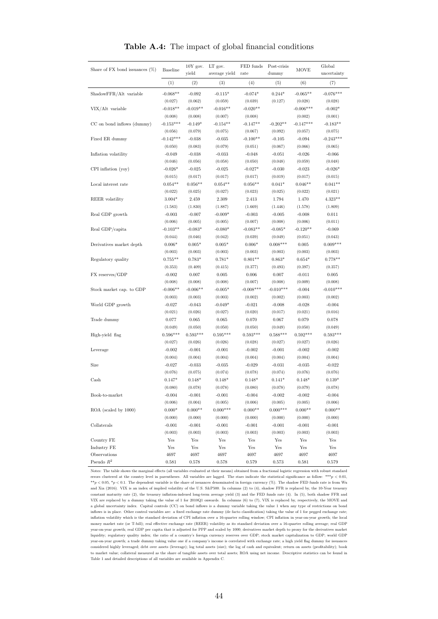| Share of FX bond issuances $(\%)$ | <b>Baseline</b> | $10Y$ gov.           | LT gov.       | FED funds   | Post-crisis | <b>MOVE</b> | Global      |
|-----------------------------------|-----------------|----------------------|---------------|-------------|-------------|-------------|-------------|
|                                   |                 | yield                | average yield | rate        | dummy       |             | uncertainty |
|                                   | (1)             | (2)                  | (3)           | (4)         | (5)         | (6)         | (7)         |
| ShadowFFR/Alt variable            | $-0.068**$      | $-0.092$             | $-0.115*$     | $-0.074*$   | $0.244*$    | $-0.065**$  | $-0.076***$ |
|                                   | (0.027)         | (0.062)              | (0.059)       | (0.039)     | (0.127)     | (0.028)     | (0.028)     |
| VIX/Alt variable                  | $-0.018**$      | $-0.019**$           | $-0.016**$    | $-0.020**$  |             | $-0.006***$ | $-0.002*$   |
|                                   | (0.008)         | (0.008)              | (0.007)       | (0.008)     |             | (0.002)     | (0.001)     |
| CC on bond inflows (dummy)        | $-0.153***$     | $-0.149*$            | $-0.154**$    | $-0.147**$  | $-0.202**$  | $-0.147***$ | $-0.183**$  |
|                                   | (0.056)         | (0.079)              | (0.075)       | (0.067)     | (0.092)     | (0.057)     | (0.075)     |
| Fixed ER dummy                    | $-0.142***$     | $-0.038$             | $-0.035$      | $-0.100**$  | $-0.105$    | $-0.094$    | $-0.243***$ |
|                                   | (0.050)         | (0.083)              | (0.079)       | (0.051)     | (0.067)     | (0.066)     | (0.065)     |
| Inflation volatility              | $-0.049$        | $-0.038$             | $-0.033$      | $-0.048$    | $-0.051$    | $-0.026$    | $-0.066$    |
|                                   | (0.046)         | (0.056)              | (0.058)       | (0.050)     | (0.048)     | (0.059)     | (0.048)     |
| $CPI$ inflation $(yoy)$           | $-0.026*$       | $-0.025$             | $-0.025$      | $-0.027*$   | $-0.030$    | $-0.023$    | $-0.026*$   |
|                                   | (0.015)         | (0.017)              | (0.017)       | (0.017)     | (0.019)     | (0.017)     | (0.015)     |
| Local interest rate               | $0.054**$       | $0.056**$            | $0.054**$     | $0.056**$   | $0.041*$    | $0.046**$   | $0.041**$   |
|                                   | (0.022)         | (0.025)              | (0.027)       | (0.023)     | (0.025)     | (0.022)     | (0.021)     |
| <b>REER</b> volatility            | $3.004*$        | 2.459                | 2.309         | 2.413       | 1.794       | 1.470       | $4.323**$   |
|                                   | (1.583)         | (1.830)              | (1.887)       | (1.669)     | (1.446)     | (1.578)     | (1.809)     |
| Real GDP growth                   | $-0.003$        | $-0.007$             | $-0.009*$     | $-0.003$    | $-0.005$    | $-0.008$    | 0.011       |
|                                   | (0.006)         | (0.005)              | (0.005)       | (0.007)     | (0.008)     | (0.006)     | (0.011)     |
| Real GDP/capita                   | $-0.103**$      | $-0.083*$            | $-0.080*$     | $-0.083**$  | $-0.085*$   | $-0.120**$  | $-0.069$    |
|                                   | (0.044)         | (0.046)              | (0.042)       | (0.039)     | (0.049)     | (0.051)     | (0.043)     |
| Derivatives market depth          | $0.006*$        | $0.005*$             | $0.005*$      | $0.006*$    | $0.008***$  | 0.005       | $0.009***$  |
|                                   | (0.003)         | (0.003)              | (0.003)       | (0.003)     | (0.003)     | (0.003)     | (0.003)     |
| Regulatory quality                | $0.755**$       | $0.783*$             | $0.781*$      | $0.801**$   | $0.863*$    | $0.654*$    | $0.778**$   |
|                                   | (0.353)         | (0.409)              | (0.415)       | (0.377)     | (0.493)     | (0.397)     | (0.357)     |
| FX reserves/GDP                   | $-0.002$        | 0.007                | 0.005         | 0.006       | 0.007       | $-0.011$    | 0.005       |
|                                   | (0.008)         | (0.008)              | (0.008)       | (0.007)     | (0.008)     | (0.009)     | (0.008)     |
| Stock market cap. to GDP          | $-0.006**$      | $-0.006**$           | $-0.005*$     | $-0.008***$ | $-0.010***$ | $-0.004$    | $-0.010***$ |
|                                   | (0.003)         | (0.003)              | (0.003)       | (0.002)     | (0.002)     | (0.003)     | (0.002)     |
| World GDP growth                  | $-0.027$        | $-0.043$             | $-0.049*$     | $-0.021$    | $-0.008$    | $-0.028$    | $-0.004$    |
|                                   | (0.021)         | (0.026)              | (0.027)       | (0.020)     | (0.017)     | (0.021)     | (0.016)     |
| Trade dummy                       | 0.077           | 0.065                | 0.065         | 0.070       | 0.067       | 0.079       | 0.078       |
|                                   | (0.049)         | (0.050)              | (0.050)       | (0.050)     | (0.049)     | (0.050)     | (0.049)     |
| High-yield flag                   | $0.596***$      | $0.593***$           | $0.595***$    | $0.593***$  | $0.588***$  | $0.592***$  | $0.593***$  |
|                                   | (0.027)         | (0.026)              | (0.026)       | (0.028)     | (0.027)     | (0.027)     | (0.026)     |
| Leverage                          | $-0.002$        | $-0.001$             | $-0.001$      | $-0.002$    | $-0.001$    | $-0.002$    | $-0.002$    |
|                                   | (0.004)         | (0.004)              | (0.004)       | (0.004)     | (0.004)     | (0.004)     | (0.004)     |
| Size                              | $-0.027$        | $-0.033$             | $-0.035$      | $-0.029$    | $-0.031$    | $-0.035$    | $-0.022$    |
|                                   | (0.076)         | (0.075)              | (0.074)       | (0.078)     | (0.074)     | (0.076)     | (0.076)     |
| Cash                              | $0.147*$        | $0.148*$             | $0.148*$      | $0.148*$    | $0.141*$    | $0.148*$    | $0.139*$    |
|                                   | (0.080)         | (0.078)              | (0.078)       | (0.080)     | (0.078)     | (0.079)     | (0.078)     |
| Book-to-market                    | $-0.004$        | $-0.001$             | $-0.001$      | $-0.004$    | $-0.002$    | $-0.002$    | $-0.004$    |
|                                   | (0.006)         | (0.004)              | (0.005)       | (0.006)     | (0.005)     | (0.005)     | (0.006)     |
| ROA (scaled by 1000)              | $0.000*$        | $0.000**$            | $0.000***$    | $0.000**$   | $0.000***$  | $0.000**$   | $0.000**$   |
|                                   | (0.000)         | (0.000)              | (0.000)       | (0.000)     | (0.000)     | (0.000)     | (0.000)     |
| Collaterals                       | $-0.001$        | $-0.001$             | $-0.001$      | $-0.001$    | $-0.001$    | $-0.001$    | $-0.001$    |
|                                   | (0.003)         | (0.003)              | (0.003)       | (0.003)     | (0.003)     | (0.003)     | (0.003)     |
| Country FE                        | Yes             | Yes                  | Yes           | Yes         | Yes         | Yes         | Yes         |
| Industry FE                       | Yes             | $\operatorname{Yes}$ | Yes           | Yes         | Yes         | Yes         | Yes         |
| Observations                      | 4697            | 4697                 | 4697          | 4697        | 4697        | 4697        | 4697        |
| Pseudo $R^2$                      | 0.581           | 0.578                | 0.578         | 0.579       | 0.573       | 0.581       | 0.579       |

Table A.4: The impact of global financial conditions

Notes: The table shows the marginal effects (all variables evaluated at their means) obtained from a fractional logistic regression with robust standard errors clustered at the country level in parentheses. All variables are lagged. The stars indicate the statistical significance as follow: \*\*\*p < <sup>0</sup>.01, \*\*p < 0.05, \*p < 0.1. The dependent variable is the share of issuances denominated in foreign currency (%). The shadow FED funds rate is from Wu and Xia (2016). VIX is an index of implied volatility of the U.S. S&P500. In columns (2) to (4), shadow FFR is replaced by, the 10-Year treasury constant maturity rate (2), the treasury inflation-indexed long-term average yield (3) and the FED funds rate (4). In (5), both shadow FFR and VIX are replaced by a dummy taking the value of 1 for 2010Q1 onwards. In columns (6) to (7), VIX is replaced by, respectively, the MOVE and a global uncertainty index. Capital controls (CC) on bond inflows is a dummy variable taking the value 1 when any type of restrictions on bond inflows is in place. Other control variables are: a fixed exchange rate dummy (de facto classification) taking the value of 1 for pegged exchange rate; inflation volatility which is the standard deviation of CPI inflation over a 16-quarter rolling window; CPI inflation in year-on-year growth; the local money market rate (or T-bill); real effective exchange rate (REER) volatility as its standard deviation over a 16-quarter rolling average; real GDP year-on-year growth; real GDP per capita that is adjusted for PPP and scaled by 1000; derivatives market depth to proxy for the derivatives market liquidity; regulatory quality index; the ratio of a country's foreign currency reserves over GDP; stock market capitalization to GDP; world GDP year-on-year growth; a trade dummy taking value one if a company's income is correlated with exchange rate; a high yield flag dummy for issuances considered highly leveraged; debt over assets (leverage); log total assets (size); the log of cash and equivalent; return on assets (profitability); book to market value; collateral measured as the share of tangible assets over total assets; ROA using net income. Descriptive statistics can be found in Table 1 and detailed descriptions of all variables are available in Appendix C.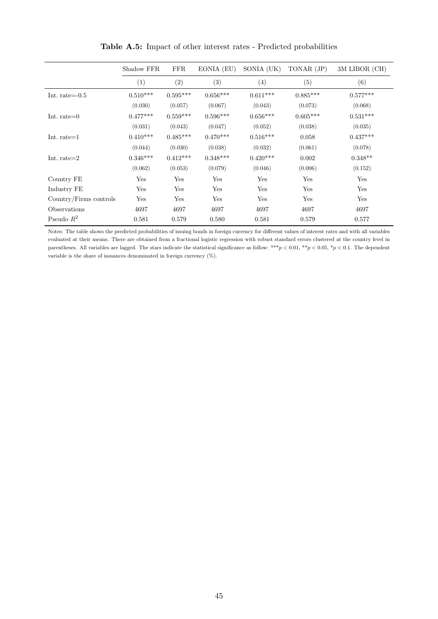|                        | Shadow FFR | <b>FFR</b> | EONIA (EU) | SONIA (UK) | TONAR (JP) | 3M LIBOR (CH) |
|------------------------|------------|------------|------------|------------|------------|---------------|
|                        | (1)        | (2)        | (3)        | (4)        | (5)        | (6)           |
| Int. rate= $-0.5$      | $0.510***$ | $0.595***$ | $0.656***$ | $0.611***$ | $0.885***$ | $0.577***$    |
|                        | (0.030)    | (0.057)    | (0.067)    | (0.043)    | (0.073)    | (0.068)       |
| Int. rate= $0$         | $0.477***$ | $0.559***$ | $0.596***$ | $0.656***$ | $0.605***$ | $0.531***$    |
|                        | (0.031)    | (0.043)    | (0.047)    | (0.052)    | (0.038)    | (0.035)       |
| Int. rate $=1$         | $0.410***$ | $0.485***$ | $0.470***$ | $0.516***$ | 0.058      | $0.437***$    |
|                        | (0.044)    | (0.030)    | (0.038)    | (0.032)    | (0.061)    | (0.078)       |
| Int. rate $=2$         | $0.346***$ | $0.412***$ | $0.348***$ | $0.420***$ | 0.002      | $0.348**$     |
|                        | (0.062)    | (0.053)    | (0.079)    | (0.046)    | (0.006)    | (0.152)       |
| Country FE             | Yes        | Yes        | Yes        | Yes        | Yes        | Yes           |
| Industry FE            | Yes        | Yes        | Yes        | Yes        | Yes        | Yes           |
| Country/Firms controls | Yes        | Yes        | Yes        | Yes        | Yes        | Yes           |
| Observations           | 4697       | 4697       | 4697       | 4697       | 4697       | 4697          |
| Pseudo $R^2$           | 0.581      | 0.579      | 0.580      | 0.581      | 0.579      | 0.577         |

Table A.5: Impact of other interest rates - Predicted probabilities

Notes: The table shows the predicted probabilities of issuing bonds in foreign currency for different values of interest rates and with all variables evaluated at their means. There are obtained from a fractional logistic regression with robust standard errors clustered at the country level in parentheses. All variables are lagged. The stars indicate the statistical significance as follow: \*\*\*p < 0.01, \*\*p < 0.05, \*p < 0.1. The dependent variable is the share of issuances denominated in foreign currency (%).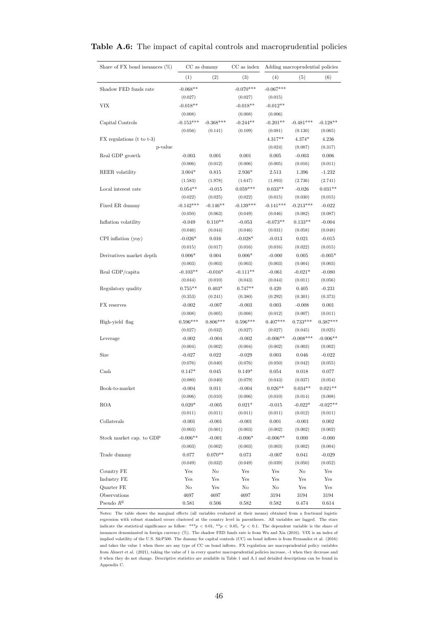| Share of FX bond issuances $(\%)$ |             | CC as dummy | CC as index |             | Adding macroprudential policies |            |
|-----------------------------------|-------------|-------------|-------------|-------------|---------------------------------|------------|
|                                   | (1)         | (2)         | (3)         | (4)         | (5)                             | (6)        |
| Shadow FED funds rate             | $-0.068**$  |             | $-0.070***$ | $-0.067***$ |                                 |            |
|                                   | (0.027)     |             | (0.027)     | (0.015)     |                                 |            |
| VIX                               | $-0.018**$  |             | $-0.018**$  | $-0.012**$  |                                 |            |
|                                   | (0.008)     |             | (0.008)     | (0.006)     |                                 |            |
| Capital Controls                  | $-0.153***$ | $-0.368***$ | $-0.244**$  | $-0.201**$  | $-0.481***$                     | $-0.128**$ |
|                                   | (0.056)     | (0.141)     | (0.109)     | (0.081)     | (0.130)                         | (0.065)    |
| $FX$ regulations (t to t-3)       |             |             |             | $4.317**$   | $4.374*$                        | 4.236      |
| p-value                           |             |             |             | (0.024)     | (0.087)                         | (0.317)    |
| Real GDP growth                   | $-0.003$    | 0.001       | 0.001       | 0.005       | $-0.003$                        | 0.006      |
|                                   |             | (0.012)     | (0.006)     |             |                                 |            |
|                                   | (0.006)     |             |             | (0.005)     | (0.016)                         | (0.011)    |
| REER volatility                   | $3.004*$    | 0.815       | $2.936*$    | 2.513       | 1.396                           | $-1.232$   |
|                                   | (1.583)     | (1.978)     | (1.647)     | (1.893)     | (2.736)                         | (2.741)    |
| Local interest rate               | $0.054**$   | $-0.015$    | $0.059***$  | $0.033**$   | $-0.026$                        | $0.031**$  |
|                                   | (0.022)     | (0.025)     | (0.022)     | (0.015)     | (0.030)                         | (0.015)    |
| Fixed ER dummy                    | $-0.142***$ | $-0.146**$  | $-0.139***$ | $-0.141***$ | $-0.213***$                     | $-0.022$   |
|                                   | (0.050)     | (0.063)     | (0.049)     | (0.046)     | (0.082)                         | (0.087)    |
| Inflation volatility              | $-0.049$    | $0.110**$   | $-0.053$    | $-0.073**$  | $0.133**$                       | $-0.004$   |
|                                   | (0.046)     | (0.044)     | (0.046)     | (0.031)     | (0.058)                         | (0.048)    |
| $CPI$ inflation $(yoy)$           | $-0.026*$   | 0.016       | $-0.028*$   | $-0.013$    | 0.021                           | $-0.015$   |
|                                   | (0.015)     | (0.017)     | (0.016)     | (0.016)     | (0.022)                         | (0.015)    |
| Derivatives market depth          | $0.006*$    | 0.004       | $0.006*$    | $-0.000$    | 0.005                           | $-0.005*$  |
|                                   | (0.003)     | (0.003)     | (0.003)     | (0.003)     | (0.004)                         | (0.003)    |
| Real GDP/capita                   | $-0.103**$  | $-0.016*$   | $-0.111**$  | $-0.061$    | $-0.021*$                       | $-0.080$   |
|                                   | (0.044)     | (0.010)     | (0.043)     | (0.044)     | (0.011)                         | (0.056)    |
| Regulatory quality                | $0.755**$   | $0.403*$    | $0.747**$   | 0.420       | 0.405                           | $-0.231$   |
|                                   | (0.353)     | (0.241)     | (0.380)     | (0.292)     | (0.301)                         | (0.373)    |
| FX reserves                       | $-0.002$    | $-0.007$    | $-0.003$    | 0.003       | $-0.008$                        | 0.001      |
|                                   | (0.008)     | (0.005)     | (0.008)     | (0.012)     | (0.007)                         | (0.011)    |
| High-yield flag                   | $0.596***$  | $0.806***$  | $0.596***$  | $0.407***$  | $0.733***$                      | $0.387***$ |
|                                   | (0.027)     | (0.032)     | (0.027)     | (0.027)     | (0.045)                         | (0.025)    |
| Leverage                          | $-0.002$    | $-0.004$    | $-0.002$    | $-0.006**$  | $-0.008***$                     | $-0.006**$ |
|                                   | (0.004)     | (0.002)     | (0.004)     | (0.002)     | (0.003)                         | (0.002)    |
| Size                              | $-0.027$    | 0.022       | $-0.029$    | 0.003       | 0.046                           | $-0.022$   |
|                                   | (0.076)     | (0.040)     | (0.076)     | (0.050)     | (0.042)                         | (0.055)    |
| $\operatorname{Cash}$             | $0.147*$    | 0.045       | $0.149*$    | 0.054       | 0.018                           | 0.077      |
|                                   | (0.080)     | (0.040)     | (0.079)     | (0.043)     | (0.037)                         | (0.054)    |
| Book-to-market                    | $-0.004$    | 0.011       | $-0.004$    | $0.026**$   | $0.034**$                       | $0.021**$  |
|                                   | (0.006)     | (0.010)     | (0.006)     | (0.010)     | (0.014)                         | (0.008)    |
| <b>ROA</b>                        | $0.020*$    | $-0.005$    | $0.021*$    | $-0.015$    | $-0.022*$                       | $-0.027**$ |
|                                   | (0.011)     | (0.011)     | (0.011)     | (0.011)     | (0.012)                         | (0.011)    |
| Collaterals                       | $-0.001$    | $-0.001$    | $-0.001$    | 0.001       | $-0.001$                        | 0.002      |
|                                   | (0.003)     | (0.001)     | (0.003)     | (0.002)     | (0.002)                         | (0.002)    |
| Stock market cap. to GDP          | $-0.006**$  | $-0.001$    | $-0.006*$   | $-0.006**$  | 0.000                           | $-0.000$   |
|                                   | (0.003)     | (0.002)     | (0.003)     | (0.003)     | (0.002)                         | (0.004)    |
| Trade dummy                       | 0.077       | $0.070**$   | 0.073       | $-0.007$    | 0.041                           | $-0.029$   |
|                                   | (0.049)     | (0.032)     | (0.049)     | (0.039)     | (0.050)                         | (0.052)    |
| Country FE                        | Yes         | $\rm No$    | Yes         | Yes         | No                              | Yes        |
| Industry FE                       | Yes         | Yes         | Yes         | Yes         | Yes                             | Yes        |
| Quarter FE                        | $\rm No$    | Yes         | No          | No          | Yes                             | Yes        |
| Observations                      | 4697        | 4697        | 4697        | 3194        | 3194                            | 3194       |
| Pseudo $R^2$                      | 0.581       | 0.506       | 0.582       | 0.582       | 0.474                           | 0.614      |
|                                   |             |             |             |             |                                 |            |

#### Table A.6: The impact of capital controls and macroprudential policies

Notes: The table shows the marginal effects (all variables evaluated at their means) obtained from a fractional logistic regression with robust standard errors clustered at the country level in parentheses. All variables are lagged. The stars indicate the statistical significance as follow: \*\*\* $p < 0.01$ , \*\* $p < 0.05$ , \* $p < 0.1$ . The dependent variable is the share of issuances denominated in foreign currency (%). The shadow FED funds rate is from Wu and Xia (2016). VIX is an index of implied volatility of the U.S. S&P500. The dummy for capital controls (CC) on bond inflows is from Fernandez et al. (2016) and takes the value 1 when there are any type of CC on bond inflows. FX regulation are macroprudential policy variables from Ahnert et al. (2021), taking the value of 1 in every quarter macroprudential policies increase, -1 when they decrease and 0 when they do not change. Descriptive statistics are available in Table 1 and A.1 and detailed descriptions can be found in Appendix C.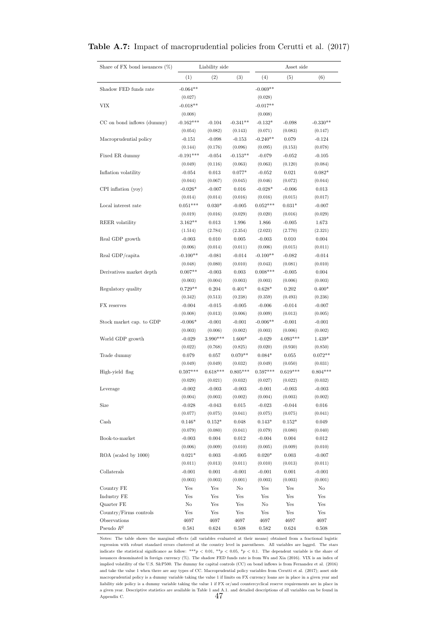| Share of FX bond issuances $(\%)$ |               | Liability side  |                 |               | Asset side    |               |
|-----------------------------------|---------------|-----------------|-----------------|---------------|---------------|---------------|
|                                   |               |                 |                 |               |               |               |
|                                   | (1)           | (2)             | (3)             | (4)           | (5)           | (6)           |
| Shadow FED funds rate             | $-0.064**$    |                 |                 | $-0.069**$    |               |               |
|                                   | (0.027)       |                 |                 | (0.028)       |               |               |
| VIX                               | $-0.018**$    |                 |                 | $-0.017**$    |               |               |
|                                   | (0.008)       |                 |                 | (0.008)       |               |               |
| CC on bond inflows (dummy)        | $-0.162***$   | $-0.104$        | $-0.341**$      | $-0.132*$     | $-0.098$      | $-0.330**$    |
|                                   | (0.054)       | (0.082)         | (0.143)         | (0.071)       | (0.083)       | (0.147)       |
| Macroprudential policy            | $-0.151$      | $-0.098$        | $-0.153$        | $-0.240**$    | 0.079         | $-0.124$      |
|                                   | (0.144)       | (0.176)         | (0.096)         | (0.095)       | (0.153)       | (0.078)       |
| Fixed ER dummy                    | $-0.191***$   | $-0.054$        | $-0.153**$      | $-0.079$      | $-0.052$      | $-0.105$      |
|                                   | (0.049)       | (0.116)         | (0.063)         | (0.063)       | (0.120)       | (0.084)       |
| Inflation volatility              | $-0.054$      | 0.013           | $0.077*$        | $-0.052$      | 0.021         | $0.082*$      |
|                                   | (0.044)       | (0.067)         | (0.045)         | (0.046)       | (0.072)       | (0.044)       |
| CPI inflation (yoy)               | $-0.026*$     | $-0.007$        | 0.016           | $-0.028*$     | $-0.006$      | 0.013         |
|                                   | (0.014)       | (0.014)         | (0.016)         | (0.016)       | (0.015)       | (0.017)       |
| Local interest rate               | $0.051***$    | $0.030*$        | $-0.005$        | $0.052***$    | $0.031*$      | $-0.007$      |
|                                   | (0.019)       | (0.016)         | (0.029)         | (0.020)       | (0.016)       | (0.029)       |
| <b>REER</b> volatility            | $3.162**$     | 0.013           | 1.996           | 1.866         | $-0.005$      | 1.673         |
|                                   | (1.514)       | (2.784)         | (2.354)         | (2.023)       | (2.770)       | (2.321)       |
| Real GDP growth                   | $-0.003$      | 0.010           | 0.005           | $-0.003$      | 0.010         | 0.004         |
|                                   | (0.006)       | (0.014)         | (0.011)         | (0.006)       | (0.015)       | (0.011)       |
| Real GDP/capita                   | $-0.100**$    | $-0.081$        | $-0.014$        | $-0.100**$    | $-0.082$      | $-0.014$      |
|                                   | (0.048)       | (0.080)         | (0.010)         | (0.043)       | (0.081)       | (0.010)       |
| Derivatives market depth          | $0.007**$     | $-0.003$        | 0.003           | $0.008***$    | $-0.005$      | 0.004         |
|                                   | (0.003)       | (0.004)         | (0.003)         | (0.003)       | (0.006)       | (0.003)       |
| Regulatory quality                | $0.729**$     | 0.204           | $0.401*$        | $0.628*$      | 0.202         | $0.400*$      |
|                                   | (0.342)       | (0.513)         | (0.238)         | (0.359)       | (0.493)       | (0.236)       |
| FX reserves                       | $-0.004$      | $-0.015$        | $-0.005$        | $-0.006$      | $-0.014$      | $-0.007$      |
|                                   | (0.008)       | (0.013)         | (0.006)         | (0.009)       | (0.013)       | (0.005)       |
| Stock market cap. to GDP          | $-0.006*$     | $-0.001$        | $-0.001$        | $-0.006**$    | $-0.001$      | $-0.001$      |
|                                   | (0.003)       | (0.006)         | (0.002)         | (0.003)       | (0.006)       | (0.002)       |
| World GDP growth                  | $-0.029$      | 3.990***        | 1.600*          | $-0.029$      | $4.093***$    | 1.439*        |
|                                   | (0.022)       | (0.768)         | (0.825)         | (0.020)       | (0.930)       | (0.850)       |
| Trade dummy                       | 0.079         | 0.057           | $0.070**$       | $0.084*$      | 0.055         | $0.072**$     |
|                                   | (0.049)       | (0.049)         | (0.032)         | (0.049)       | (0.050)       | (0.031)       |
| High-yield flag                   | $0.597***$    | $0.618***$      | $0.805***$      | $0.597***$    | $0.619***$    | $0.804***$    |
|                                   | (0.029)       | (0.021)         | (0.032)         | (0.027)       | (0.022)       | (0.032)       |
| Leverage                          | $-0.002$      | $\text{-}0.003$ | $\mbox{-}0.003$ | $-0.001$      | $-0.003$      | $-0.003$      |
|                                   | (0.004)       | (0.003)         | (0.002)         | (0.004)       | (0.003)       | (0.002)       |
| Size                              | $-0.028$      | $-0.043$        | 0.015           | $-0.023$      | $-0.044$      | 0.016         |
|                                   | (0.077)       | (0.075)         | (0.041)         | (0.075)       | (0.075)       | (0.041)       |
| Cash                              | $0.146*$      | $0.152*$        | 0.048           | $0.143*$      | $0.152*$      | 0.049         |
|                                   | (0.079)       | (0.080)         | (0.041)         | (0.079)       | (0.080)       | (0.040)       |
| Book-to-market                    | $-0.003$      | 0.004           | 0.012           | $-0.004$      | 0.004         | 0.012         |
|                                   | (0.006)       | (0.009)         | (0.010)         | (0.005)       | (0.009)       | (0.010)       |
| ROA (scaled by 1000)              | $0.021*$      | 0.003           | $-0.005$        | $0.020*$      | 0.003         | $-0.007$      |
|                                   | (0.011)       | (0.013)         | (0.011)         | (0.010)       | (0.013)       | (0.011)       |
| Collaterals                       | $-0.001$      | 0.001           | $-0.001$        | $-0.001$      | 0.001         | $-0.001$      |
|                                   | (0.003)       | (0.003)         | (0.001)         | (0.003)       | (0.003)       | (0.001)       |
| Country FE                        | Yes           | Yes             | No              | Yes           | Yes           | No            |
| Industry FE                       | Yes           | Yes             | Yes             | Yes           | Yes           | Yes           |
| Quarter FE                        | No            | Yes             | Yes             | No            | Yes           | Yes           |
| Country/Firms controls            | Yes           | Yes             | Yes             | Yes           | Yes           | Yes           |
| Observations<br>Pseudo $R^2$      | 4697<br>0.581 | 4697<br>0.624   | 4697<br>0.508   | 4697<br>0.582 | 4697<br>0.624 | 4697<br>0.508 |
|                                   |               |                 |                 |               |               |               |

#### Table A.7: Impact of macroprudential policies from Cerutti et al. (2017)

Notes: The table shows the marginal effects (all variables evaluated at their means) obtained from a fractional logistic regression with robust standard errors clustered at the country level in parentheses. All variables are lagged. The stars indicate the statistical significance as follow: \*\*\*p < 0.01, \*\*p < 0.05, \*p < 0.1. The dependent variable is the share of issuances denominated in foreign currency (%). The shadow FED funds rate is from Wu and Xia (2016). VIX is an index of implied volatility of the U.S. S&P500. The dummy for capital controls (CC) on bond inflows is from Fernandez et al. (2016) and take the value 1 when there are any types of CC. Macroprudential policy variables from Cerutti et al. (2017); asset side macroprudential policy is a dummy variable taking the value 1 if limits on FX currency loans are in place in a given year and liability side policy is a dummy variable taking the value 1 if FX or/and countercyclical reserve requirements are in place in a given year. Descriptive statistics are available in Table 1 and A.1. and detailed descriptions of all variables can be found in Appendix C.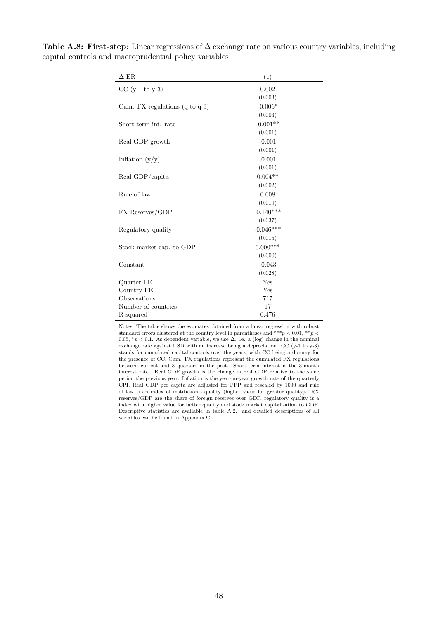| $\Delta$ ER                               | (1)         |
|-------------------------------------------|-------------|
| $CC$ (y-1 to y-3)                         | 0.002       |
|                                           | (0.003)     |
| Cum. FX regulations $(q \text{ to } q-3)$ | $-0.006*$   |
|                                           | (0.003)     |
| Short-term int. rate                      | $-0.001**$  |
|                                           | (0.001)     |
| Real GDP growth                           | $-0.001$    |
|                                           | (0.001)     |
| Inflation $(y/y)$                         | $-0.001$    |
|                                           | (0.001)     |
| Real GDP/capita                           | $0.004**$   |
|                                           | (0.002)     |
| Rule of law                               | 0.008       |
|                                           | (0.019)     |
| FX Reserves/GDP                           | $-0.140***$ |
|                                           | (0.037)     |
| Regulatory quality                        | $-0.046***$ |
|                                           | (0.015)     |
| Stock market cap. to GDP                  | $0.000***$  |
|                                           | (0.000)     |
| Constant                                  | $-0.043$    |
|                                           | (0.028)     |
| Quarter FE                                | Yes         |
| Country FE                                | Yes         |
| Observations                              | 717         |
| Number of countries                       | 17          |
| R-squared                                 | 0.476       |

Table A.8: First-step: Linear regressions of  $\Delta$  exchange rate on various country variables, including capital controls and macroprudential policy variables

> Notes: The table shows the estimates obtained from a linear regression with robust standard errors clustered at the country level in parentheses and \*\*\*p < 0.01, \*\*p < 0.05,  $*p < 0.1$ . As dependent variable, we use  $\Delta$ , i.e. a (log) change in the nominal exchange rate against USD with an increase being a depreciation. CC (y-1 to y-3) stands for cumulated capital controls over the years, with CC being a dummy for the presence of CC. Cum. FX regulations represent the cumulated FX regulations between current and 3 quarters in the past. Short-term interest is the 3-month interest rate. Real GDP growth is the change in real GDP relative to the same period the previous year. Inflation is the year-on-year growth rate of the quarterly CPI. Real GDP per capita are adjusted for PPP and rescaled by 1000 and rule of law is an index of institution's quality (higher value for greater quality). RX reserves/GDP are the share of foreign reserves over GDP, regulatory quality is a index with higher value for better quality and stock market capitalisation to GDP. Descriptive statistics are available in table A.2. and detailed descriptions of all variables can be found in Appendix C.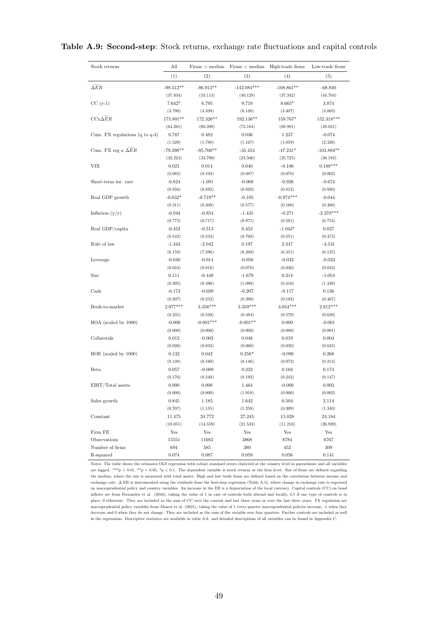#### Table A.9: Second-step: Stock returns, exchange rate fluctuations and capital controls

| Stock returns                             | All         | Firms > median | Firms < median | High-trade firms | Low-trade firms |
|-------------------------------------------|-------------|----------------|----------------|------------------|-----------------|
|                                           | (1)         | (2)            | (3)            | (4)              | (5)             |
| $\Delta ER$                               | $-98.512**$ | $-86.013**$    | $-142.084***$  | $-108.861**$     | $-68.840$       |
|                                           | (37.834)    | (33.113)       | (40.128)       | (37.342)         | (44.704)        |
| $CC(y-1)$                                 | $7.642*$    | 6.795          | 9.718          | $8.665*$         | 3.874           |
|                                           | (3.790)     | (4.339)        | (6.130)        | (4.407)          | (4.003)         |
| $CCx\Delta ER$                            | 175.801**   | 172.326**      | 192.136**      | 159.767*         | 152.318***      |
|                                           | (64.261)    | (60.398)       | (72.164)       | (80.981)         | (49.831)        |
| Cum. FX regulations $(q \text{ to } q-3)$ | 0.787       | 0.482          | 0.036          | 1.237            | $-0.074$        |
|                                           | (1.528)     | (1.788)        | (1.167)        | (1.059)          | (2.326)         |
| Cum. FX reg x $\overline{\Delta}ER$       | $-79.398**$ | $-85.706**$    | $-35.453$      | $-47.231*$       | $-103.894**$    |
|                                           | (32.223)    | (33.790)       | (23.506)       | (25.725)         | (36.182)        |
| VIX                                       | 0.021       | 0.014          | 0.040          | $-0.106$         | $0.188***$      |
|                                           | (0.085)     | (0.103)        | (0.087)        | (0.070)          | (0.062)         |
| Short-term int. rate                      | $-0.824$    | $-1.091$       | $-0.008$       | $-0.926$         | $-0.674$        |
|                                           | (0.856)     | (0.882)        | (0.820)        | (0.812)          | (0.930)         |
| Real GDP growth                           | $-0.632*$   | $-0.719**$     | $-0.105$       | $-0.974***$      | $-0.044$        |
|                                           | (0.311)     | (0.308)        | (0.577)        | (0.166)          | (0.466)         |
| Inflation $(y/y)$                         | $-0.944$    | $-0.854$       | $-1.435$       | $-0.271$         | $-2.370***$     |
|                                           | (0.775)     | (0.717)        | (0.971)        | (0.581)          | (0.754)         |
| Real GDP/capita                           | $-0.452$    | $-0.513$       | 0.452          | $-1.043*$        | 0.027           |
|                                           | (0.542)     | (0.534)        | (0.768)        | (0.551)          | (0.473)         |
| Rule of law                               | $-1.343$    | $-2.042$       | 0.197          | 2.347            | $-3.531$        |
|                                           | (6.159)     | (7.596)        | (8.269)        | (6.351)          | (6.125)         |
| Leverage                                  | $-0.040$    | $-0.014$       | $-0.058$       | $-0.032$         | $-0.023$        |
|                                           | (0.024)     | (0.018)        | (0.070)        | (0.030)          | (0.042)         |
| Size                                      | 0.111       | $-0.448$       | $-1.678$       | 0.314            | $-1.054$        |
|                                           | (0.395)     | (0.496)        | (1.098)        | (0.416)          | (1.338)         |
| Cash                                      | $-0.174$    | $-0.039$       | $-0.207$       | $-0.117$         | 0.136           |
|                                           | (0.207)     | (0.252)        | (0.390)        | (0.193)          | (0.467)         |
| Book-to-market                            | $2.977***$  | $3.356***$     | $3.359***$     | $3.054***$       | $2.812***$      |
|                                           | (0.235)     | (0.530)        | (0.484)        | (0.570)          | (0.639)         |
| ROA (scaled by 1000)                      | $-0.000$    | $-0.001***$    | $-0.001**$     | 0.000            | $-0.001$        |
|                                           | (0.000)     | (0.000)        | (0.000)        | (0.000)          | (0.001)         |
| Collaterals                               | 0.012       | $-0.002$       | 0.048          | 0.019            | 0.004           |
|                                           | (0.026)     | (0.033)        | (0.060)        | (0.030)          | (0.045)         |
| ROE (scaled by 1000)                      | 0.132       | 0.042          | $0.258*$       | $-0.090$         | 0.268           |
|                                           | (0.138)     | (0.160)        | (0.146)        | (0.072)          | (0.214)         |
| Beta                                      | 0.057       | $-0.009$       | 0.323          | 0.104            | 0.174           |
|                                           | (0.176)     | (0.240)        | (0.192)        | (0.242)          | (0.147)         |
| EBIT/Total assets                         | 0.000       | 0.000          | 1.464          | $-0.000$         | 0.003           |
|                                           | (0.000)     | (0.000)        | (1.918)        | (0.000)          | (0.002)         |
| Sales growth                              | 0.845       | 1.185          | 1.642          | 0.504            | 2.114           |
|                                           | (0.707)     | (1.155)        | (1.258)        | (0.309)          | (1.340)         |
| Constant                                  | 11.475      | 24.772         | 27.245         | 15.028           | 24.184          |
|                                           | (10.051)    | (14.559)       | (21.533)       | (11.210)         | (26.939)        |
| Firm FE                                   | Yes         | Yes            | Yes            | Yes              | Yes             |
| Observations                              | 15551       | 11683          | 3868           | 8784             | 6767            |
| Number of firms                           | 694         | 585            | 380            | 452              | 309             |
| R-squared                                 | 0.074       | 0.087          | 0.059          | 0.056            | 0.141           |

Notes: The table shows the estimates OLS regression with robust standard errors clustered at the country level in parentheses and all variables are lagged. \*\*\*p < 0.01, \*\*p < 0.05, \*p < 0.1. The dependent variable is stock returns at the firm level. Size of firms are defined regarding the median, where the size is measured with total assets. High and low trade firms are defined based on the correlation between income and exchange rate. ∆ ER is instrumented using the residuals from the first-step regression (Table A.5), where change in exchange rate is regressed on macroprudential policy and country variables. An increase in the ER is a depreciation of the local currency. Capital controls (CC) on bond inflows are from Fernandez et al. (2016), taking the value of 1 in case of controls both abroad and locally, 0.5 if one type of controls is in place, 0 otherwise. They are included as the sum of CC over the current and last three years or over the last three years. FX regulation are macroprudential policy variables from Ahnert et al. (2021), taking the value of 1 every quarter macroprudential policies increase, -1 when they decrease and 0 when they do not change. They are included as the sum of the variable over four quarters. Further controls are included as well in the regressions. Descriptive statistics are available in table A.8. and detailed descriptions of all variables can be found in Appendix C.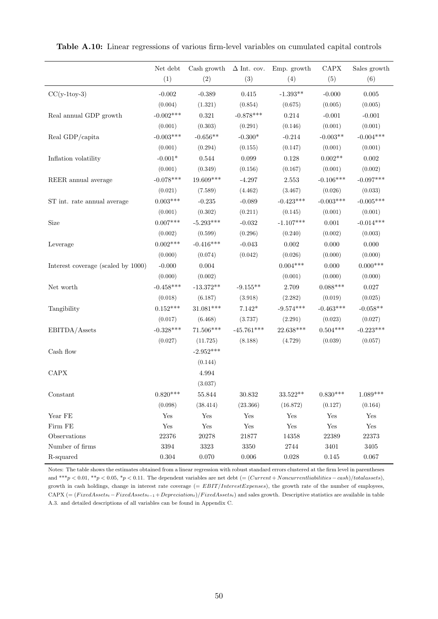|                                    | $\hbox{Net debt}$    | Cash growth | $\Delta$ Int. cov.   | Emp. growth                         | $\mathrm{CAPX}$      | Sales growth         |
|------------------------------------|----------------------|-------------|----------------------|-------------------------------------|----------------------|----------------------|
|                                    | (1)                  | (2)         | (3)                  | (4)                                 | (5)                  | (6)                  |
| $CC(y-1toy-3)$                     | $-0.002$             | $-0.389$    | 0.415                | $-1.393**$                          | $-0.000$             | 0.005                |
|                                    | (0.004)              | (1.321)     | (0.854)              | (0.675)                             | (0.005)              | (0.005)              |
| Real annual GDP growth             | $-0.002***$          | 0.321       | $-0.878***$          | $0.214\,$                           | $-0.001$             | $-0.001$             |
|                                    | (0.001)              | (0.303)     | (0.291)              | (0.146)                             | (0.001)              | (0.001)              |
| Real GDP/capita                    | $-0.003***$          | $-0.656**$  | $-0.300*$            | $-0.214$                            | $-0.003**$           | $-0.004***$          |
|                                    | (0.001)              | (0.294)     | (0.155)              | (0.147)                             | (0.001)              | (0.001)              |
| Inflation volatility               | $-0.001*$            | 0.544       | 0.099                | 0.128                               | $0.002**$            | 0.002                |
|                                    | (0.001)              | (0.349)     | (0.156)              | (0.167)                             | (0.001)              | (0.002)              |
| REER annual average                | $-0.078***$          | $19.609***$ | $-4.297$             | 2.553                               | $-0.106***$          | $-0.097***$          |
|                                    | (0.021)              | (7.589)     | (4.462)              | (3.467)                             | (0.026)              | (0.033)              |
| ST int. rate annual average        | $0.003***$           | $-0.235$    | $-0.089$             | $-0.423***$                         | $-0.003***$          | $-0.005***$          |
|                                    | (0.001)              | (0.302)     | (0.211)              | (0.145)                             | (0.001)              | (0.001)              |
| Size                               | $0.007***$           | $-5.293***$ | $-0.032$             | $-1.107***$                         | 0.001                | $-0.014***$          |
|                                    | (0.002)              | (0.599)     | (0.296)              | (0.240)                             | (0.002)              | (0.003)              |
| Leverage                           | $0.002***$           | $-0.416***$ | $-0.043$             | 0.002                               | 0.000                | 0.000                |
|                                    | (0.000)              | (0.074)     | (0.042)              | (0.026)                             | (0.000)              | (0.000)              |
| Interest coverage (scaled by 1000) | $-0.000$             | $0.004\,$   |                      | $0.004***$                          | 0.000                | $0.000***$           |
|                                    | (0.000)              | (0.002)     |                      | (0.001)                             | (0.000)              | (0.000)              |
| Net worth                          | $-0.458***$          | $-13.372**$ | $-9.155**$           | 2.709                               | $0.088***$           | 0.027                |
|                                    | (0.018)              | (6.187)     | (3.918)              | (2.282)                             | (0.019)              | (0.025)              |
| Tangibility                        | $0.152***$           | $31.081***$ | $7.142*$             | $-9.574***$                         | $-0.463***$          | $-0.058**$           |
|                                    | (0.017)              | (6.468)     | (3.737)              | (2.291)                             | (0.023)              | (0.027)              |
| EBITDA/Assets                      | $-0.328***$          | $71.506***$ | $-45.761***$         | 22.638***                           | $0.504***$           | $-0.223***$          |
|                                    | (0.027)              | (11.725)    | (8.188)              | (4.729)                             | (0.039)              | (0.057)              |
| Cash flow                          |                      | $-2.952***$ |                      |                                     |                      |                      |
|                                    |                      | (0.144)     |                      |                                     |                      |                      |
| $\rm CAPX$                         |                      | 4.994       |                      |                                     |                      |                      |
|                                    |                      | (3.037)     |                      |                                     |                      |                      |
| Constant                           | $0.820***$           | $55.844\,$  | 30.832               | $33.522^{\ast\ast}$                 | $0.830***$           | $1.089***$           |
|                                    | (0.098)              | (38.414)    | (23.366)             | (16.872)                            | (0.127)              | (0.164)              |
| Year FE                            | Yes                  | Yes         | Yes                  | Yes                                 | Yes                  | Yes                  |
| Firm FE                            | $\operatorname{Yes}$ | Yes         | $\operatorname{Yes}$ | Yes                                 | $\operatorname{Yes}$ | $\operatorname{Yes}$ |
| Observations                       | 22376                | 20278       | 21877                | 14358                               | 22389                | 22373                |
| Number of firms                    | $3394\,$             | $3323\,$    | 3350                 | $\begin{array}{c} 2744 \end{array}$ | $3401\,$             | $3405\,$             |
| R-squared                          | $0.304\,$            | $0.070\,$   | 0.006                | 0.028                               | 0.145                | $0.067\,$            |

Table A.10: Linear regressions of various firm-level variables on cumulated capital controls

Notes: The table shows the estimates obtained from a linear regression with robust standard errors clustered at the firm level in parentheses and \*\*\*p < 0.01, \*\*p < 0.05, \*p < 0.11. The dependent variables are net debt (=  $(Current + Noncurrentliabilities - cash)/total assets$ ), growth in cash holdings, change in interest rate coverage  $(=EBIT/InterestExpress)$ , the growth rate of the number of employees,  $CAPX$  (= (FixedAssets<sub>t</sub> − FixedAssets<sub>t-1</sub> + Depreciation<sub>t</sub>)/FixedAssets<sub>t</sub>) and sales growth. Descriptive statistics are available in table A.3. and detailed descriptions of all variables can be found in Appendix C.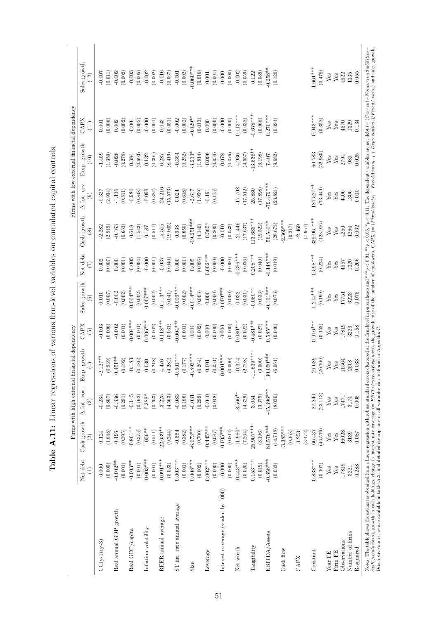|                                    |                             |                              | Firms with high external fin.                | ancial dependency                                                                                                  |                                |                                   |                           |                              |                                     | Firms with low external financial dependency |                     |                        |
|------------------------------------|-----------------------------|------------------------------|----------------------------------------------|--------------------------------------------------------------------------------------------------------------------|--------------------------------|-----------------------------------|---------------------------|------------------------------|-------------------------------------|----------------------------------------------|---------------------|------------------------|
|                                    | Net debt<br>$\widehat{\Xi}$ | Cash growth<br>$\widehat{c}$ | $\Delta$ Int. cov.<br>$\widehat{\mathbf{c}}$ | $\operatorname*{growth}% \left( \mathcal{N}\right) \equiv\operatorname*{grad}\mathcal{N}$<br>$\widehat{E}$<br>Emp. | <b>CAPX</b><br>$\widetilde{5}$ | Sales growth<br>$\widehat{\circ}$ | Net debt<br>$\widehat{C}$ | Cash growth<br>$\circledast$ | $\Delta$ Int. cov.<br>$\widehat{e}$ | Emp. growth<br>(10)                          | <b>CAPX</b><br>(11) | Sales growth<br>$(12)$ |
| $CC(y-11cy-3)$                     | 0.000                       | 0.124                        | $-0.234$                                     |                                                                                                                    | $-0.003$                       | 0.010                             | 0.002                     | $-2.282$                     | 0.327                               | $-1.459$                                     | 0.001               | $-0.007$               |
|                                    | (0.005)                     | (1.848)                      | (0.807)                                      |                                                                                                                    | (0.006)                        | (0.007)                           | (0.007)                   | (2.919)                      | (2.934)                             | (1.359)                                      | (0.008)             | (0.011)                |
| Real annual GDP growth             | $-0.002**$                  | 0.196                        | $-0.336$                                     | $\begin{array}{l} -2.127^{**} \\ (0.939) \\ 0.451^{**} \\ (0.192) \end{array}$                                     | $-0.002$                       | $-0.002$                          | 0.000                     | $-0.163$                     | $-1.136$                            | $-0.028$                                     | 0.002               | $-0.002$               |
|                                    | $(0.001)$                   | (0.395)                      | (0.291)                                      |                                                                                                                    | (0.001)                        | (0.002)                           | (0.001)                   | (0.663)                      | (0.811)                             | (0.278)                                      | (0.002)             | (0.002)                |
| Real GDP/capita                    | $-0.003**$                  | $-0.801**$                   | $-0.145$                                     | $-0.183$                                                                                                           | $-0.004***$                    | $-0.004***$                       | $-0.005$                  | $\,0.618$                    | $-0.980$                            | 0.384                                        | $-0.004$            | $-0.003$               |
|                                    | $(0.001)$                   | (0.373)                      | (0.162)                                      | (0.186)                                                                                                            | $(0.001)$                      | $\left(0.002\right)$              | (0.004)                   | (1.543)                      | (0.848)                             | (0.693)                                      | (0.005)             | (0.005)                |
| Inflation volatility               | $-0.003***$                 | $1.059**$                    | $0.388*$                                     | 030                                                                                                                | $0.006***$                     | $0.007***$                        | $-0.000$                  | 0.187                        | $-0.099$                            | 0.132                                        | $-0.000$            | $-0.002$               |
|                                    | (0.001)                     | $\left( 0.511\right)$        | (0.203)                                      | 0.218<br>$\in$                                                                                                     | (0.002)                        | (0.002)                           | (0.001)                   | (0.511)                      | (0.384)                             | (0.301)                                      | $(0.001)$           | (0.002)                |
| REER annual average                | $-0.091***$                 | 22.639**                     | $-3.225$                                     | 4.476                                                                                                              | $0.118***$                     | $-0.113***$                       | $-0.037$                  | 15.505                       | $-24.216$                           | 6.287                                        | 0.043               | $-0.016$               |
|                                    | (0.023)                     | (9.244)                      | (4.563)                                      | 1.282)<br>$\widehat{a}$                                                                                            | (0.031)                        | (0.041)                           | (0.040)                   | (19.005)                     | (15.573)                            | (8.419)                                      | (0.051)             | (0.067)                |
| ST int. rate annual average        | $0.003***$                  | $-0.554$                     | $-0.083$                                     | $-0.501***$                                                                                                        | $-0.000$                       | $-0.006***$                       | 0.000                     | 0.638                        | 0.024                               | $-0.354$                                     | $-0.002$            | $-0.001$               |
|                                    | (0.001)                     | (0.382)                      | (0.186)                                      | $(0.177)$                                                                                                          | (0.001)                        | (0.002)                           | (0.001)                   | (0.650)                      | (0.618)                             | (0.252)                                      | (0.002)             | (0.002)                |
| <b>Size</b>                        | $0.008***$                  | $-6.073***$                  | $-0.031$                                     | $-0.893***$                                                                                                        | $\!0.001$                      | $0.014***$                        | $0.005\,$                 | $-19.251***$                 | $-2.617$                            | $-3.233*$                                    | $0.029**$           | $-0.060**$             |
|                                    | (0.002)                     | (0.700)                      | (0.299)                                      | (0.264)                                                                                                            | (0.002)                        | (0.003)                           | (0.006)                   | (4.140)                      | (1.959)                             | (1.814)                                      | (0.013)             | (0.016)                |
| Leverage                           | $0.002***$                  | $-0.445***$                  | $-0.040$                                     | $\,0.001\,$                                                                                                        | 0.000                          | 0.000                             | $0.002***$                | $-0.365*$                    | $-0.191$                            | $-0.096$                                     | 0.000               | $\!0.001$              |
|                                    | (0.000)                     | (0.087)                      | (0.048)                                      |                                                                                                                    | (0.000)                        | (0.000)                           | (0.000)                   | (0.200)                      | (0.173)                             | (0.059)                                      | (0.000)             | (0.001)                |
| Interest coverage (scaled by 1000) | $-0.000$                    | $0.005***$                   |                                              | $(0.031)$<br>$0.001***$                                                                                            | 0.000                          | $0.000**$                         | $-0.000$                  | $-0.010$                     |                                     | 0.078                                        | $-0.000$            | 0.000                  |
|                                    | (0.000)                     | (0.002)                      |                                              | $(0.000)$                                                                                                          | (0.000)                        | (0.000)                           | (0.000)                   | (0.033)                      |                                     | (0.076)                                      | (0.000)             | (0.000)                |
| Net worth                          | $-0.443***$                 | $-11.990*$                   | $-8.566**$                                   | $-0.374$                                                                                                           | $0.080***$                     | 0.032                             | $0.396***$                | $-21.446$                    | $-17.708$                           | 4.936                                        | $0.113***$          | $-0.002$               |
|                                    | (0.020)                     | (7.264)                      | (4.329)                                      | $\left( 2.798\right)$                                                                                              | (0.022)                        | (0.031)                           | (0.036)                   | (17.637)                     | (17.512)                            | (4.557)                                      | (0.038)             | (0.059)                |
| Tangibility                        | $0.153***$                  | $25.907***$                  | 3.054                                        |                                                                                                                    | $0.481***$                     | $0.080**$                         | $0.208***$                | 113.685***                   | 25.880                              | $-13.536**$                                  | $0.678***$          | 0.122                  |
|                                    | (0.019)                     | (8.196)                      | (3.379)                                      | $-11.639***$<br>(3.000)                                                                                            | (0.027)                        | (0.033)                           | (0.040)                   | (19.522)                     | (17.898)                            | (6.198)                                      | (0.068)             | (0.089)                |
| EBITDA/Assets                      | $0.358***$                  | 83.576***                    | 45.396***                                    | $30.050***$                                                                                                        | $0.585***$                     | $0.191***$                        | $0.148***$                | 56.540**                     | $79.479***$                         | 7.407                                        | $0.270***$          | $0.258**$              |
|                                    | (0.033)                     | (14.718)                     | (8.030)                                      | (6.061)                                                                                                            | (0.046)                        | (0.073)                           | (0.049)                   | (28.673)                     | (23.821)                            | (9.682)                                      | (0.094)             | (0.120)                |
| Cash flow                          |                             | $3.385***$                   |                                              |                                                                                                                    |                                |                                   |                           | $2.369***$                   |                                     |                                              |                     |                        |
|                                    |                             | (0.168)                      |                                              |                                                                                                                    |                                |                                   |                           | (0.317)                      |                                     |                                              |                     |                        |
| CAPX                               |                             | 3.253                        |                                              |                                                                                                                    |                                |                                   |                           | $-2.469$                     |                                     |                                              |                     |                        |
|                                    |                             | (3.472)                      |                                              |                                                                                                                    |                                |                                   |                           | $\left( 7.961\right)$        |                                     |                                              |                     |                        |
| Constant                           | $0.838***$                  | 66.437                       | 27.240                                       | 26.689                                                                                                             | $0.916***$                     | $.214***$                         | $0.598***$                | 339.961***                   | $187.527**$                         | 60.783                                       | $0.943***$          | $1.661***$             |
|                                    | (0.107)                     | (46.576)                     | (23.113)                                     | (20.700)                                                                                                           | (0.153)                        | (0.199)                           | (0.224)                   | (123.916)                    | (73.449)                            | (52.980)                                     | (0.358)             | (0.478)                |
| Year FE                            | ${\rm Yes}$                 | Yes                          | Yes                                          | ${\rm Yes}$                                                                                                        | Yes                            | Yes                               | $Y$ es                    | Yes                          | Yes                                 | Yes                                          | Yes                 | Yes                    |
| Firm FE                            | $\rm Yes$                   | Yes                          | $Y$ es                                       | Yes                                                                                                                | Yes                            | $Y$ es                            | $Y_{\text{CS}}$           | $Y$ es                       | Yes                                 | Yes                                          | Yes                 | Yes                    |
| Observations                       | 17819                       | 16028                        | 17471                                        | 11564                                                                                                              | 17819                          | 17751                             | 4557                      | 4250                         | 4406                                | 2794                                         | 4570                | 4622                   |
| Number of firms                    | 3221                        | 3139                         | 3174                                         | 2508                                                                                                               | 3223                           | 3223                              | 1320                      | 1264                         | 1306                                | 989                                          | 1329                | 1335                   |
| R-squared                          | 0.288                       | 0.087                        | 0.005                                        | 0.033                                                                                                              | 0.158                          | 0.075                             | 0.266                     | 0.062                        | 0.010                               | 0.025                                        | 0.134               | 0.055                  |

Table A.11: Linear regressions of various firm-level variables on cumulated capital controls Table A.11: Linear regressions of various firm-level variables on cumulated capital controls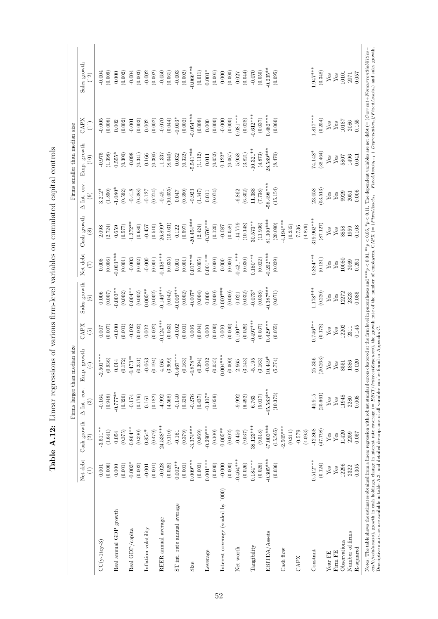|                                    |             |                       | Firms larger than median size |                                                                                                                        |                         |                                        |                                      |                              |                                      | Firms smaller than median size |              |                      |
|------------------------------------|-------------|-----------------------|-------------------------------|------------------------------------------------------------------------------------------------------------------------|-------------------------|----------------------------------------|--------------------------------------|------------------------------|--------------------------------------|--------------------------------|--------------|----------------------|
|                                    | Net debt    | Cash growth           | $\Delta$ Int. cov.<br>ව       | $\operatorname*{growth}% \left( \mathcal{N}\right) \equiv\operatorname*{grad}\mathcal{N}$<br>$\left( 4\right)$<br>Emp. | CAPX<br>$\widetilde{E}$ | Sales growth<br>$\widehat{\mathbf{e}}$ | Net debt<br>$\widehat{(\mathbb{Z})}$ | Cash growth<br>$\circledast$ | $\Delta$ Int. cov.<br>$\circledcirc$ | Emp. growth                    | CAPX<br>(11) | Sales growth<br>(12) |
| $CC(y-1 toy-3)$                    | $0.001\,$   | $-3.511***$           | $-0.164$                      | $-2.501***$                                                                                                            | $0.007$                 | 0.006                                  | $0.008\,$                            | 2.098                        | $3.212*$                             | $-0.975$                       | $-0.005$     | $-0.004$             |
|                                    | (0.006)     | (1.641)               | (0.948)                       | (0.936)                                                                                                                | (0.007)                 | (0.007)                                | (0.006)                              | (2.724)                      | (1.850)                              | (1.398)                        | (0.008)      | (0.009)              |
| Real annual GDP growth             | 0.000       | 0.054                 | $+*277.0$                     | 0.014                                                                                                                  | $-0.000$                | $0.003**$                              | $0.003***$                           | 0.659                        | $-1.080*$                            | $0.555*$                       | 0.002        | 0.000                |
|                                    | (0.001)     | (0.375)               | (0.320)                       | $\left(0.172\right)$                                                                                                   | (0.001)                 | (0.002)                                | $\left( 0.001\right)$                | (0.577)                      | (0.592)                              | (0.300)                        | (0.002)      | (0.002)              |
| Real GDP/capita                    | $-0.003*$   | $-0.864**$            | $-0.174$                      | $-0.473**$                                                                                                             | $-0.002$                | $-0.004**$                             | $-0.003$                             | $-1.372**$                   | $-0.418$                             | $-0.098$                       | $-0.001$     | $-0.004$             |
|                                    | (0.002)     | (0.390)               | (0.176)                       | $\left( 0.231\right)$                                                                                                  | (0.002)                 | (0.002)                                | (0.002)                              | (0.680)                      | (0.388)                              | (0.341)                        | (0.003)      | (0.003)              |
| Inflation volatility               | $-0.001$    | $0.854*$              | 0.161                         | $-0.063$                                                                                                               | $0.002\,$               | $0.005**$                              | $-0.000$                             | $-0.457$                     | $-0.127$                             | 0.166                          | 0.002        | $-0.002$             |
|                                    | (0.001)     | (0.479)               | (0.182)                       | (0.194)                                                                                                                | (0.002)                 | (0.002)                                | $(0.001)$                            | (0.510)                      | (0.274)                              | (0.300)                        | (0.002)      | (0.002)              |
| REER annual average                | $-0.028$    | 24.538***             | $-4.992$                      | 4.065                                                                                                                  | $-0.124***$             | $-0.146***$                            | $-0.138***$                          | $26.899*$                    | $-0.491$                             | 11.337                         | $-0.070$     | $-0.050$             |
|                                    | (0.028)     | (9.110)               | (4.568)                       | (3.909)                                                                                                                | (0.033)                 | (0.042)                                | (0.035)                              | (15.031)                     | (10.055)                             | (8.040)                        | (0.044)      | (0.061)              |
| ST int. rate annual average        | $0.002**$   | $-0.161$              | $-0.140$                      | $-0.467***$                                                                                                            | $-0.002$                | $0.006$ ***                            | $0.001\,$                            | 0.122                        | 740.0                                | 0.032                          | $-0.003*$    | $-0.003$             |
|                                    | $(0.001)$   | (0.379)               | (0.320)                       | (0.163)                                                                                                                | (0.001)                 | (0.002)                                | $(0.001)$                            | (0.597)                      | (0.390)                              | (0.322)                        | (0.002)      | (0.002)              |
| <b>Size</b>                        | $0.009***$  | $-3.374***$           | $-0.276$                      | $-0.878**$                                                                                                             | 0.006                   | $-0.007*$                              | $0.017***$                           | $20.454***$                  | $-0.923$                             | $5.541***$                     | $-0.054***$  | $-0.066***$          |
|                                    | (0.003)     | (0.869)               | (0.437)                       | (0.394)                                                                                                                | (0.004)                 | (0.004)                                | (0.005)                              | (2.424)                      | (1.347)                              | (1.112)                        | (0.008)      | (0.011)              |
| Leverage                           | $0.001***$  | $-0.290***$           | $-0.107*$                     | $-0.002$                                                                                                               | $0.000\,$               | $0.000\,$                              | $0.001***$                           | $-0.376***$                  | $0.011\,$                            | 0.011                          | $0.000\,$    | $0.001*$             |
|                                    | (0.000)     | (0.100)               | (0.059)                       | $\left( 0.035\right)$                                                                                                  | (0.000)                 | (0.000)                                | (0.000)                              | (0.120)                      | (0.074)                              | (0.052)                        | (0.000)      | (0.001)              |
| Interest coverage (scaled by 1000) | $-0.000$    | $0.005**$             |                               | $0.001***$                                                                                                             | $0.000$                 | 0.000                                  | $0.000\,$                            | $-0.087$                     |                                      | $0.122*$                       | $-0.000$     | $0.000\,$            |
|                                    | (0.000)     | (0.002)               |                               | (0.000)                                                                                                                | (0.000)                 | (0.000)                                | (0.000)                              | (0.058)                      |                                      | (0.067)                        | (0.000)      | (0.000)              |
| Net worth                          | $-0.464***$ | $-0.450$              | $-9.992$                      | 2.965                                                                                                                  | $0.100***$              | 0.021                                  | $-0.421***$                          | $-14.779$                    | $-6.862$                             | $5.958$                        | $0.081***$   | 0.027                |
|                                    | (0.026)     | (9.037)               | (6.492)                       | (3.143)                                                                                                                | (0.029)                 | (0.032)                                | (0.030)                              | (10.148)                     | (6.302)                              | (3.821)                        | (0.028)      | (0.044)              |
| Tangibility                        | $0.184***$  | 38.123***             | 6.763                         | $-5.195$                                                                                                               | $0.497***$              | $-0.073*$                              | $0.180***$                           | $30.573**$                   | 11.388                               | $10.321**$                     | $0.612***$   | $-0.070$             |
|                                    | (0.028)     | (9.518)               | (5.017)                       | (3.163)                                                                                                                | (0.037)                 | (0.038)                                | (0.022)                              | (11.936)                     | (7.738)                              | (4.873)                        | (0.037)      | (0.050)              |
| EBITDA/Assets                      | $-0.305***$ | 47.003***             | $-45.583***$                  | $10.449*$                                                                                                              | $0.429***$              | $0.387***$                             | $0.292***$                           | $$1.300***$                  | 58.498***                            | 8.589***                       | $0.482***$   | $-0.235***$          |
|                                    | (0.036)     | (15.565)              | (10.373)                      | (5.774)                                                                                                                | (0.055)                 | (0.071)                                | (0.039)                              | (20.090)                     | (15.154)                             | (8.470)                        | (0.060)      | (0.095)              |
| Cash flow                          |             | $2.505***$<br>(0.211) |                               |                                                                                                                        |                         |                                        |                                      | $4.194***$<br>(0.235)        |                                      |                                |              |                      |
| CAPX                               |             | $-0.579$              |                               |                                                                                                                        |                         |                                        |                                      | 7.736                        |                                      |                                |              |                      |
|                                    |             | (4.093)               |                               |                                                                                                                        |                         |                                        |                                      | (4.879)                      |                                      |                                |              |                      |
| Constant                           | $0.512***$  | $-12.868$             | $40.915\,$                    | $25.356$<br>$(20.263)$                                                                                                 | $0.746***$              | $1.178***$                             | $0.884***$                           | 319.962***                   | 23.058                               | 74.148*                        | $1.817***$   | $1.947***$           |
|                                    | (0.124)     | (47.798)              | (25.661)                      |                                                                                                                        | (0.178)                 | (0.220)                                | (0.181)                              | (87.127)                     | (53.513)                             | (38.464)                       | (0.254)      | (0.348)              |
| Year FE                            | ${\rm Yes}$ | Yes                   | ${\rm Yes}$                   | $\mathbf{Yes}$                                                                                                         | ${\it Yes}$             | ${\rm Yes}$                            | ${\rm Yes}$                          | ${\rm Yes}$                  | Yes                                  | ${\rm Yes}$                    | ${\rm Yes}$  | ${\it Yes}$          |
| Firm FE                            | ${\rm Yes}$ | Yes                   | ${\rm Yes}$                   | ${\rm Yes}$                                                                                                            | Yes                     | ${\rm Yes}$                            | ${\rm Yes}$                          | $Y$ es                       | ${\rm Yes}$                          | Yes                            | ${\rm Yes}$  | Yes                  |
| Observations                       | 12296       | 11420                 | 11948                         | 8551                                                                                                                   | 12202                   | 12272                                  | 10080                                | 8858                         | 9929                                 | 5807                           | 10187        | 10101                |
| Number of firms                    | 2322        | 2259                  | 2280                          | 1886                                                                                                                   | 2311                    | 2323                                   | 2069                                 | 1959                         | $\sqrt{2051}$                        | 1496                           | 2086         | 2071                 |
| R-squared                          | 0.305       | 0.057                 | 0.008                         | 0.020                                                                                                                  | 0.145                   | 0.085                                  | 0.251                                | 0.108                        | 0.006                                | 0.041                          | 0.155        | 0.057                |

Table A.12: Linear regressions of various firm-level variables on cumulated capital controls Table A.12: Linear regressions of various firm-level variables on cumulated capital controls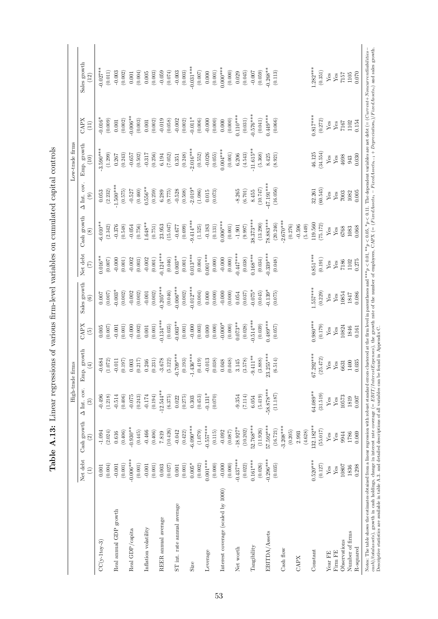|                                    |                     |                       | High-trade firms        |                                                                                                                        |                         |                                        |                                     |                              |                                     | Low-trade firms       |                        |                        |
|------------------------------------|---------------------|-----------------------|-------------------------|------------------------------------------------------------------------------------------------------------------------|-------------------------|----------------------------------------|-------------------------------------|------------------------------|-------------------------------------|-----------------------|------------------------|------------------------|
|                                    | Net debt            | $\mbox{Cash growth}$  | $\Delta$ Int. cov.<br>ි | $\operatorname*{growth}% \left( \mathcal{N}\right) \equiv\operatorname*{grad}\mathcal{N}$<br>$\left( 4\right)$<br>Emp. | CAPX<br>$\widetilde{5}$ | Sales growth<br>$\widehat{\mathbf{e}}$ | Net debt<br>$\widetilde{C}$         | Cash growth<br>$\circledast$ | $\Delta$ Int. cov.<br>$\widehat{e}$ | Emp. growth<br>(10)   | CAPX<br>(11)           | Sales growth<br>(12)   |
| $CC(y-1 toy-3)$                    | $0.001\,$           | $-1.094$              | $-0.496$                | $-0.684$                                                                                                               | 0.005                   | $0.007$                                | $0.016**$                           | $6.010**$                    | 0.053                               | $3.590***$            | $0.016*$               | $0.027**$              |
| Real annual GDP growth             | (0.004)<br>$-0.001$ | (2.024)<br>0.616      | $-0.514$<br>(1.218)     | 1.072<br>$-0.011$                                                                                                      | (0.007)<br>$-0.001$     | $-0.003*$<br>$(0.007)$                 | $-0.000$<br>(0.007)                 | $-0.376$<br>(2.342)          | $1.500***$<br>(2.232)               | (1.299)<br>0.267      | (0.009)<br>$\rm 0.001$ | (0.011)<br>$-0.003$    |
|                                    | $(0.001)$           | (0.406)               | (0.406)                 | (0.197)                                                                                                                | (0.001)                 | (0.002)                                | (0.001)                             | (0.548)                      | (0.575)                             | (0.243)               | (0.002)                | (0.002)                |
| Real GDP/capita                    | $-0.006***$         | $-0.930**$            | $-0.075$                | 0.003                                                                                                                  | $-0.000$                | $-0.002$                               | $-0.002$                            | $-0.054$                     | $-0.527$                            | $-0.657$              | $0.006**$              | 0.001                  |
|                                    | $(0.001)$           | (0.445)               | (0.243)                 | 0.217)                                                                                                                 | (0.002)                 | (0.002)                                | (0.003)                             | (0.756)                      | (0.460)                             | (0.502)               | (0.003)                | (0.004)                |
| Inflation volatility               | $-0.001$            | $-0.466$              | $-0.174$                | 1.246                                                                                                                  | $0.001\,$               | $-0.001$                               | $-0.002$                            | $1.648**$                    | $0.556**$                           | $-0.317$              | $\!0.001$              | 0.005                  |
|                                    | (0.001)             | (0.406)               | (0.194)                 | (0.231)                                                                                                                | (0.001)                 | (0.002)                                | $\left( 0.001\right)$               | (0.751)                      | (0.259)                             | (0.256)               | (0.002)                | (0.003)                |
| REER annual average                | 0.003               | 7.819                 | $-12.544***$            | 3.678                                                                                                                  | $-0.134***$             | $-0.205***$                            | $-0.124***$                         | 23.953                       | 6.289                               | 6.194                 | $-0.019$               | $-0.059$               |
|                                    | (0.027)             | (10.426)              | (6.375)                 | (5.122)                                                                                                                | (0.035)                 | (0.046)                                | (0.046)                             | (15.047)                     | (9.775)                             | (7.052)               | (0.058)                | (0.074)                |
| ST int. rate annual average        | $0.001\,$           | $-0.042$              | 0.022                   | $-0.709***$                                                                                                            | $-0.003**$              | $0.006***$                             | $0.003**$                           | (0.699)<br>$-0.677$          | $-0.528$                            | 0.351                 | $-0.002$<br>(0.002)    | $-0.003$               |
|                                    | $0.005*$<br>(0.001) | $-6.090**$<br>(0.422) | (0.275)                 | (0.193)                                                                                                                | (0.001)                 | $-0.012***$<br>(0.002)                 | $0.013***$<br>$\left( 0.001\right)$ | $9.414***$                   | $-2.019*$<br>(0.508)                | $2.016***$<br>(0.248) | $-0.011*$              | $-0.031***$<br>(0.003) |
| <b>Size</b>                        | (0.002)             | (1.079)               | (0.453)<br>0.303        | $-1.436***$<br>(0.419)                                                                                                 | $-0.000$<br>(0.003)     | (0.004)                                | (0.004)                             | (1.525)                      | (1.086)                             | (0.552)               | (0.006)                | (0.007)                |
| Leverage                           | $0.001***$          | $-0.557***$           | $-0.131*$               | $-0.013$                                                                                                               | $0.000\,$               | 0.000                                  | $0.001***$                          | $-0.183$                     | 0.015                               | $-0.026$              | $-0.000$               | $0.000\,$              |
|                                    | (0.000)             | (0.115)               | (0.070)                 | (0.038)                                                                                                                | (0.000)                 | (0.000)                                | (0.000)                             | (0.131)                      | (0.073)                             | (0.055)               | (0.000)                | (0.001)                |
| Interest coverage (scaled by 1000) | $-0.000$            | $-0.092$              |                         | 0.048                                                                                                                  | $-0.000*$               | $-0.000$                               | $-0.000$                            | $0.006***$                   |                                     | $0.004***$            | 0.000                  | $0.000$ ***            |
|                                    | (0.000)             | (0.087)               |                         | (0.048)                                                                                                                | (0.000)                 | (0.000)                                | (0.000)                             | (0.001)                      |                                     | (0.001)               | (0.000)                | (0.000)                |
| Net worth                          | $-0.437***$         | $-18.927*$            | $-9.354$                | 3.145                                                                                                                  | $0.073**$               | 0.054                                  | $-0.447***$                         | $-1.901$                     | $-8.265$                            | 6.206                 | $0.110***$             | 0.029                  |
|                                    | (0.022)             | (10.202)              | (7.114)                 | (3.578)                                                                                                                | (0.028)                 | (0.037)                                | (0.038)                             | (9.997)                      | (6.701)                             | (4.543)               | (0.031)                | (0.045)                |
| Tangibility                        | $0.161***$          | 52.768***             | 6.054                   | $-9.411**$                                                                                                             | $0.514***$              | $0.075*$                               | $0.168***$                          | $8.373***$                   | 8.455                               | $11.615**$            | $0.576***$             | $-0.007$               |
|                                    | (0.026)             | (11.926)              | (5.419)                 | (3.888)                                                                                                                | (0.039)                 | (0.045)                                | (0.034)                             | (13.290)                     | (10.747)                            | (5.368)               | (0.041)                | (0.059)                |
| EBITDA/Assets                      | $-0.296***$         | 57.592***             | $-58.878***$            | $23.255***$                                                                                                            | $0.489***$              | $-0.139*$                              | $0.339***$                          | $-8.883***$                  | 47.191***                           | 8.425                 | $0.449***$             | $-0.268**$             |
|                                    | (0.035)             | (16.721)              | (11.187)                | (6.514)                                                                                                                | (0.057)                 | (0.075)                                | (0.048)                             | (20.246)                     | (16.056)                            | (8.921)               | (0.066)                | (0.113)                |
| Cash flow                          |                     | $3.208***$<br>(0.205) |                         |                                                                                                                        |                         |                                        |                                     | $2.670***$<br>(0.276)        |                                     |                       |                        |                        |
| CAPX                               |                     | (4.628)<br>2.993      |                         |                                                                                                                        |                         |                                        |                                     | (5.449)<br>$-0.596$          |                                     |                       |                        |                        |
| Constant                           | $0.520***$          | 132.182**             | 64.089**                | $67.292***$                                                                                                            | $0.980***$              | $1.557***$                             | $0.851***$                          | 119.560                      | 32.261                              | 46.125                | $0.817***$             | $1.282***$             |
|                                    | (0.127)             | (55.017)              | (31.519)                | (25.472)                                                                                                               | (0.179)                 | (0.229)                                | (0.191)                             | 75.172                       | (60.545)                            | (34.554)              | (0.272)                | (0.351)                |
| Year FE                            | ${\rm Yes}$         | Yes                   | ${\rm Yes}$             | ${\rm Yes}$                                                                                                            | Yes                     | ${\rm Yes}$                            | ${\rm Yes}$                         | ${\rm Yes}$                  | Yes                                 | ${\rm Yes}$           | ${\rm Yes}$            | Yes                    |
| Firm FE                            | ${\rm Yes}$         | Yes                   | ${\rm Yes}$             | ${\rm Yes}$                                                                                                            | Yes                     | ${\rm Yes}$                            | ${\rm Yes}$                         | $Y$ es                       | ${\rm Yes}$                         | ${\rm Yes}$           | Yes                    | Yes                    |
| Observations                       | 10807               | 9944                  | 10573                   | 6631                                                                                                                   | 10824                   | 10854                                  | 7186                                | 6768                         | 7003                                | 4698                  | 7167                   | 7157                   |
| Number of firms                    | 1836                | 1786                  | 1819                    | 1400                                                                                                                   | 1846                    | 1847                                   | 1102                                | 1083                         | 1082                                | 943                   | 1102                   | 1105                   |
| R-squared                          | 0.298               | 0.069                 | 700.0                   | 0.035                                                                                                                  | 0.161                   | 0.086                                  | 0.275                               | 0.068                        | 0.005                               | 0.030                 | 0.154                  | 0.070                  |

Table A.13: Linear regressions of various firm-level variables on cumulated capital controls Table A.13: Linear regressions of various firm-level variables on cumulated capital controls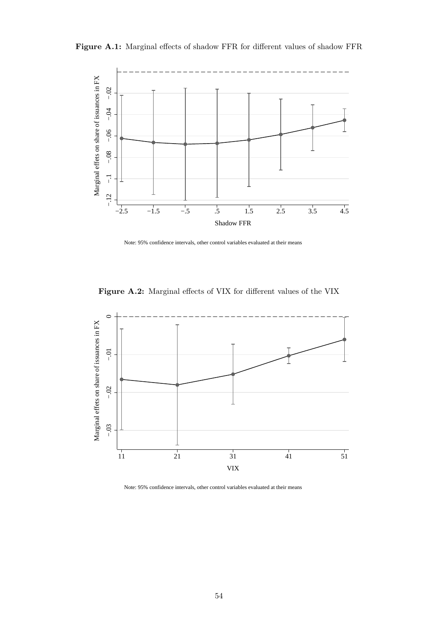



Note: 95% confidence intervals, other control variables evaluated at their means





Note: 95% confidence intervals, other control variables evaluated at their means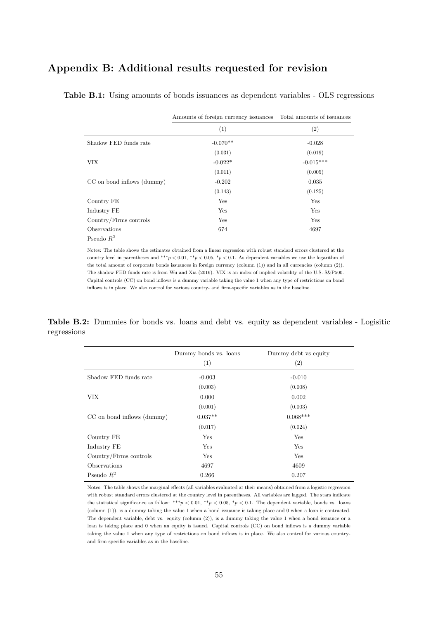# Appendix B: Additional results requested for revision

|                            | Amounts of foreign currency issuances Total amounts of issuances |             |
|----------------------------|------------------------------------------------------------------|-------------|
|                            | (1)                                                              | (2)         |
| Shadow FED funds rate      | $-0.070**$                                                       | $-0.028$    |
|                            | (0.031)                                                          | (0.019)     |
| VIX.                       | $-0.022*$                                                        | $-0.015***$ |
|                            | (0.011)                                                          | (0.005)     |
| CC on bond inflows (dummy) | $-0.202$                                                         | 0.035       |
|                            | (0.143)                                                          | (0.125)     |
| Country FE                 | Yes                                                              | Yes         |
| Industry FE                | Yes                                                              | Yes         |
| Country/Firms controls     | Yes                                                              | Yes         |
| Observations               | 674                                                              | 4697        |
| Pseudo $R^2$               |                                                                  |             |

Table B.1: Using amounts of bonds issuances as dependent variables - OLS regressions

Notes: The table shows the estimates obtained from a linear regression with robust standard errors clustered at the country level in parentheses and \*\*\*p < 0.01, \*\*p < 0.05, \*p < 0.1. As dependent variables we use the logarithm of the total amount of corporate bonds issuances in foreign currency (column (1)) and in all currencies (column (2)). The shadow FED funds rate is from Wu and Xia (2016). VIX is an index of implied volatility of the U.S. S&P500. Capital controls (CC) on bond inflows is a dummy variable taking the value 1 when any type of restrictions on bond inflows is in place. We also control for various country- and firm-specific variables as in the baseline.

Table B.2: Dummies for bonds vs. loans and debt vs. equity as dependent variables - Logisitic regressions

|                            | Dummy bonds vs. loans<br>(1) | Dummy debt vs equity<br>(2) |
|----------------------------|------------------------------|-----------------------------|
| Shadow FED funds rate      | $-0.003$                     | $-0.010$                    |
|                            | (0.003)                      | (0.008)                     |
| <b>VIX</b>                 | 0.000                        | 0.002                       |
|                            | (0.001)                      | (0.003)                     |
| CC on bond inflows (dummy) | $0.037**$                    | $0.068***$                  |
|                            | (0.017)                      | (0.024)                     |
| Country FE                 | Yes                          | Yes                         |
| Industry FE                | Yes                          | Yes                         |
| Country/Firms controls     | Yes                          | Yes                         |
| Observations               | 4697                         | 4609                        |
| Pseudo $R^2$               | 0.266                        | 0.207                       |

Notes: The table shows the marginal effects (all variables evaluated at their means) obtained from a logistic regression with robust standard errors clustered at the country level in parentheses. All variables are lagged. The stars indicate the statistical significance as follow: \*\*\*  $p < 0.01$ , \*\*  $p < 0.05$ , \*  $p < 0.1$ . The dependent variable, bonds vs. loans (column (1)), is a dummy taking the value 1 when a bond issuance is taking place and 0 when a loan is contracted. The dependent variable, debt vs. equity (column (2)), is a dummy taking the value 1 when a bond issuance or a loan is taking place and 0 when an equity is issued. Capital controls (CC) on bond inflows is a dummy variable taking the value 1 when any type of restrictions on bond inflows is in place. We also control for various countryand firm-specific variables as in the baseline.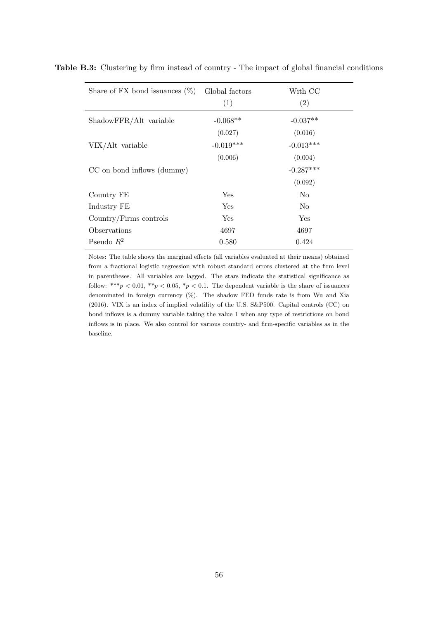| Share of FX bond issuances $(\%)$ | Global factors<br>(1) | With CC<br>(2) |
|-----------------------------------|-----------------------|----------------|
| ShadowFFR/Alt variable            | $-0.068**$            | $-0.037**$     |
|                                   | (0.027)               | (0.016)        |
| VIX/Alt variable                  | $-0.019***$           | $-0.013***$    |
|                                   | (0.006)               | (0.004)        |
| CC on bond inflows (dummy)        |                       | $-0.287***$    |
|                                   |                       | (0.092)        |
| Country FE                        | Yes                   | N <sub>0</sub> |
| Industry FE                       | Yes                   | N <sub>0</sub> |
| Country/Firms controls            | Yes                   | Yes            |
| Observations                      | 4697                  | 4697           |
| Pseudo $R^2$                      | 0.580                 | 0.424          |

Table B.3: Clustering by firm instead of country - The impact of global financial conditions

Notes: The table shows the marginal effects (all variables evaluated at their means) obtained from a fractional logistic regression with robust standard errors clustered at the firm level in parentheses. All variables are lagged. The stars indicate the statistical significance as follow: \*\*\* $p < 0.01$ , \*\* $p < 0.05$ , \* $p < 0.1$ . The dependent variable is the share of issuances denominated in foreign currency  $(\%)$ . The shadow FED funds rate is from Wu and Xia (2016). VIX is an index of implied volatility of the U.S. S&P500. Capital controls (CC) on bond inflows is a dummy variable taking the value 1 when any type of restrictions on bond inflows is in place. We also control for various country- and firm-specific variables as in the baseline.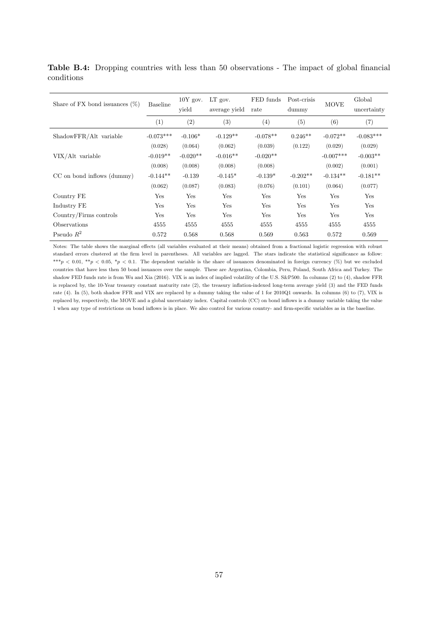Table B.4: Dropping countries with less than 50 observations - The impact of global financial conditions

| Share of FX bond issuances $(\%)$ | <b>Baseline</b> | $10Y$ gov.<br>vield | $LT$ gov.<br>average yield | FED funds<br>rate | Post-crisis<br>dummy | <b>MOVE</b> | Global<br>uncertainty |
|-----------------------------------|-----------------|---------------------|----------------------------|-------------------|----------------------|-------------|-----------------------|
|                                   | (1)             | (2)                 | (3)                        | (4)               | (5)                  | (6)         | (7)                   |
| ShadowFFR/Alt variable            | $-0.073***$     | $-0.106*$           | $-0.129**$                 | $-0.078**$        | $0.246**$            | $-0.072**$  | $-0.083***$           |
|                                   | (0.028)         | (0.064)             | (0.062)                    | (0.039)           | (0.122)              | (0.029)     | (0.029)               |
| VIX/Alt variable                  | $-0.019**$      | $-0.020**$          | $-0.016**$                 | $-0.020**$        |                      | $-0.007***$ | $-0.003**$            |
|                                   | (0.008)         | (0.008)             | (0.008)                    | (0.008)           |                      | (0.002)     | (0.001)               |
| CC on bond inflows (dummy)        | $-0.144**$      | $-0.139$            | $-0.145*$                  | $-0.139*$         | $-0.202**$           | $-0.134**$  | $-0.181**$            |
|                                   | (0.062)         | (0.087)             | (0.083)                    | (0.076)           | (0.101)              | (0.064)     | (0.077)               |
| Country FE                        | Yes             | Yes                 | Yes                        | Yes               | Yes                  | Yes         | Yes                   |
| Industry FE                       | Yes             | Yes                 | Yes                        | Yes               | Yes                  | Yes         | Yes                   |
| Country/Firms controls            | Yes             | Yes                 | Yes                        | Yes               | Yes                  | Yes         | Yes                   |
| Observations                      | 4555            | 4555                | 4555                       | 4555              | 4555                 | 4555        | 4555                  |
| Pseudo $R^2$                      | 0.572           | 0.568               | 0.568                      | 0.569             | 0.563                | 0.572       | 0.569                 |

Notes: The table shows the marginal effects (all variables evaluated at their means) obtained from a fractional logistic regression with robust standard errors clustered at the firm level in parentheses. All variables are lagged. The stars indicate the statistical significance as follow: \*\*\*p < 0.01, \*\*p < 0.05, \*p < 0.1. The dependent variable is the share of issuances denominated in foreign currency (%) but we excluded countries that have less then 50 bond issuances over the sample. These are Argentina, Colombia, Peru, Poland, South Africa and Turkey. The shadow FED funds rate is from Wu and Xia (2016). VIX is an index of implied volatility of the U.S. S&P500. In columns (2) to (4), shadow FFR is replaced by, the 10-Year treasury constant maturity rate (2), the treasury inflation-indexed long-term average yield (3) and the FED funds rate (4). In (5), both shadow FFR and VIX are replaced by a dummy taking the value of 1 for 2010Q1 onwards. In columns (6) to (7), VIX is replaced by, respectively, the MOVE and a global uncertainty index. Capital controls (CC) on bond inflows is a dummy variable taking the value 1 when any type of restrictions on bond inflows is in place. We also control for various country- and firm-specific variables as in the baseline.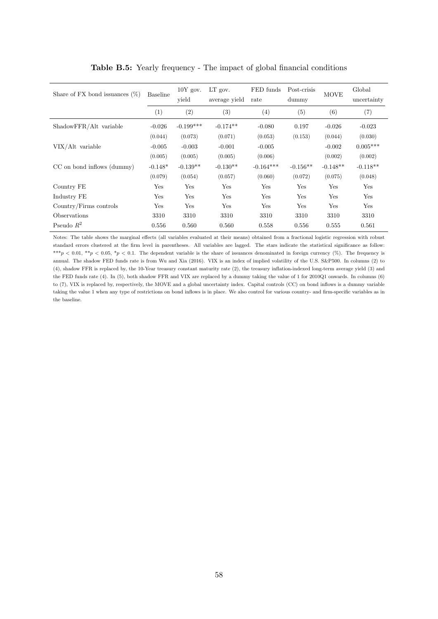| Share of FX bond issuances $(\%)$ | <b>Baseline</b> | $10Y$ gov.<br>yield | $LT$ gov.<br>average yield | FED funds<br>rate | Post-crisis<br>dummy | <b>MOVE</b> | Global<br>uncertainty |
|-----------------------------------|-----------------|---------------------|----------------------------|-------------------|----------------------|-------------|-----------------------|
|                                   | (1)             | (2)                 | $\left(3\right)$           | (4)               | (5)                  | (6)         | (7)                   |
| ShadowFFR/Alt variable            | $-0.026$        | $-0.199***$         | $-0.174**$                 | $-0.080$          | 0.197                | $-0.026$    | $-0.023$              |
|                                   | (0.044)         | (0.073)             | (0.071)                    | (0.053)           | (0.153)              | (0.044)     | (0.030)               |
| VIX/Alt variable                  | $-0.005$        | $-0.003$            | $-0.001$                   | $-0.005$          |                      | $-0.002$    | $0.005***$            |
|                                   | (0.005)         | (0.005)             | (0.005)                    | (0.006)           |                      | (0.002)     | (0.002)               |
| CC on bond inflows (dummy)        | $-0.148*$       | $-0.139**$          | $-0.130**$                 | $-0.164***$       | $-0.156**$           | $-0.148**$  | $-0.118**$            |
|                                   | (0.079)         | (0.054)             | (0.057)                    | (0.060)           | (0.072)              | (0.075)     | (0.048)               |
| Country FE                        | Yes             | Yes                 | Yes                        | Yes               | Yes                  | Yes         | Yes                   |
| Industry FE                       | Yes             | Yes                 | Yes                        | Yes               | Yes                  | Yes         | Yes                   |
| Country/Firms controls            | Yes             | Yes                 | Yes                        | Yes               | Yes                  | Yes         | Yes                   |
| Observations                      | 3310            | 3310                | 3310                       | 3310              | 3310                 | 3310        | 3310                  |
| Pseudo $R^2$                      | 0.556           | 0.560               | 0.560                      | 0.558             | 0.556                | 0.555       | 0.561                 |

Table B.5: Yearly frequency - The impact of global financial conditions

Notes: The table shows the marginal effects (all variables evaluated at their means) obtained from a fractional logistic regression with robust standard errors clustered at the firm level in parentheses. All variables are lagged. The stars indicate the statistical significance as follow: \*\*\*p < 0.01, \*\*p < 0.05, \*p < 0.1. The dependent variable is the share of issuances denominated in foreign currency (%). The frequency is annual. The shadow FED funds rate is from Wu and Xia (2016). VIX is an index of implied volatility of the U.S. S&P500. In columns (2) to (4), shadow FFR is replaced by, the 10-Year treasury constant maturity rate (2), the treasury inflation-indexed long-term average yield (3) and the FED funds rate (4). In (5), both shadow FFR and VIX are replaced by a dummy taking the value of 1 for 2010Q1 onwards. In columns (6) to (7), VIX is replaced by, respectively, the MOVE and a global uncertainty index. Capital controls (CC) on bond inflows is a dummy variable taking the value 1 when any type of restrictions on bond inflows is in place. We also control for various country- and firm-specific variables as in the baseline.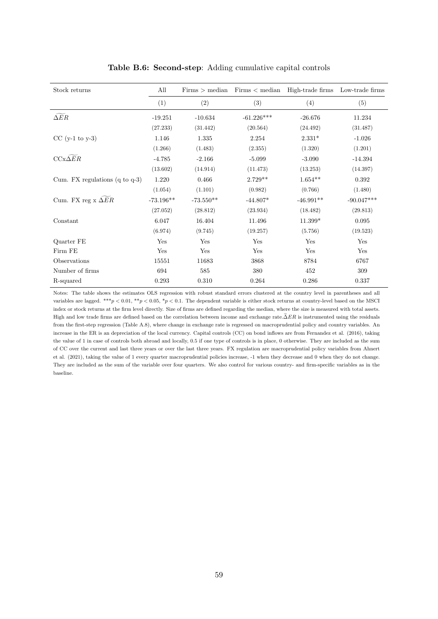| Stock returns                             | All         | Firms > median | Firms < median | High-trade firms | Low-trade firms |
|-------------------------------------------|-------------|----------------|----------------|------------------|-----------------|
|                                           | (1)         | (2)            | (3)            | (4)              | (5)             |
| $\Delta ER$                               | $-19.251$   | $-10.634$      | $-61.226***$   | $-26.676$        | 11.234          |
|                                           | (27.233)    | (31.442)       | (20.564)       | (24.492)         | (31.487)        |
| $CC$ (y-1 to y-3)                         | 1.146       | 1.335          | 2.254          | $2.331*$         | $-1.026$        |
|                                           | (1.266)     | (1.483)        | (2.355)        | (1.320)          | (1.201)         |
| $CCx\triangle ER$                         | $-4.785$    | $-2.166$       | $-5.099$       | $-3.090$         | $-14.394$       |
|                                           | (13.602)    | (14.914)       | (11.473)       | (13.253)         | (14.397)        |
| Cum. FX regulations $(q \text{ to } q-3)$ | 1.220       | 0.466          | $2.729**$      | $1.654**$        | 0.392           |
|                                           | (1.054)     | (1.101)        | (0.982)        | (0.766)          | (1.480)         |
| Cum. FX reg $x \Delta ER$                 | $-73.196**$ | $-73.550**$    | $-44.807*$     | $-46.991**$      | $-90.047***$    |
|                                           | (27.052)    | (28.812)       | (23.934)       | (18.482)         | (29.813)        |
| Constant                                  | 6.047       | 16.404         | 11.496         | 11.399*          | 0.095           |
|                                           | (6.974)     | (9.745)        | (19.257)       | (5.756)          | (19.523)        |
| Quarter FE                                | Yes         | Yes            | Yes            | Yes              | Yes             |
| Firm FE                                   | Yes         | Yes            | Yes            | Yes              | Yes             |
| Observations                              | 15551       | 11683          | 3868           | 8784             | 6767            |
| Number of firms                           | 694         | 585            | 380            | 452              | $309\,$         |
| R-squared                                 | 0.293       | $0.310\,$      | 0.264          | 0.286            | 0.337           |

#### Table B.6: Second-step: Adding cumulative capital controls

Notes: The table shows the estimates OLS regression with robust standard errors clustered at the country level in parentheses and all variables are lagged. \*\*\*p < 0.01, \*\*p < 0.05, \*p < 0.1. The dependent variable is either stock returns at country-level based on the MSCI index or stock returns at the firm level directly. Size of firms are defined regarding the median, where the size is measured with total assets. High and low trade firms are defined based on the correlation between income and exchange rate. $\tilde{\Delta}ER$  is instrumented using the residuals from the first-step regression (Table A.8), where change in exchange rate is regressed on macroprudential policy and country variables. An increase in the ER is an depreciation of the local currency. Capital controls (CC) on bond inflows are from Fernandez et al. (2016), taking the value of 1 in case of controls both abroad and locally, 0.5 if one type of controls is in place, 0 otherwise. They are included as the sum of CC over the current and last three years or over the last three years. FX regulation are macroprudential policy variables from Ahnert et al. (2021), taking the value of 1 every quarter macroprudential policies increase, -1 when they decrease and 0 when they do not change. They are included as the sum of the variable over four quarters. We also control for various country- and firm-specific variables as in the baseline.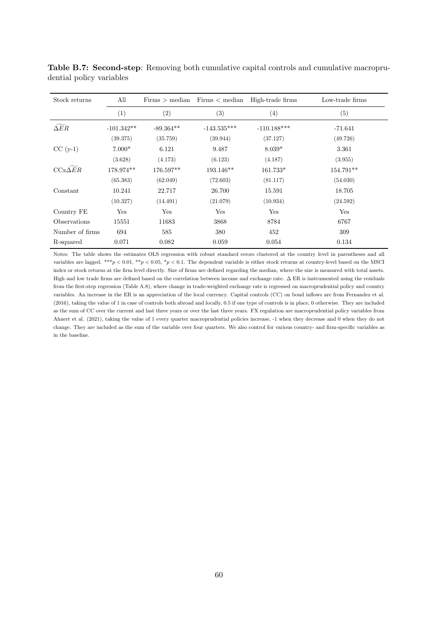| Stock returns   | All          |             | $Firms > median$ $Firms < median$ | High-trade firms | Low-trade firms |
|-----------------|--------------|-------------|-----------------------------------|------------------|-----------------|
|                 | (1)          | (2)         | (3)                               | (4)              | (5)             |
| $\Delta ER$     | $-101.342**$ | $-89.364**$ | $-143.535***$                     | $-110.188***$    | $-71.641$       |
|                 | (39.375)     | (35.759)    | (39.944)                          | (37.127)         | (49.726)        |
| $CC(y-1)$       | $7.000*$     | 6.121       | 9.487                             | $8.039*$         | 3.361           |
|                 | (3.628)      | (4.173)     | (6.123)                           | (4.187)          | (3.955)         |
| $CCx\Delta ER$  | 178.974**    | 176.597**   | $193.146**$                       | 161.733*         | 154.791**       |
|                 | (65.383)     | (62.049)    | (72.603)                          | (81.117)         | (54.030)        |
| Constant        | 10.241       | 22.717      | 26.700                            | 15.591           | 18.705          |
|                 | (10.327)     | (14.491)    | (21.079)                          | (10.934)         | (24.592)        |
| Country FE      | Yes          | Yes         | Yes                               | Yes              | Yes             |
| Observations    | 15551        | 11683       | 3868                              | 8784             | 6767            |
| Number of firms | 694          | 585         | 380                               | 452              | 309             |
| R-squared       | 0.071        | 0.082       | 0.059                             | 0.054            | 0.134           |

Table B.7: Second-step: Removing both cumulative capital controls and cumulative macroprudential policy variables

Notes: The table shows the estimates OLS regression with robust standard errors clustered at the country level in parentheses and all variables are lagged. \*\*\*p < 0.01, \*\*p < 0.05, \*p < 0.1. The dependent variable is either stock returns at country-level based on the MSCI index or stock returns at the firm level directly. Size of firms are defined regarding the median, where the size is measured with total assets. High and low trade firms are defined based on the correlation between income and exchange rate.  $\Delta$  ER is instrumented using the residuals from the first-step regression (Table A.8), where change in trade-weighted exchange rate is regressed on macroprudential policy and country variables. An increase in the ER is an appreciation of the local currency. Capital controls (CC) on bond inflows are from Fernandez et al. (2016), taking the value of 1 in case of controls both abroad and locally, 0.5 if one type of controls is in place, 0 otherwise. They are included as the sum of CC over the current and last three years or over the last three years. FX regulation are macroprudential policy variables from Ahnert et al. (2021), taking the value of 1 every quarter macroprudential policies increase, -1 when they decrease and 0 when they do not change. They are included as the sum of the variable over four quarters. We also control for various country- and firm-specific variables as in the baseline.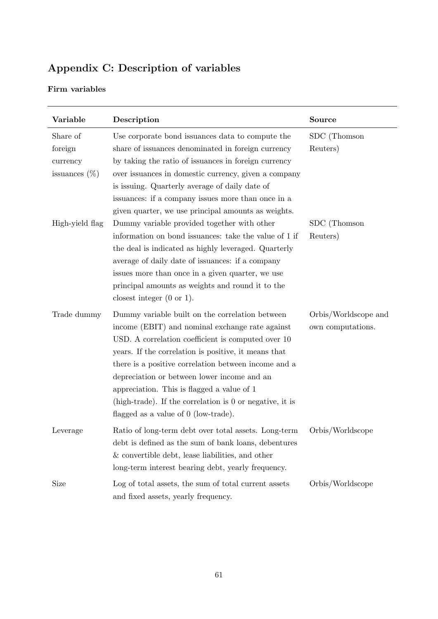# Appendix C: Description of variables

## Firm variables

| Variable         | Description                                                | <b>Source</b>        |
|------------------|------------------------------------------------------------|----------------------|
| Share of         | Use corporate bond issuances data to compute the           | SDC (Thomson         |
| foreign          | share of issuances denominated in foreign currency         | Reuters)             |
| currency         | by taking the ratio of issuances in foreign currency       |                      |
| issuances $(\%)$ | over issuances in domestic currency, given a company       |                      |
|                  | is issuing. Quarterly average of daily date of             |                      |
|                  | issuances: if a company issues more than once in a         |                      |
|                  | given quarter, we use principal amounts as weights.        |                      |
| High-yield flag  | Dummy variable provided together with other                | SDC (Thomson         |
|                  | information on bond issuances: take the value of 1 if      | Reuters)             |
|                  | the deal is indicated as highly leveraged. Quarterly       |                      |
|                  | average of daily date of issuances: if a company           |                      |
|                  | issues more than once in a given quarter, we use           |                      |
|                  | principal amounts as weights and round it to the           |                      |
|                  | closest integer $(0 \text{ or } 1)$ .                      |                      |
| Trade dummy      | Dummy variable built on the correlation between            | Orbis/Worldscope and |
|                  | income (EBIT) and nominal exchange rate against            | own computations.    |
|                  | USD. A correlation coefficient is computed over 10         |                      |
|                  | years. If the correlation is positive, it means that       |                      |
|                  | there is a positive correlation between income and a       |                      |
|                  | depreciation or between lower income and an                |                      |
|                  | appreciation. This is flagged a value of 1                 |                      |
|                  | (high-trade). If the correlation is $0$ or negative, it is |                      |
|                  | flagged as a value of $0$ (low-trade).                     |                      |
| Leverage         | Ratio of long-term debt over total assets. Long-term       | Orbis/Worldscope     |
|                  | debt is defined as the sum of bank loans, debentures       |                      |
|                  | & convertible debt, lease liabilities, and other           |                      |
|                  | long-term interest bearing debt, yearly frequency.         |                      |
| Size             | Log of total assets, the sum of total current assets       | Orbis/Worldscope     |
|                  | and fixed assets, yearly frequency.                        |                      |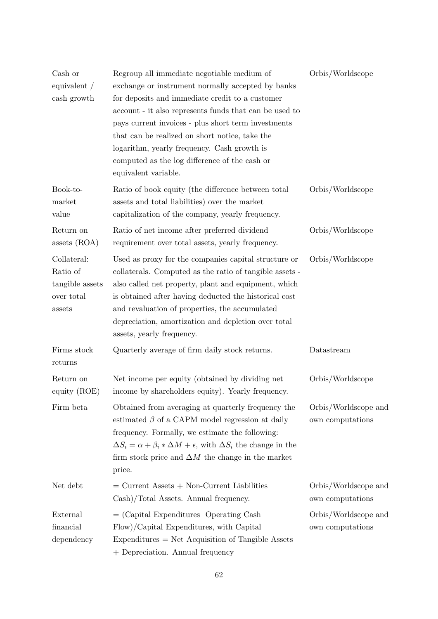| Cash or<br>equivalent /<br>cash growth                             | Regroup all immediate negotiable medium of<br>exchange or instrument normally accepted by banks<br>for deposits and immediate credit to a customer<br>account - it also represents funds that can be used to<br>pays current invoices - plus short term investments<br>that can be realized on short notice, take the<br>logarithm, yearly frequency. Cash growth is<br>computed as the log difference of the cash or<br>equivalent variable. | Orbis/Worldscope                         |
|--------------------------------------------------------------------|-----------------------------------------------------------------------------------------------------------------------------------------------------------------------------------------------------------------------------------------------------------------------------------------------------------------------------------------------------------------------------------------------------------------------------------------------|------------------------------------------|
| Book-to-<br>market<br>value                                        | Ratio of book equity (the difference between total<br>assets and total liabilities) over the market<br>capitalization of the company, yearly frequency.                                                                                                                                                                                                                                                                                       | Orbis/Worldscope                         |
| Return on<br>assets $(ROA)$                                        | Ratio of net income after preferred dividend<br>requirement over total assets, yearly frequency.                                                                                                                                                                                                                                                                                                                                              | Orbis/Worldscope                         |
| Collateral:<br>Ratio of<br>tangible assets<br>over total<br>assets | Used as proxy for the companies capital structure or<br>collaterals. Computed as the ratio of tangible assets -<br>also called net property, plant and equipment, which<br>is obtained after having deducted the historical cost<br>and revaluation of properties, the accumulated<br>depreciation, amortization and depletion over total<br>assets, yearly frequency.                                                                        | Orbis/Worldscope                         |
| Firms stock<br>returns                                             | Quarterly average of firm daily stock returns.                                                                                                                                                                                                                                                                                                                                                                                                | Datastream                               |
| Return on<br>equity (ROE)                                          | Net income per equity (obtained by dividing net<br>income by shareholders equity). Yearly frequency.                                                                                                                                                                                                                                                                                                                                          | Orbis/Worldscope                         |
| Firm beta                                                          | Obtained from averaging at quarterly frequency the<br>estimated $\beta$ of a CAPM model regression at daily<br>frequency. Formally, we estimate the following:<br>$\Delta S_i = \alpha + \beta_i * \Delta M + \epsilon$ , with $\Delta S_i$ the change in the<br>firm stock price and $\Delta M$ the change in the market<br>price.                                                                                                           | Orbis/Worldscope and<br>own computations |
| Net debt                                                           | $=$ Current Assets $+$ Non-Current Liabilities<br>Cash)/Total Assets. Annual frequency.                                                                                                                                                                                                                                                                                                                                                       | Orbis/Worldscope and<br>own computations |
| External<br>financial<br>dependency                                | $=$ (Capital Expenditures Operating Cash<br>Flow)/Capital Expenditures, with Capital<br>$Expenditures = Net Acquisition of Tangible Assets$<br>+ Depreciation. Annual frequency                                                                                                                                                                                                                                                               | Orbis/Worldscope and<br>own computations |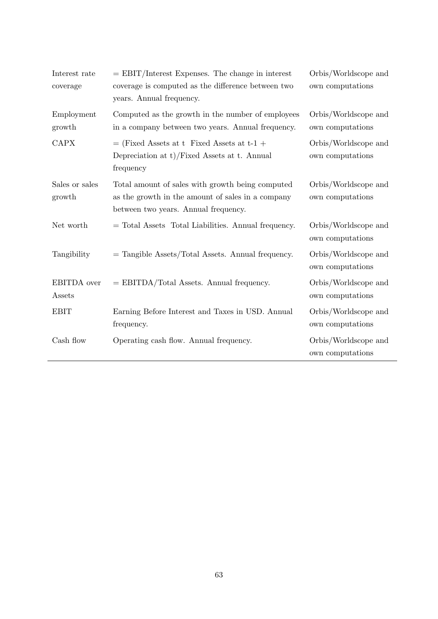| Interest rate<br>coverage    | $=$ EBIT/Interest Expenses. The change in interest<br>coverage is computed as the difference between two<br>years. Annual frequency.          | Orbis/Worldscope and<br>own computations |
|------------------------------|-----------------------------------------------------------------------------------------------------------------------------------------------|------------------------------------------|
| Employment<br>growth         | Computed as the growth in the number of employees<br>in a company between two years. Annual frequency.                                        | Orbis/Worldscope and<br>own computations |
| <b>CAPX</b>                  | $=$ (Fixed Assets at t Fixed Assets at t-1 +<br>Depreciation at $t$ )/Fixed Assets at t. Annual<br>frequency                                  | Orbis/Worldscope and<br>own computations |
| Sales or sales<br>growth     | Total amount of sales with growth being computed<br>as the growth in the amount of sales in a company<br>between two years. Annual frequency. | Orbis/Worldscope and<br>own computations |
| Net worth                    | = Total Assets Total Liabilities. Annual frequency.                                                                                           | Orbis/Worldscope and<br>own computations |
| Tangibility                  | $=$ Tangible Assets/Total Assets. Annual frequency.                                                                                           | Orbis/Worldscope and<br>own computations |
| <b>EBITDA</b> over<br>Assets | $=$ EBITDA/Total Assets. Annual frequency.                                                                                                    | Orbis/Worldscope and<br>own computations |
| <b>EBIT</b>                  | Earning Before Interest and Taxes in USD. Annual<br>frequency.                                                                                | Orbis/Worldscope and<br>own computations |
| Cash flow                    | Operating cash flow. Annual frequency.                                                                                                        | Orbis/Worldscope and<br>own computations |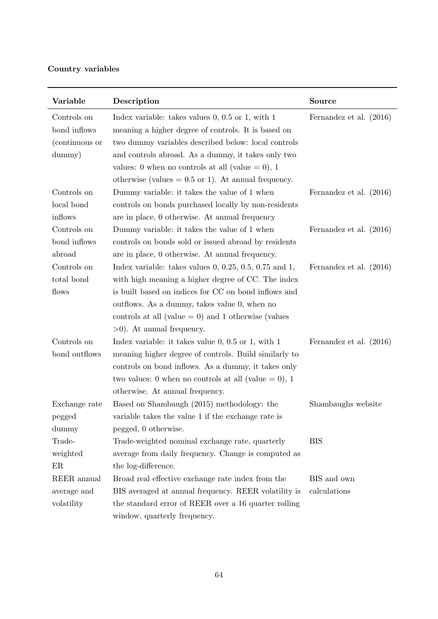## Country variables

| Variable       | Description                                                | Source                  |
|----------------|------------------------------------------------------------|-------------------------|
| Controls on    | Index variable: takes values $0, 0.5$ or 1, with 1         | Fernandez et al. (2016) |
| bond inflows   | meaning a higher degree of controls. It is based on        |                         |
| (continuous or | two dummy variables described below: local controls        |                         |
| dummy)         | and controls abroad. As a dummy, it takes only two         |                         |
|                | values: 0 when no controls at all (value $= 0$ ), 1        |                         |
|                | otherwise (values $= 0.5$ or 1). At annual frequency.      |                         |
| Controls on    | Dummy variable: it takes the value of 1 when               | Fernandez et al. (2016) |
| local bond     | controls on bonds purchased locally by non-residents       |                         |
| inflows        | are in place, 0 otherwise. At annual frequency             |                         |
| Controls on    | Dummy variable: it takes the value of 1 when               | Fernandez et al. (2016) |
| bond inflows   | controls on bonds sold or issued abroad by residents       |                         |
| abroad         | are in place, 0 otherwise. At annual frequency.            |                         |
| Controls on    | Index variable: takes values $0, 0.25, 0.5, 0.75$ and $1,$ | Fernandez et al. (2016) |
| total bond     | with high meaning a higher degree of CC. The index         |                         |
| flows          | is built based on indices for CC on bond inflows and       |                         |
|                | outflows. As a dummy, takes value 0, when no               |                         |
|                | controls at all (value $= 0$ ) and 1 otherwise (values     |                         |
|                | $>0$ ). At annual frequency.                               |                         |
| Controls on    | Index variable: it takes value $0, 0.5$ or 1, with 1       | Fernandez et al. (2016) |
| bond outflows  | meaning higher degree of controls. Build similarly to      |                         |
|                | controls on bond inflows. As a dummy, it takes only        |                         |
|                | two values: 0 when no controls at all (value $= 0$ ), 1    |                         |
|                | otherwise. At annual frequency.                            |                         |
| Exchange rate  | Based on Shambaugh (2015) methodology: the                 | Shambaughs website      |
| pegged         | variable takes the value 1 if the exchange rate is         |                         |
| dummy          | pegged, 0 otherwise.                                       |                         |
| Trade-         | Trade-weighted nominal exchange rate, quarterly            | <b>BIS</b>              |
| weighted       | average from daily frequency. Change is computed as        |                         |
| ER             | the log-difference.                                        |                         |
| REER annual    | Broad real effective exchange rate index from the          | BIS and own             |
| average and    | BIS averaged at annual frequency. REER volatility is       | calculations            |
| volatility     | the standard error of REER over a 16 quarter rolling       |                         |
|                | window, quarterly frequency.                               |                         |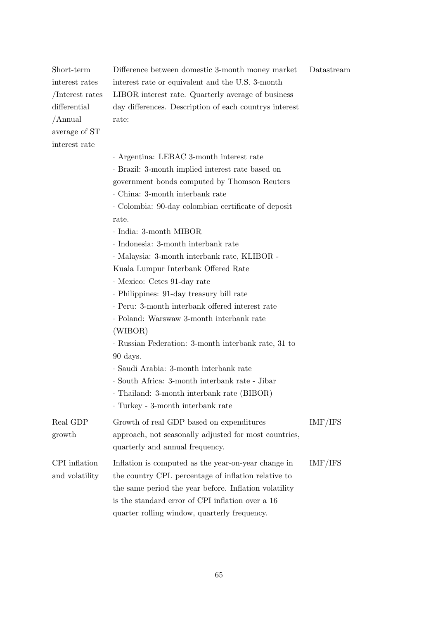| Short-term      | Difference between domestic 3-month money market       | Datastream |
|-----------------|--------------------------------------------------------|------------|
| interest rates  | interest rate or equivalent and the U.S. 3-month       |            |
| /Interest rates | LIBOR interest rate. Quarterly average of business     |            |
| differential    | day differences. Description of each countrys interest |            |
| /Annual         | rate:                                                  |            |
| average of ST   |                                                        |            |
| interest rate   |                                                        |            |
|                 | · Argentina: LEBAC 3-month interest rate               |            |
|                 | · Brazil: 3-month implied interest rate based on       |            |
|                 | government bonds computed by Thomson Reuters           |            |
|                 | China: 3-month interbank rate                          |            |
|                 | Colombia: 90-day colombian certificate of deposit      |            |
|                 | rate.                                                  |            |
|                 | · India: 3-month MIBOR                                 |            |
|                 | · Indonesia: 3-month interbank rate                    |            |
|                 | · Malaysia: 3-month interbank rate, KLIBOR -           |            |
|                 | Kuala Lumpur Interbank Offered Rate                    |            |
|                 | · Mexico: Cetes 91-day rate                            |            |
|                 | · Philippines: 91-day treasury bill rate               |            |
|                 | · Peru: 3-month interbank offered interest rate        |            |
|                 | · Poland: Warswaw 3-month interbank rate               |            |
|                 | (WIBOR)                                                |            |
|                 | · Russian Federation: 3-month interbank rate, 31 to    |            |
|                 | 90 days.                                               |            |
|                 | · Saudi Arabia: 3-month interbank rate                 |            |
|                 | · South Africa: 3-month interbank rate - Jibar         |            |
|                 | Thailand: 3-month interbank rate (BIBOR)               |            |
|                 | · Turkey - 3-month interbank rate                      |            |
| Real GDP        | Growth of real GDP based on expenditures               | IMF/IFS    |
| growth          | approach, not seasonally adjusted for most countries,  |            |
|                 | quarterly and annual frequency.                        |            |
| CPI inflation   | Inflation is computed as the year-on-year change in    | IMF/IFS    |
| and volatility  | the country CPI. percentage of inflation relative to   |            |
|                 | the same period the year before. Inflation volatility  |            |
|                 | is the standard error of CPI inflation over a 16       |            |
|                 | quarter rolling window, quarterly frequency.           |            |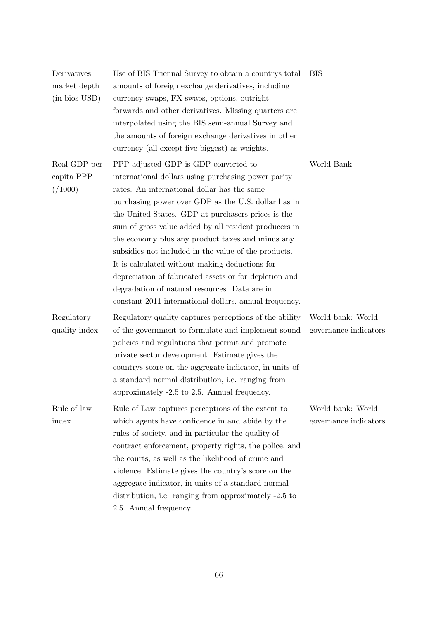| Derivatives<br>market depth<br>(in bios USD) | Use of BIS Triennal Survey to obtain a countrys total<br>amounts of foreign exchange derivatives, including<br>currency swaps, FX swaps, options, outright<br>forwards and other derivatives. Missing quarters are<br>interpolated using the BIS semi-annual Survey and<br>the amounts of foreign exchange derivatives in other<br>currency (all except five biggest) as weights.                                                                                                                                                                                                                                                                   | <b>BIS</b>                                 |
|----------------------------------------------|-----------------------------------------------------------------------------------------------------------------------------------------------------------------------------------------------------------------------------------------------------------------------------------------------------------------------------------------------------------------------------------------------------------------------------------------------------------------------------------------------------------------------------------------------------------------------------------------------------------------------------------------------------|--------------------------------------------|
| Real GDP per<br>capita PPP<br>( / 1000 )     | PPP adjusted GDP is GDP converted to<br>international dollars using purchasing power parity<br>rates. An international dollar has the same<br>purchasing power over GDP as the U.S. dollar has in<br>the United States. GDP at purchasers prices is the<br>sum of gross value added by all resident producers in<br>the economy plus any product taxes and minus any<br>subsidies not included in the value of the products.<br>It is calculated without making deductions for<br>depreciation of fabricated assets or for depletion and<br>degradation of natural resources. Data are in<br>constant 2011 international dollars, annual frequency. | World Bank                                 |
| Regulatory<br>quality index                  | Regulatory quality captures perceptions of the ability<br>of the government to formulate and implement sound<br>policies and regulations that permit and promote<br>private sector development. Estimate gives the<br>countrys score on the aggregate indicator, in units of<br>a standard normal distribution, i.e. ranging from<br>approximately -2.5 to 2.5. Annual frequency.                                                                                                                                                                                                                                                                   | World bank: World<br>governance indicators |
| Rule of law<br>index                         | Rule of Law captures perceptions of the extent to<br>which agents have confidence in and abide by the<br>rules of society, and in particular the quality of<br>contract enforcement, property rights, the police, and<br>the courts, as well as the likelihood of crime and<br>violence. Estimate gives the country's score on the<br>aggregate indicator, in units of a standard normal<br>distribution, i.e. ranging from approximately -2.5 to<br>2.5. Annual frequency.                                                                                                                                                                         | World bank: World<br>governance indicators |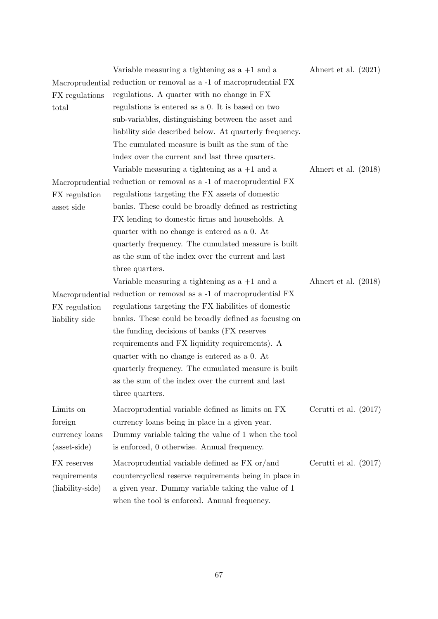|                  | Variable measuring a tightening as $a + 1$ and a<br>Macroprudential reduction or removal as a -1 of macroprudential FX | Ahnert et al. $(2021)$  |
|------------------|------------------------------------------------------------------------------------------------------------------------|-------------------------|
| FX regulations   | regulations. A quarter with no change in FX                                                                            |                         |
| total            | regulations is entered as a 0. It is based on two                                                                      |                         |
|                  | sub-variables, distinguishing between the asset and                                                                    |                         |
|                  | liability side described below. At quarterly frequency.                                                                |                         |
|                  | The cumulated measure is built as the sum of the                                                                       |                         |
|                  | index over the current and last three quarters.                                                                        |                         |
|                  | Variable measuring a tightening as $a + 1$ and a                                                                       | Ahnert et al. $(2018)$  |
|                  | Macroprudential reduction or removal as a -1 of macroprudential FX                                                     |                         |
| FX regulation    | regulations targeting the FX assets of domestic                                                                        |                         |
| asset side       | banks. These could be broadly defined as restricting                                                                   |                         |
|                  | FX lending to domestic firms and households. A                                                                         |                         |
|                  | quarter with no change is entered as a 0. At                                                                           |                         |
|                  | quarterly frequency. The cumulated measure is built                                                                    |                         |
|                  | as the sum of the index over the current and last                                                                      |                         |
|                  | three quarters.                                                                                                        |                         |
|                  | Variable measuring a tightening as $a + 1$ and a                                                                       | Ahnert et al. $(2018)$  |
|                  | Macroprudential reduction or removal as a -1 of macroprudential FX                                                     |                         |
| FX regulation    | regulations targeting the FX liabilities of domestic                                                                   |                         |
| liability side   | banks. These could be broadly defined as focusing on                                                                   |                         |
|                  | the funding decisions of banks (FX reserves                                                                            |                         |
|                  | requirements and FX liquidity requirements). A                                                                         |                         |
|                  | quarter with no change is entered as a 0. At                                                                           |                         |
|                  | quarterly frequency. The cumulated measure is built                                                                    |                         |
|                  | as the sum of the index over the current and last                                                                      |                         |
|                  | three quarters.                                                                                                        |                         |
| Limits on        | Macroprudential variable defined as limits on FX                                                                       | Cerutti et al. $(2017)$ |
| foreign          | currency loans being in place in a given year.                                                                         |                         |
| currency loans   | Dummy variable taking the value of 1 when the tool                                                                     |                         |
| (asset-side)     | is enforced, 0 otherwise. Annual frequency.                                                                            |                         |
| FX reserves      | Macroprudential variable defined as FX or/and                                                                          | Cerutti et al. $(2017)$ |
| requirements     | countercyclical reserve requirements being in place in                                                                 |                         |
| (liability-side) | a given year. Dummy variable taking the value of 1                                                                     |                         |
|                  | when the tool is enforced. Annual frequency.                                                                           |                         |
|                  |                                                                                                                        |                         |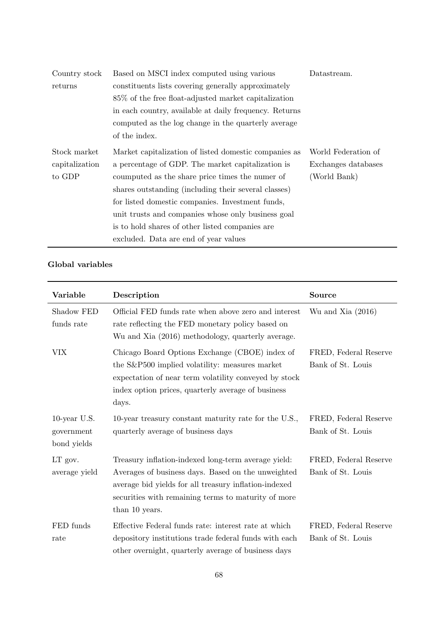| Country stock  | Based on MSCI index computed using various             | Datastream.         |
|----------------|--------------------------------------------------------|---------------------|
| returns        | constituents lists covering generally approximately    |                     |
|                | 85\% of the free float-adjusted market capitalization  |                     |
|                | in each country, available at daily frequency. Returns |                     |
|                | computed as the log change in the quarterly average    |                     |
|                | of the index.                                          |                     |
| Stock market   | Market capitalization of listed domestic companies as  | World Federation of |
| capitalization | a percentage of GDP. The market capitalization is      | Exchanges databases |
| to GDP         | coumputed as the share price times the numer of        | (World Bank)        |
|                | shares outstanding (including their several classes)   |                     |
|                | for listed domestic companies. Investment funds,       |                     |
|                | unit trusts and companies whose only business goal     |                     |
|                | is to hold shares of other listed companies are        |                     |
|                | excluded. Data are end of year values                  |                     |

## Global variables

| Variable                                     | Description                                                                                                                                                                                                                                 | <b>Source</b>                              |
|----------------------------------------------|---------------------------------------------------------------------------------------------------------------------------------------------------------------------------------------------------------------------------------------------|--------------------------------------------|
| Shadow FED<br>funds rate                     | Official FED funds rate when above zero and interest<br>rate reflecting the FED monetary policy based on<br>Wu and Xia (2016) methodology, quarterly average.                                                                               | Wu and Xia $(2016)$                        |
| VIX                                          | Chicago Board Options Exchange (CBOE) index of<br>the S&P500 implied volatility: measures market<br>expectation of near term volatility conveyed by stock<br>index option prices, quarterly average of business<br>days.                    | FRED, Federal Reserve<br>Bank of St. Louis |
| $10$ -year U.S.<br>government<br>bond yields | 10-year treasury constant maturity rate for the U.S.,<br>quarterly average of business days                                                                                                                                                 | FRED, Federal Reserve<br>Bank of St. Louis |
| LT gov.<br>average yield                     | Treasury inflation-indexed long-term average yield:<br>Averages of business days. Based on the unweighted<br>average bid yields for all treasury inflation-indexed<br>securities with remaining terms to maturity of more<br>than 10 years. | FRED, Federal Reserve<br>Bank of St. Louis |
| FED funds<br>rate                            | Effective Federal funds rate: interest rate at which<br>depository institutions trade federal funds with each<br>other overnight, quarterly average of business days                                                                        | FRED, Federal Reserve<br>Bank of St. Louis |